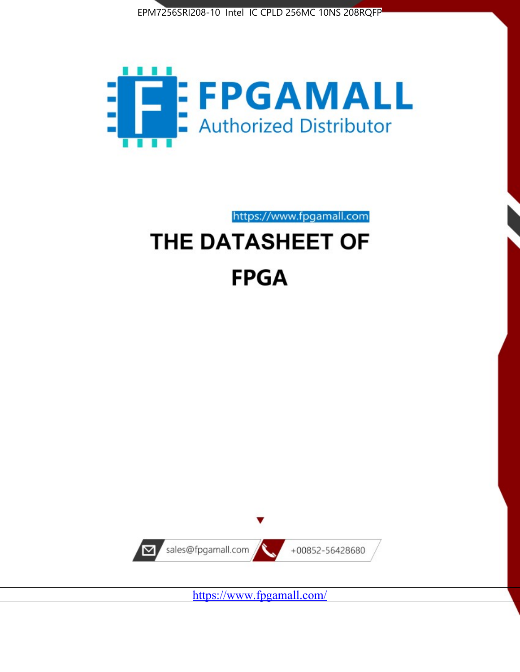



https://www.fpgamall.com

# THE DATASHEET OF **FPGA**



<https://www.fpgamall.com/>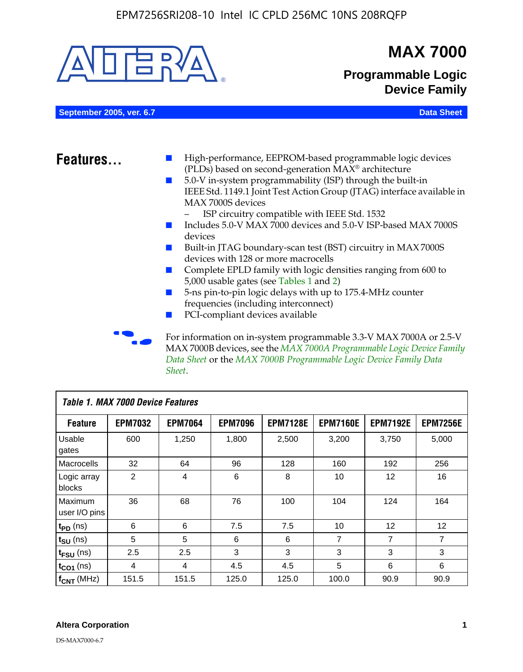

MAX 7000B devices, see the *MAX 7000A Programmable Logic Device Family Data Sheet* or the *MAX 7000B Programmable Logic Device Family Data Sheet*.

| <b>Table 1. MAX 7000 Device Features</b> |                |                |                |                 |                 |                   |                 |
|------------------------------------------|----------------|----------------|----------------|-----------------|-----------------|-------------------|-----------------|
| <b>Feature</b>                           | <b>EPM7032</b> | <b>EPM7064</b> | <b>EPM7096</b> | <b>EPM7128E</b> | <b>EPM7160E</b> | <b>EPM7192E</b>   | <b>EPM7256E</b> |
| Usable<br>gates                          | 600            | 1,250          | 1,800          | 2,500           | 3,200           | 3,750             | 5,000           |
| Macrocells                               | 32             | 64             | 96             | 128             | 160             | 192               | 256             |
| Logic array<br>blocks                    | 2              | 4              | 6              | 8               | 10              | 12                | 16              |
| Maximum<br>user I/O pins                 | 36             | 68             | 76             | 100             | 104             | 124               | 164             |
| $t_{PD}$ (ns)                            | 6              | 6              | 7.5            | 7.5             | 10              | $12 \overline{ }$ | 12              |
| $t_{\text{SU}}$ (ns)                     | 5              | 5              | 6              | 6               | 7               | 7                 | 7               |
| $t_{FSU}$ (ns)                           | 2.5            | 2.5            | 3              | 3               | 3               | 3                 | 3               |
| $t_{CO1}$ (ns)                           | 4              | 4              | 4.5            | 4.5             | 5               | 6                 | 6               |
| $f_{CNT}$ (MHz)                          | 151.5          | 151.5          | 125.0          | 125.0           | 100.0           | 90.9              | 90.9            |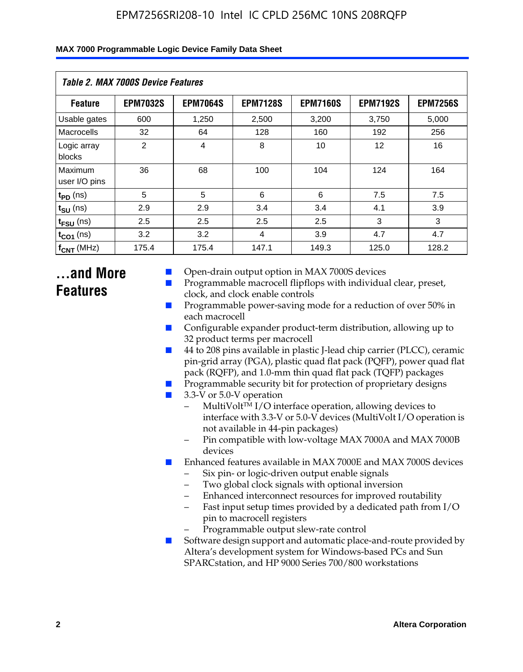| Table 2. MAX 7000S Device Features |                 |                 |                 |                 |                   |                 |  |
|------------------------------------|-----------------|-----------------|-----------------|-----------------|-------------------|-----------------|--|
| <b>Feature</b>                     | <b>EPM7032S</b> | <b>EPM7064S</b> | <b>EPM7128S</b> | <b>EPM7160S</b> | <b>EPM7192S</b>   | <b>EPM7256S</b> |  |
| Usable gates                       | 600             | 1,250           | 2,500           | 3,200           | 3,750             | 5,000           |  |
| Macrocells                         | 32              | 64              | 128             | 160             | 192               | 256             |  |
| Logic array<br>blocks              | $\overline{2}$  | $\overline{4}$  | 8               | 10              | $12 \overline{ }$ | 16              |  |
| Maximum<br>user I/O pins           | 36              | 68              | 100             | 104             | 124               | 164             |  |
| $t_{PD}$ (ns)                      | 5               | 5               | 6               | 6               | 7.5               | 7.5             |  |
| $t_{SU}$ (ns)                      | 2.9             | 2.9             | 3.4             | 3.4             | 4.1               | 3.9             |  |
| $t_{\text{FSU}}$ (ns)              | 2.5             | 2.5             | 2.5             | 2.5             | 3                 | 3               |  |
| $t_{CO1}$ (ns)                     | 3.2             | 3.2             | 4               | 3.9             | 4.7               | 4.7             |  |
| $f_{\text{CNT}}$ (MHz)             | 175.4           | 175.4           | 147.1           | 149.3           | 125.0             | 128.2           |  |

## **...and More Features**

- Open-drain output option in MAX 7000S devices
- Programmable macrocell flipflops with individual clear, preset, clock, and clock enable controls
- Programmable power-saving mode for a reduction of over 50% in each macrocell
- Configurable expander product-term distribution, allowing up to 32 product terms per macrocell
- 44 to 208 pins available in plastic J-lead chip carrier (PLCC), ceramic pin-grid array (PGA), plastic quad flat pack (PQFP), power quad flat pack (RQFP), and 1.0-mm thin quad flat pack (TQFP) packages
- Programmable security bit for protection of proprietary designs
- 3.3-V or 5.0-V operation
	- MultiVolt<sup>TM</sup> I/O interface operation, allowing devices to interface with 3.3-V or 5.0-V devices (MultiVolt I/O operation is not available in 44-pin packages)
	- Pin compatible with low-voltage MAX 7000A and MAX 7000B devices
- Enhanced features available in MAX 7000E and MAX 7000S devices
	- Six pin- or logic-driven output enable signals
	- Two global clock signals with optional inversion
	- Enhanced interconnect resources for improved routability
	- Fast input setup times provided by a dedicated path from I/O pin to macrocell registers
	- Programmable output slew-rate control
- Software design support and automatic place-and-route provided by Altera's development system for Windows-based PCs and Sun SPARCstation, and HP 9000 Series 700/800 workstations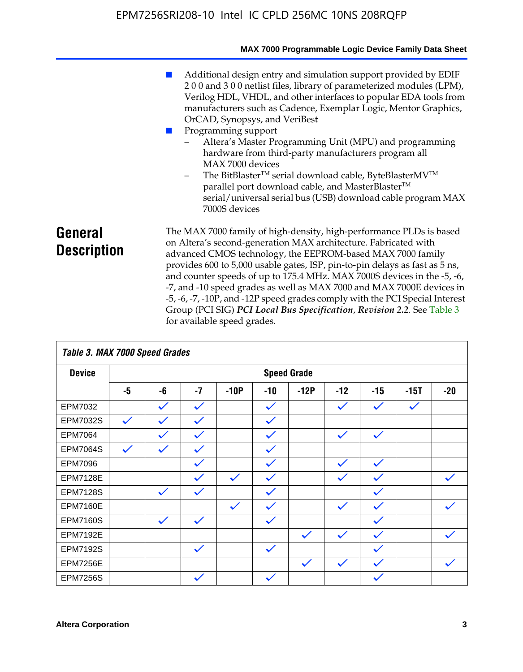|                               | MAX 7000 Programmable Logic Device Family Data Sheet                                                                                                                                                                                                                                                                                                                                                                                                                                                                                                                                                                                                                                                  |
|-------------------------------|-------------------------------------------------------------------------------------------------------------------------------------------------------------------------------------------------------------------------------------------------------------------------------------------------------------------------------------------------------------------------------------------------------------------------------------------------------------------------------------------------------------------------------------------------------------------------------------------------------------------------------------------------------------------------------------------------------|
|                               | Additional design entry and simulation support provided by EDIF<br>200 and 300 netlist files, library of parameterized modules (LPM),<br>Verilog HDL, VHDL, and other interfaces to popular EDA tools from<br>manufacturers such as Cadence, Exemplar Logic, Mentor Graphics,<br>OrCAD, Synopsys, and VeriBest<br>Programming support<br>Altera's Master Programming Unit (MPU) and programming<br>hardware from third-party manufacturers program all<br>MAX 7000 devices<br>The BitBlaster <sup>™</sup> serial download cable, ByteBlasterMV <sup>™</sup><br>-<br>parallel port download cable, and MasterBlaster™<br>serial/universal serial bus (USB) download cable program MAX<br>7000S devices |
| General<br><b>Description</b> | The MAX 7000 family of high-density, high-performance PLDs is based<br>on Altera's second-generation MAX architecture. Fabricated with<br>advanced CMOS technology, the EEPROM-based MAX 7000 family<br>provides 600 to 5,000 usable gates, ISP, pin-to-pin delays as fast as 5 ns,<br>and counter speeds of up to 175.4 MHz. MAX 7000S devices in the -5, -6,<br>-7, and -10 speed grades as well as MAX 7000 and MAX 7000E devices in<br>-5, -6, -7, -10P, and -12P speed grades comply with the PCI Special Interest<br>Group (PCI SIG) PCI Local Bus Specification, Revision 2.2. See Table 3                                                                                                     |

|                 | Table 3. MAX 7000 Speed Grades |              |              |              |              |                    |              |              |              |              |
|-----------------|--------------------------------|--------------|--------------|--------------|--------------|--------------------|--------------|--------------|--------------|--------------|
| <b>Device</b>   |                                |              |              |              |              | <b>Speed Grade</b> |              |              |              |              |
|                 | -5                             | -6           | $-7$         | $-10P$       | $-10$        | $-12P$             | $-12$        | $-15$        | $-15T$       | $-20$        |
| EPM7032         |                                | $\checkmark$ | $\checkmark$ |              | $\checkmark$ |                    | $\checkmark$ | $\checkmark$ | $\checkmark$ |              |
| EPM7032S        | $\checkmark$                   | $\checkmark$ | $\checkmark$ |              | $\checkmark$ |                    |              |              |              |              |
| <b>EPM7064</b>  |                                | $\checkmark$ | $\checkmark$ |              | $\checkmark$ |                    | $\checkmark$ | $\checkmark$ |              |              |
| <b>EPM7064S</b> | $\checkmark$                   | $\checkmark$ | $\checkmark$ |              | $\checkmark$ |                    |              |              |              |              |
| <b>EPM7096</b>  |                                |              | $\checkmark$ |              | $\checkmark$ |                    | $\checkmark$ | $\checkmark$ |              |              |
| <b>EPM7128E</b> |                                |              | $\checkmark$ | $\checkmark$ | $\checkmark$ |                    | $\checkmark$ | $\checkmark$ |              | $\checkmark$ |
| <b>EPM7128S</b> |                                | $\checkmark$ | $\checkmark$ |              | $\checkmark$ |                    |              | $\checkmark$ |              |              |
| <b>EPM7160E</b> |                                |              |              | $\checkmark$ | $\checkmark$ |                    | $\checkmark$ | $\checkmark$ |              | $\checkmark$ |
| <b>EPM7160S</b> |                                | $\checkmark$ | $\checkmark$ |              | $\checkmark$ |                    |              | $\checkmark$ |              |              |
| <b>EPM7192E</b> |                                |              |              |              |              | $\checkmark$       | $\checkmark$ | $\checkmark$ |              |              |
| <b>EPM7192S</b> |                                |              | $\checkmark$ |              | $\checkmark$ |                    |              | $\checkmark$ |              |              |
| <b>EPM7256E</b> |                                |              |              |              |              | $\checkmark$       | $\checkmark$ | $\checkmark$ |              | $\checkmark$ |
| <b>EPM7256S</b> |                                |              | $\checkmark$ |              | $\checkmark$ |                    |              | $\checkmark$ |              |              |

for available speed grades.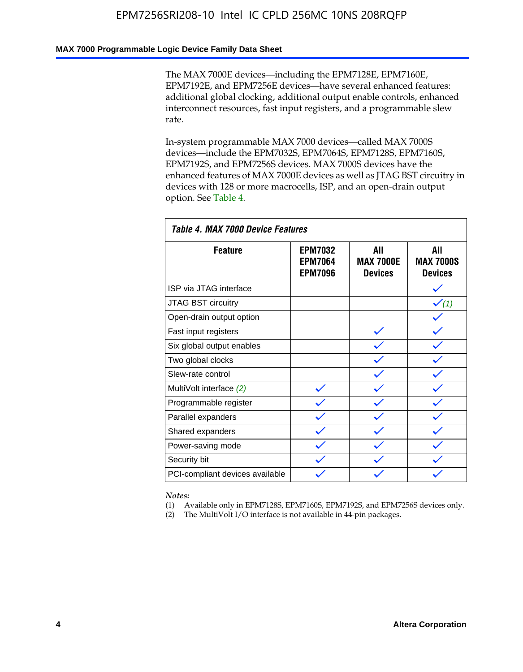### **MAX 7000 Programmable Logic Device Family Data Sheet**

The MAX 7000E devices—including the EPM7128E, EPM7160E, EPM7192E, and EPM7256E devices—have several enhanced features: additional global clocking, additional output enable controls, enhanced interconnect resources, fast input registers, and a programmable slew rate.

In-system programmable MAX 7000 devices—called MAX 7000S devices—include the EPM7032S, EPM7064S, EPM7128S, EPM7160S, EPM7192S, and EPM7256S devices. MAX 7000S devices have the enhanced features of MAX 7000E devices as well as JTAG BST circuitry in devices with 128 or more macrocells, ISP, and an open-drain output option. See Table 4.

| Table 4. MAX 7000 Device Features |                                                    |                                           |                                           |  |  |  |
|-----------------------------------|----------------------------------------------------|-------------------------------------------|-------------------------------------------|--|--|--|
| <b>Feature</b>                    | <b>EPM7032</b><br><b>EPM7064</b><br><b>EPM7096</b> | All<br><b>MAX 7000E</b><br><b>Devices</b> | All<br><b>MAX 7000S</b><br><b>Devices</b> |  |  |  |
| ISP via JTAG interface            |                                                    |                                           |                                           |  |  |  |
| JTAG BST circuitry                |                                                    |                                           | $\checkmark$ (1)                          |  |  |  |
| Open-drain output option          |                                                    |                                           |                                           |  |  |  |
| Fast input registers              |                                                    |                                           |                                           |  |  |  |
| Six global output enables         |                                                    |                                           |                                           |  |  |  |
| Two global clocks                 |                                                    |                                           |                                           |  |  |  |
| Slew-rate control                 |                                                    |                                           |                                           |  |  |  |
| MultiVolt interface (2)           |                                                    |                                           |                                           |  |  |  |
| Programmable register             |                                                    |                                           |                                           |  |  |  |
| Parallel expanders                |                                                    |                                           |                                           |  |  |  |
| Shared expanders                  |                                                    |                                           |                                           |  |  |  |
| Power-saving mode                 |                                                    |                                           |                                           |  |  |  |
| Security bit                      |                                                    |                                           |                                           |  |  |  |
| PCI-compliant devices available   |                                                    |                                           |                                           |  |  |  |

*Notes:*

(1) Available only in EPM7128S, EPM7160S, EPM7192S, and EPM7256S devices only.

(2) The MultiVolt I/O interface is not available in 44-pin packages.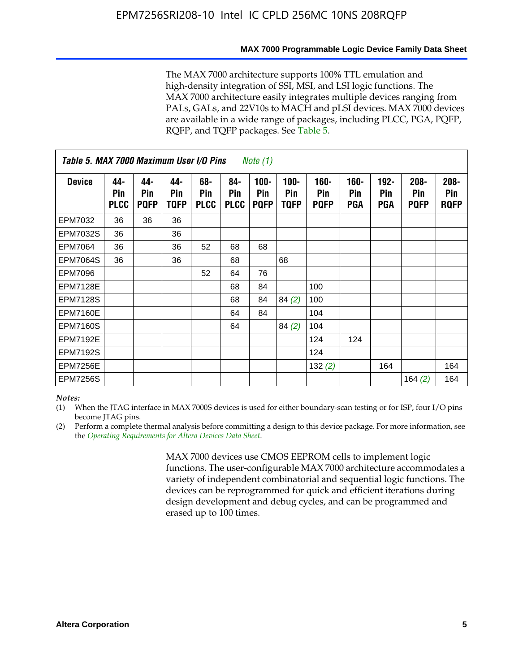#### **MAX 7000 Programmable Logic Device Family Data Sheet**

The MAX 7000 architecture supports 100% TTL emulation and high-density integration of SSI, MSI, and LSI logic functions. The MAX 7000 architecture easily integrates multiple devices ranging from PALs, GALs, and 22V10s to MACH and pLSI devices. MAX 7000 devices are available in a wide range of packages, including PLCC, PGA, PQFP, RQFP, and TQFP packages. See Table 5.

| Table 5. MAX 7000 Maximum User I/O Pins<br><i>Note</i> $(1)$ |                           |                           |                           |                           |                           |                               |                        |                            |                       |                              |                               |                               |
|--------------------------------------------------------------|---------------------------|---------------------------|---------------------------|---------------------------|---------------------------|-------------------------------|------------------------|----------------------------|-----------------------|------------------------------|-------------------------------|-------------------------------|
| <b>Device</b>                                                | 44-<br>Pin<br><b>PLCC</b> | 44-<br>Pin<br><b>PQFP</b> | 44-<br>Pin<br><b>TQFP</b> | 68-<br>Pin<br><b>PLCC</b> | 84-<br>Pin<br><b>PLCC</b> | $100 -$<br>Pin<br><b>PQFP</b> | $100 -$<br>Pin<br>TQFP | 160-<br>Pin<br><b>PQFP</b> | $160 -$<br>Pin<br>PGA | $192 -$<br>Pin<br><b>PGA</b> | $208 -$<br>Pin<br><b>PQFP</b> | $208 -$<br>Pin<br><b>RQFP</b> |
| EPM7032                                                      | 36                        | 36                        | 36                        |                           |                           |                               |                        |                            |                       |                              |                               |                               |
| <b>EPM7032S</b>                                              | 36                        |                           | 36                        |                           |                           |                               |                        |                            |                       |                              |                               |                               |
| <b>EPM7064</b>                                               | 36                        |                           | 36                        | 52                        | 68                        | 68                            |                        |                            |                       |                              |                               |                               |
| <b>EPM7064S</b>                                              | 36                        |                           | 36                        |                           | 68                        |                               | 68                     |                            |                       |                              |                               |                               |
| <b>EPM7096</b>                                               |                           |                           |                           | 52                        | 64                        | 76                            |                        |                            |                       |                              |                               |                               |
| <b>EPM7128E</b>                                              |                           |                           |                           |                           | 68                        | 84                            |                        | 100                        |                       |                              |                               |                               |
| <b>EPM7128S</b>                                              |                           |                           |                           |                           | 68                        | 84                            | 84(2)                  | 100                        |                       |                              |                               |                               |
| <b>EPM7160E</b>                                              |                           |                           |                           |                           | 64                        | 84                            |                        | 104                        |                       |                              |                               |                               |
| EPM7160S                                                     |                           |                           |                           |                           | 64                        |                               | 84(2)                  | 104                        |                       |                              |                               |                               |
| <b>EPM7192E</b>                                              |                           |                           |                           |                           |                           |                               |                        | 124                        | 124                   |                              |                               |                               |
| <b>EPM7192S</b>                                              |                           |                           |                           |                           |                           |                               |                        | 124                        |                       |                              |                               |                               |
| <b>EPM7256E</b>                                              |                           |                           |                           |                           |                           |                               |                        | 132(2)                     |                       | 164                          |                               | 164                           |
| <b>EPM7256S</b>                                              |                           |                           |                           |                           |                           |                               |                        |                            |                       |                              | 164 $(2)$                     | 164                           |

#### *Notes:*

(1) When the JTAG interface in MAX 7000S devices is used for either boundary-scan testing or for ISP, four I/O pins become JTAG pins.

(2) Perform a complete thermal analysis before committing a design to this device package. For more information, see the *Operating Requirements for Altera Devices Data Sheet*.

> MAX 7000 devices use CMOS EEPROM cells to implement logic functions. The user-configurable MAX 7000 architecture accommodates a variety of independent combinatorial and sequential logic functions. The devices can be reprogrammed for quick and efficient iterations during design development and debug cycles, and can be programmed and erased up to 100 times.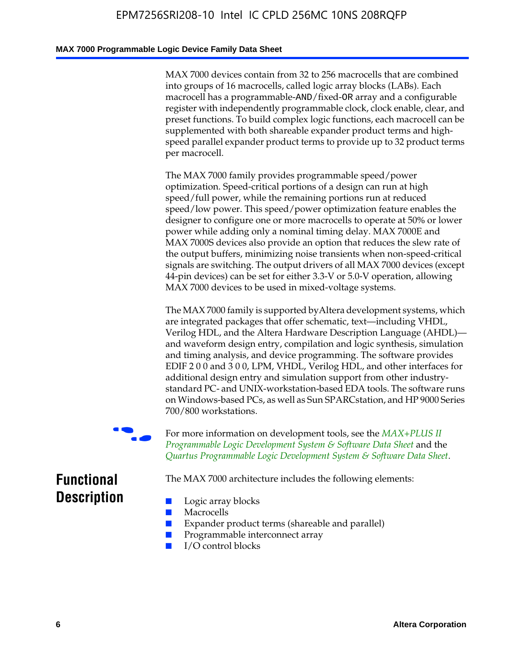### **MAX 7000 Programmable Logic Device Family Data Sheet**

MAX 7000 devices contain from 32 to 256 macrocells that are combined into groups of 16 macrocells, called logic array blocks (LABs). Each macrocell has a programmable-AND/fixed-OR array and a configurable register with independently programmable clock, clock enable, clear, and preset functions. To build complex logic functions, each macrocell can be supplemented with both shareable expander product terms and highspeed parallel expander product terms to provide up to 32 product terms per macrocell.

The MAX 7000 family provides programmable speed/power optimization. Speed-critical portions of a design can run at high speed/full power, while the remaining portions run at reduced speed/low power. This speed/power optimization feature enables the designer to configure one or more macrocells to operate at 50% or lower power while adding only a nominal timing delay. MAX 7000E and MAX 7000S devices also provide an option that reduces the slew rate of the output buffers, minimizing noise transients when non-speed-critical signals are switching. The output drivers of all MAX 7000 devices (except 44-pin devices) can be set for either 3.3-V or 5.0-V operation, allowing MAX 7000 devices to be used in mixed-voltage systems.

The MAX 7000 family is supported byAltera development systems, which are integrated packages that offer schematic, text—including VHDL, Verilog HDL, and the Altera Hardware Description Language (AHDL) and waveform design entry, compilation and logic synthesis, simulation and timing analysis, and device programming. The [software provides](http://www.altera.com/literature/ds/dsmii.pdf)  [EDIF 2 0 0 and 3 0 0, LPM, VHDL, Verilog HDL, and other in](http://www.altera.com/literature/ds/dsmii.pdf)terfaces for [additional design entry and simulation support from other industry](http://www.altera.com/literature/ds/quartus.pdf)standard PC- and UNIX-workstation-based EDA tools. The software runs on Windows-based PCs, as well as Sun SPARCstation, and HP 9000 Series 700/800 workstations.

For more information on development tools, see the **MAX+PLUS II** *Programmable Logic Development System & Software Data Sheet* and the *Quartus Programmable Logic Development System & Software Data Sheet*.

The MAX 7000 architecture includes the following elements:

## **Functional Description**

- Logic array blocks
- **Macrocells**
- Expander product terms (shareable and parallel)
- Programmable interconnect array
- I/O control blocks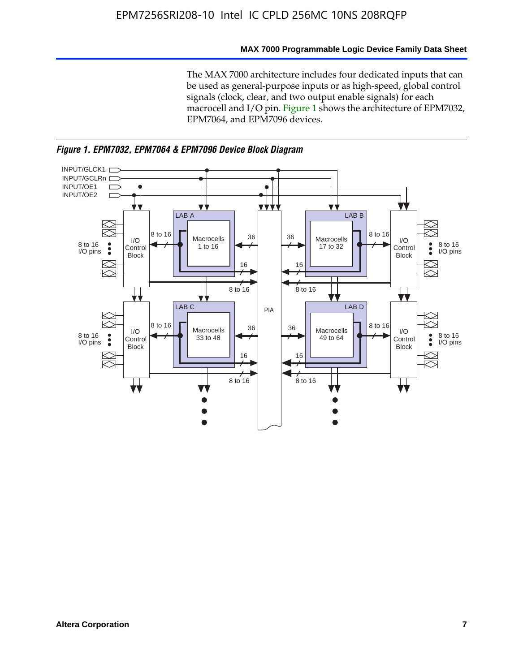### **MAX 7000 Programmable Logic Device Family Data Sheet**

The MAX 7000 architecture includes four dedicated inputs that can be used as general-purpose inputs or as high-speed, global control signals (clock, clear, and two output enable signals) for each macrocell and I/O pin. Figure 1 shows the architecture of EPM7032, EPM7064, and EPM7096 devices.



*Figure 1. EPM7032, EPM7064 & EPM7096 Device Block Diagram*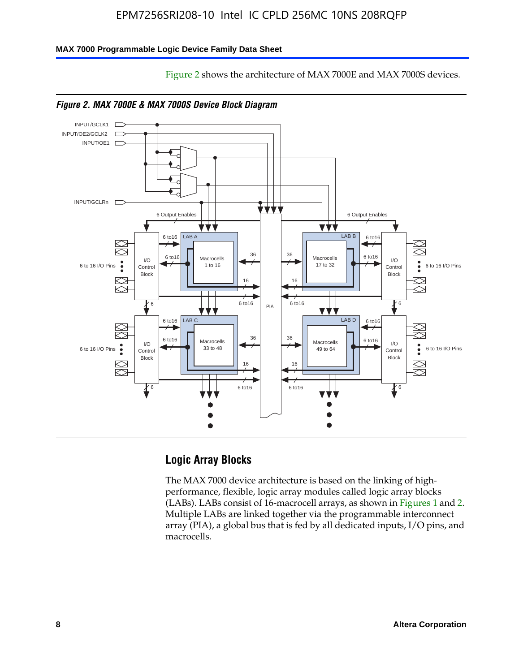Figure 2 shows the architecture of MAX 7000E and MAX 7000S devices.

### **MAX 7000 Programmable Logic Device Family Data Sheet**





## **Logic Array Blocks**

The MAX 7000 device architecture is based on the linking of highperformance, flexible, logic array modules called logic array blocks (LABs). LABs consist of 16-macrocell arrays, as shown in Figures 1 and 2. Multiple LABs are linked together via the programmable interconnect array (PIA), a global bus that is fed by all dedicated inputs, I/O pins, and macrocells.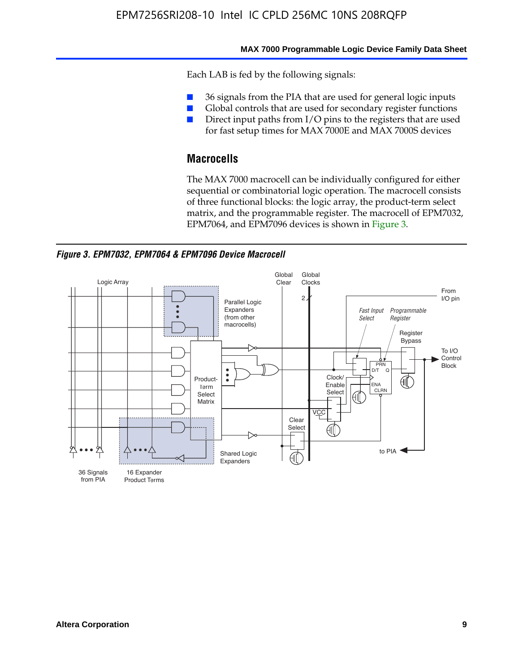#### **MAX 7000 Programmable Logic Device Family Data Sheet**

Each LAB is fed by the following signals:

- 36 signals from the PIA that are used for general logic inputs
- Global controls that are used for secondary register functions
- Direct input paths from I/O pins to the registers that are used for fast setup times for MAX 7000E and MAX 7000S devices

## **Macrocells**

The MAX 7000 macrocell can be individually configured for either sequential or combinatorial logic operation. The macrocell consists of three functional blocks: the logic array, the product-term select matrix, and the programmable register. The macrocell of EPM7032, EPM7064, and EPM7096 devices is shown in Figure 3.

*Figure 3. EPM7032, EPM7064 & EPM7096 Device Macrocell*

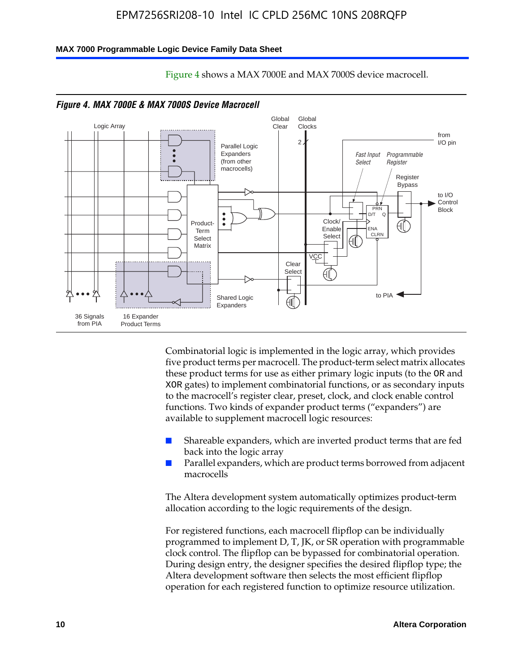#### **MAX 7000 Programmable Logic Device Family Data Sheet**



Figure 4 shows a MAX 7000E and MAX 7000S device macrocell.

*Figure 4. MAX 7000E & MAX 7000S Device Macrocell*

Combinatorial logic is implemented in the logic array, which provides five product terms per macrocell. The product-term select matrix allocates these product terms for use as either primary logic inputs (to the OR and XOR gates) to implement combinatorial functions, or as secondary inputs to the macrocell's register clear, preset, clock, and clock enable control functions. Two kinds of expander product terms ("expanders") are available to supplement macrocell logic resources:

- Shareable expanders, which are inverted product terms that are fed back into the logic array
- Parallel expanders, which are product terms borrowed from adjacent macrocells

The Altera development system automatically optimizes product-term allocation according to the logic requirements of the design.

For registered functions, each macrocell flipflop can be individually programmed to implement D, T, JK, or SR operation with programmable clock control. The flipflop can be bypassed for combinatorial operation. During design entry, the designer specifies the desired flipflop type; the Altera development software then selects the most efficient flipflop operation for each registered function to optimize resource utilization.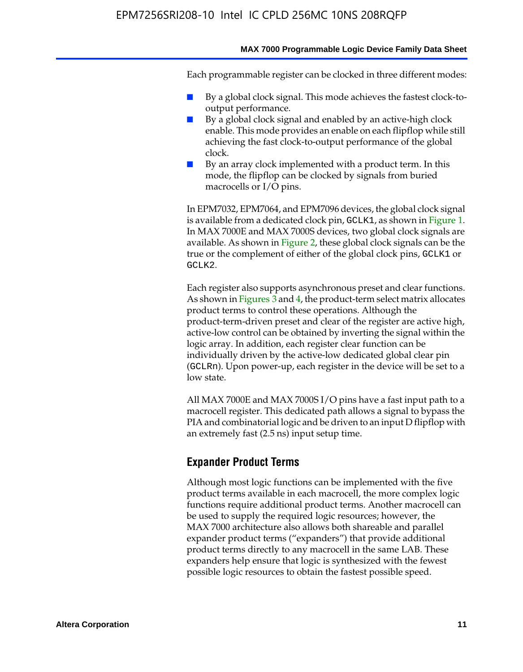#### **MAX 7000 Programmable Logic Device Family Data Sheet**

Each programmable register can be clocked in three different modes:

- By a global clock signal. This mode achieves the fastest clock-tooutput performance.
- By a global clock signal and enabled by an active-high clock enable. This mode provides an enable on each flipflop while still achieving the fast clock-to-output performance of the global clock.
- By an array clock implemented with a product term. In this mode, the flipflop can be clocked by signals from buried macrocells or I/O pins.

In EPM7032, EPM7064, and EPM7096 devices, the global clock signal is available from a dedicated clock pin, GCLK1, as shown in Figure 1. In MAX 7000E and MAX 7000S devices, two global clock signals are available. As shown in Figure 2, these global clock signals can be the true or the complement of either of the global clock pins, GCLK1 or GCLK2.

Each register also supports asynchronous preset and clear functions. As shown in Figures 3 and 4, the product-term select matrix allocates product terms to control these operations. Although the product-term-driven preset and clear of the register are active high, active-low control can be obtained by inverting the signal within the logic array. In addition, each register clear function can be individually driven by the active-low dedicated global clear pin (GCLRn). Upon power-up, each register in the device will be set to a low state.

All MAX 7000E and MAX 7000S I/O pins have a fast input path to a macrocell register. This dedicated path allows a signal to bypass the PIA and combinatorial logic and be driven to an input D flipflop with an extremely fast (2.5 ns) input setup time.

### **Expander Product Terms**

Although most logic functions can be implemented with the five product terms available in each macrocell, the more complex logic functions require additional product terms. Another macrocell can be used to supply the required logic resources; however, the MAX 7000 architecture also allows both shareable and parallel expander product terms ("expanders") that provide additional product terms directly to any macrocell in the same LAB. These expanders help ensure that logic is synthesized with the fewest possible logic resources to obtain the fastest possible speed.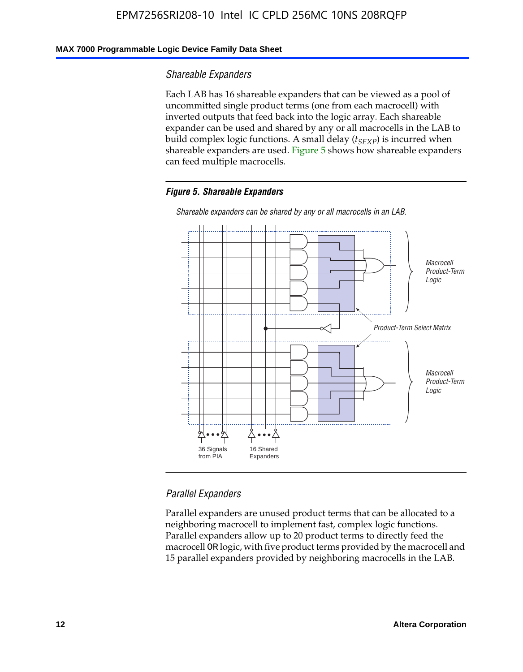### **MAX 7000 Programmable Logic Device Family Data Sheet**

### *Shareable Expanders*

Each LAB has 16 shareable expanders that can be viewed as a pool of uncommitted single product terms (one from each macrocell) with inverted outputs that feed back into the logic array. Each shareable expander can be used and shared by any or all macrocells in the LAB to build complex logic functions. A small delay ( $t_{SEXP}$ ) is incurred when shareable expanders are used. Figure 5 shows how shareable expanders can feed multiple macrocells.

### *Figure 5. Shareable Expanders*



*Shareable expanders can be shared by any or all macrocells in an LAB.*

### *Parallel Expanders*

Parallel expanders are unused product terms that can be allocated to a neighboring macrocell to implement fast, complex logic functions. Parallel expanders allow up to 20 product terms to directly feed the macrocell OR logic, with five product terms provided by the macrocell and 15 parallel expanders provided by neighboring macrocells in the LAB.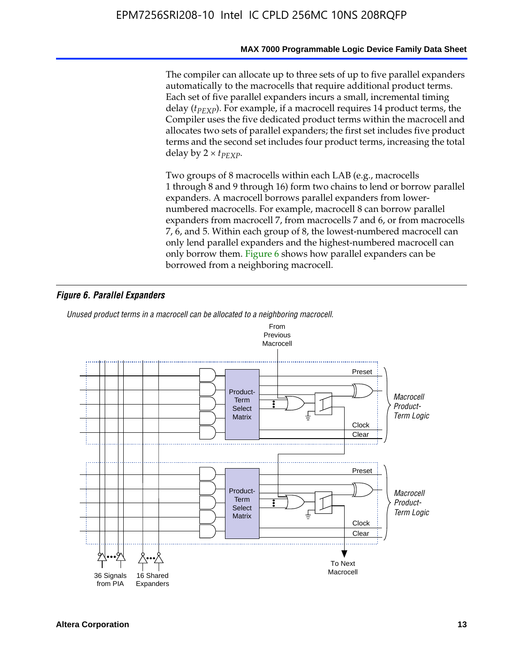The compiler can allocate up to three sets of up to five parallel expanders automatically to the macrocells that require additional product terms. Each set of five parallel expanders incurs a small, incremental timing delay (*t<sub>PEXP</sub>*). For example, if a macrocell requires 14 product terms, the Compiler uses the five dedicated product terms within the macrocell and allocates two sets of parallel expanders; the first set includes five product terms and the second set includes four product terms, increasing the total delay by  $2 \times t_{PFXP}$ .

Two groups of 8 macrocells within each LAB (e.g., macrocells 1 through 8 and 9 through 16) form two chains to lend or borrow parallel expanders. A macrocell borrows parallel expanders from lowernumbered macrocells. For example, macrocell 8 can borrow parallel expanders from macrocell 7, from macrocells 7 and 6, or from macrocells 7, 6, and 5. Within each group of 8, the lowest-numbered macrocell can only lend parallel expanders and the highest-numbered macrocell can only borrow them. Figure 6 shows how parallel expanders can be borrowed from a neighboring macrocell.

### *Figure 6. Parallel Expanders*

*Unused product terms in a macrocell can be allocated to a neighboring macrocell.*

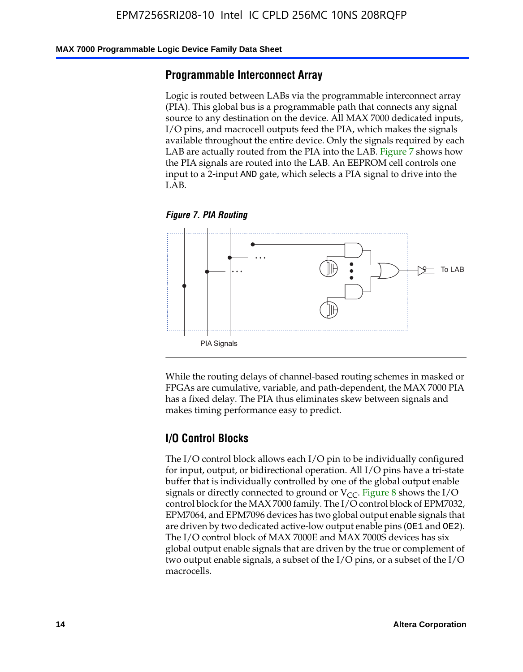#### **MAX 7000 Programmable Logic Device Family Data Sheet**

### **Programmable Interconnect Array**

Logic is routed between LABs via the programmable interconnect array (PIA). This global bus is a programmable path that connects any signal source to any destination on the device. All MAX 7000 dedicated inputs, I/O pins, and macrocell outputs feed the PIA, which makes the signals available throughout the entire device. Only the signals required by each LAB are actually routed from the PIA into the LAB. Figure 7 shows how the PIA signals are routed into the LAB. An EEPROM cell controls one input to a 2-input AND gate, which selects a PIA signal to drive into the LAB.





While the routing delays of channel-based routing schemes in masked or FPGAs are cumulative, variable, and path-dependent, the MAX 7000 PIA has a fixed delay. The PIA thus eliminates skew between signals and makes timing performance easy to predict.

### **I/O Control Blocks**

The I/O control block allows each I/O pin to be individually configured for input, output, or bidirectional operation. All I/O pins have a tri-state buffer that is individually controlled by one of the global output enable signals or directly connected to ground or  $V_{CC}$ . Figure 8 shows the I/O control block for the MAX 7000 family. The I/O control block of EPM7032, EPM7064, and EPM7096 devices has two global output enable signals that are driven by two dedicated active-low output enable pins (OE1 and OE2). The I/O control block of MAX 7000E and MAX 7000S devices has six global output enable signals that are driven by the true or complement of two output enable signals, a subset of the I/O pins, or a subset of the I/O macrocells.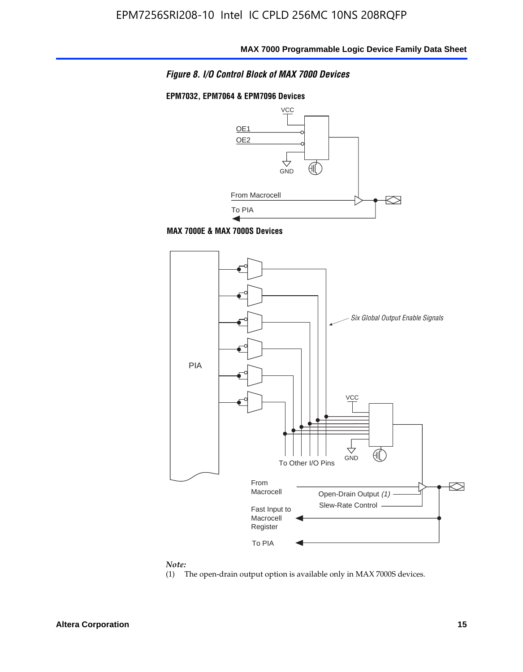

### **EPM7032, EPM7064 & EPM7096 Devices**







#### *Note:*

(1) The open-drain output option is available only in MAX 7000S devices.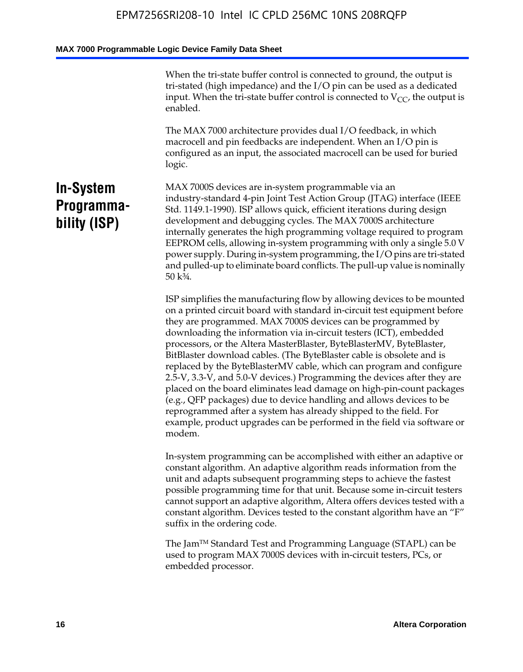When the tri-state buffer control is connected to ground, the output is tri-stated (high impedance) and the I/O pin can be used as a dedicated input. When the tri-state buffer control is connected to  $V_{CC}$ , the output is enabled.

The MAX 7000 architecture provides dual I/O feedback, in which macrocell and pin feedbacks are independent. When an I/O pin is configured as an input, the associated macrocell can be used for buried logic.

## **In-System Programmability (ISP)**

MAX 7000S devices are in-system programmable via an industry-standard 4-pin Joint Test Action Group (JTAG) interface (IEEE Std. 1149.1-1990). ISP allows quick, efficient iterations during design development and debugging cycles. The MAX 7000S architecture internally generates the high programming voltage required to program EEPROM cells, allowing in-system programming with only a single 5.0 V power supply. During in-system programming, the I/O pins are tri-stated and pulled-up to eliminate board conflicts. The pull-up value is nominally 50 k¾.

ISP simplifies the manufacturing flow by allowing devices to be mounted on a printed circuit board with standard in-circuit test equipment before they are programmed. MAX 7000S devices can be programmed by downloading the information via in-circuit testers (ICT), embedded processors, or the Altera MasterBlaster, ByteBlasterMV, ByteBlaster, BitBlaster download cables. (The ByteBlaster cable is obsolete and is replaced by the ByteBlasterMV cable, which can program and configure 2.5-V, 3.3-V, and 5.0-V devices.) Programming the devices after they are placed on the board eliminates lead damage on high-pin-count packages (e.g., QFP packages) due to device handling and allows devices to be reprogrammed after a system has already shipped to the field. For example, product upgrades can be performed in the field via software or modem.

In-system programming can be accomplished with either an adaptive or constant algorithm. An adaptive algorithm reads information from the unit and adapts subsequent programming steps to achieve the fastest possible programming time for that unit. Because some in-circuit testers cannot support an adaptive algorithm, Altera offers devices tested with a constant algorithm. Devices tested to the constant algorithm have an "F" suffix in the ordering code.

The Jam™ Standard Test and Programming Language (STAPL) can be used to program MAX 7000S devices with in-circuit testers, PCs, or embedded processor.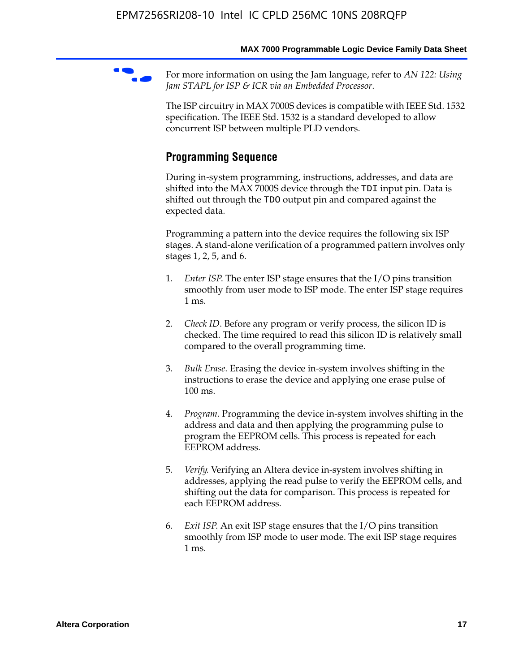For more information on using the Jam language, refer to *AN* 122: Using *Jam STAPL for ISP & ICR via an Embedded Processor*.

The ISP circuitry in MAX 7000S devices is compatible with IEEE Std. 1532 specification. The IEEE Std. 1532 is a standard developed to allow concurrent ISP between multiple PLD vendors.

## **Programming Sequence**

During in-system programming, instructions, addresses, and data are shifted into the MAX 7000S device through the TDI input pin. Data is shifted out through the TDO output pin and compared against the expected data.

Programming a pattern into the device requires the following six ISP stages. A stand-alone verification of a programmed pattern involves only stages 1, 2, 5, and 6.

- 1. *Enter ISP*. The enter ISP stage ensures that the I/O pins transition smoothly from user mode to ISP mode. The enter ISP stage requires 1 ms.
- 2. *Check ID*. Before any program or verify process, the silicon ID is checked. The time required to read this silicon ID is relatively small compared to the overall programming time.
- 3. *Bulk Erase*. Erasing the device in-system involves shifting in the instructions to erase the device and applying one erase pulse of 100 ms.
- 4. *Program*. Programming the device in-system involves shifting in the address and data and then applying the programming pulse to program the EEPROM cells. This process is repeated for each EEPROM address.
- 5. *Verify*. Verifying an Altera device in-system involves shifting in addresses, applying the read pulse to verify the EEPROM cells, and shifting out the data for comparison. This process is repeated for each EEPROM address.
- 6. *Exit ISP*. An exit ISP stage ensures that the I/O pins transition smoothly from ISP mode to user mode. The exit ISP stage requires 1 ms.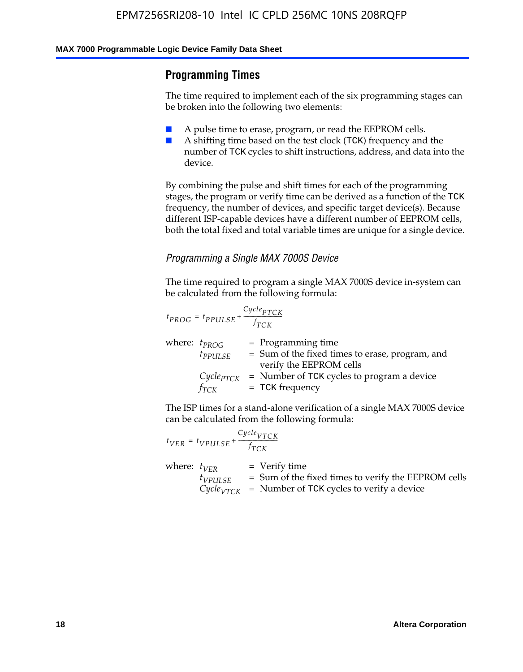## **Programming Times**

The time required to implement each of the six programming stages can be broken into the following two elements:

- A pulse time to erase, program, or read the EEPROM cells.
- A shifting time based on the test clock (TCK) frequency and the number of TCK cycles to shift instructions, address, and data into the device.

By combining the pulse and shift times for each of the programming stages, the program or verify time can be derived as a function of the TCK frequency, the number of devices, and specific target device(s). Because different ISP-capable devices have a different number of EEPROM cells, both the total fixed and total variable times are unique for a single device.

### *Programming a Single MAX 7000S Device*

The time required to program a single MAX 7000S device in-system can be calculated from the following formula:

$$
t_{PROG} = t_{PPULSE} + \frac{C_{ycle_{PTCK}}}{f_{TCK}}
$$
  
where:  $t_{PROG}$  = Programming time  
 $t_{PPULSE}$  = Sum of the fixed times to erase, program, and  
verify the EEPROM cells  
 $C_{ycle_{PTCK}}$  = Number of TCK cycles to program a device  
 $f_{TCK}$  = TCK frequency

The ISP times for a stand-alone verification of a single MAX 7000S device can be calculated from the following formula:

|                  | $t_{VER} = t_{VPULSE} + \frac{Cycle_{VTCK}}{f_{TCK}}$ |                                                                                                                                 |
|------------------|-------------------------------------------------------|---------------------------------------------------------------------------------------------------------------------------------|
| where: $t_{VFR}$ | $t_{VPULSE}$                                          | = Verify time<br>$=$ Sum of the fixed times to verify the EEPROM cells<br>$CycleVTCK$ = Number of TCK cycles to verify a device |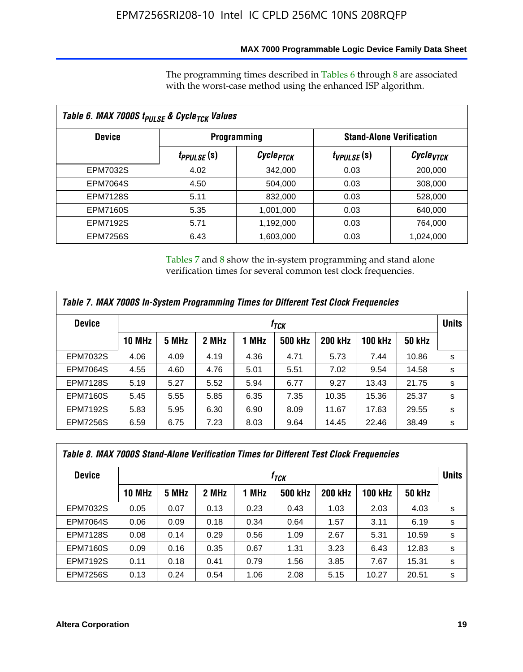## **MAX 7000 Programmable Logic Device Family Data Sheet**

The programming times described in Tables 6 through 8 are associated with the worst-case method using the enhanced ISP algorithm.

| Table 6. MAX 7000S t <sub>PULSE</sub> & Cycle <sub>TCK</sub> Values |                               |                       |                 |                                 |  |  |  |
|---------------------------------------------------------------------|-------------------------------|-----------------------|-----------------|---------------------------------|--|--|--|
| <b>Device</b>                                                       |                               | <b>Programming</b>    |                 | <b>Stand-Alone Verification</b> |  |  |  |
|                                                                     | <i>t<sub>PPULSE</sub></i> (S) | Cycle <sub>PTCK</sub> | $t_{VPULSE}(s)$ | Cycle <sub>VTCK</sub>           |  |  |  |
| EPM7032S                                                            | 4.02                          | 342,000               | 0.03            | 200,000                         |  |  |  |
| <b>EPM7064S</b>                                                     | 4.50                          | 504.000               | 0.03            | 308,000                         |  |  |  |
| <b>EPM7128S</b>                                                     | 5.11                          | 832,000               | 0.03            | 528,000                         |  |  |  |
| <b>EPM7160S</b>                                                     | 5.35                          | 1,001,000             | 0.03            | 640,000                         |  |  |  |
| <b>EPM7192S</b>                                                     | 5.71                          | 1,192,000             | 0.03            | 764,000                         |  |  |  |
| <b>EPM7256S</b>                                                     | 6.43                          | 1,603,000             | 0.03            | 1,024,000                       |  |  |  |

Tables 7 and 8 show the in-system programming and stand alone verification times for several common test clock frequencies.

| Table 7. MAX 7000S In-System Programming Times for Different Test Clock Frequencies |               |       |       |       |                    |                |                |               |              |
|-------------------------------------------------------------------------------------|---------------|-------|-------|-------|--------------------|----------------|----------------|---------------|--------------|
| <b>Device</b>                                                                       |               |       |       |       | $t_{\textit{TCK}}$ |                |                |               | <b>Units</b> |
|                                                                                     | <b>10 MHz</b> | 5 MHz | 2 MHz | 1 MHz | <b>500 kHz</b>     | <b>200 kHz</b> | <b>100 kHz</b> | <b>50 kHz</b> |              |
| <b>EPM7032S</b>                                                                     | 4.06          | 4.09  | 4.19  | 4.36  | 4.71               | 5.73           | 7.44           | 10.86         | s            |
| <b>EPM7064S</b>                                                                     | 4.55          | 4.60  | 4.76  | 5.01  | 5.51               | 7.02           | 9.54           | 14.58         | s            |
| <b>EPM7128S</b>                                                                     | 5.19          | 5.27  | 5.52  | 5.94  | 6.77               | 9.27           | 13.43          | 21.75         | s            |
| <b>EPM7160S</b>                                                                     | 5.45          | 5.55  | 5.85  | 6.35  | 7.35               | 10.35          | 15.36          | 25.37         | s            |
| <b>EPM7192S</b>                                                                     | 5.83          | 5.95  | 6.30  | 6.90  | 8.09               | 11.67          | 17.63          | 29.55         | s            |
| <b>EPM7256S</b>                                                                     | 6.59          | 6.75  | 7.23  | 8.03  | 9.64               | 14.45          | 22.46          | 38.49         | s            |

| Table 8. MAX 7000S Stand-Alone Verification Times for Different Test Clock Frequencies |               |       |       |       |                  |                |                |               |              |
|----------------------------------------------------------------------------------------|---------------|-------|-------|-------|------------------|----------------|----------------|---------------|--------------|
| <b>Device</b>                                                                          |               |       |       |       | f <sub>тск</sub> |                |                |               | <b>Units</b> |
|                                                                                        | <b>10 MHz</b> | 5 MHz | 2 MHz | 1 MHz | <b>500 kHz</b>   | <b>200 kHz</b> | <b>100 kHz</b> | <b>50 kHz</b> |              |
| EPM7032S                                                                               | 0.05          | 0.07  | 0.13  | 0.23  | 0.43             | 1.03           | 2.03           | 4.03          | s            |
| <b>EPM7064S</b>                                                                        | 0.06          | 0.09  | 0.18  | 0.34  | 0.64             | 1.57           | 3.11           | 6.19          | s            |
| <b>EPM7128S</b>                                                                        | 0.08          | 0.14  | 0.29  | 0.56  | 1.09             | 2.67           | 5.31           | 10.59         | s            |
| <b>EPM7160S</b>                                                                        | 0.09          | 0.16  | 0.35  | 0.67  | 1.31             | 3.23           | 6.43           | 12.83         | s            |
| <b>EPM7192S</b>                                                                        | 0.11          | 0.18  | 0.41  | 0.79  | 1.56             | 3.85           | 7.67           | 15.31         | s            |
| <b>EPM7256S</b>                                                                        | 0.13          | 0.24  | 0.54  | 1.06  | 2.08             | 5.15           | 10.27          | 20.51         | s            |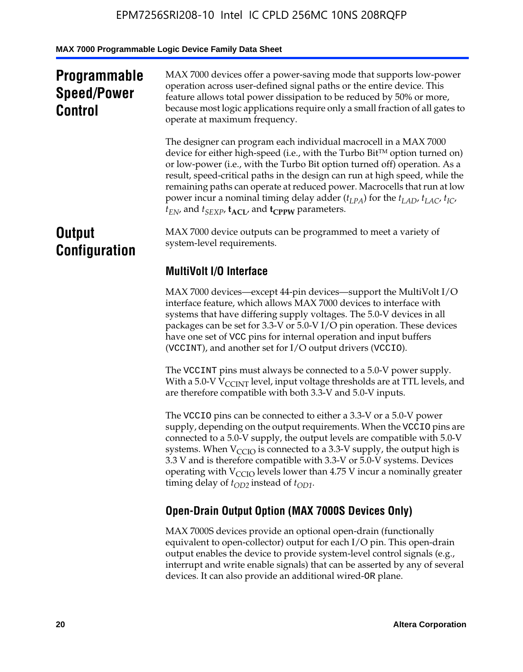## **Programmable Speed/Power Control**

MAX 7000 devices offer a power-saving mode that supports low-power operation across user-defined signal paths or the entire device. This feature allows total power dissipation to be reduced by 50% or more, because most logic applications require only a small fraction of all gates to operate at maximum frequency.

The designer can program each individual macrocell in a MAX 7000 device for either high-speed (i.e., with the Turbo  $Bit^{TM}$  option turned on) or low-power (i.e., with the Turbo Bit option turned off) operation. As a result, speed-critical paths in the design can run at high speed, while the remaining paths can operate at reduced power. Macrocells that run at low power incur a nominal timing delay adder  $(t_{LPA})$  for the  $t_{LAD}$ ,  $t_{LAC}$ ,  $t_{IC}$ ,  $t_{EN}$ , and  $t_{SEXP}$ ,  $t_{ACL}$ , and  $t_{CPPW}$  parameters.

## **Output Configuration**

MAX 7000 device outputs can be programmed to meet a variety of system-level requirements.

## **MultiVolt I/O Interface**

MAX 7000 devices—except 44-pin devices—support the MultiVolt I/O interface feature, which allows MAX 7000 devices to interface with systems that have differing supply voltages. The 5.0-V devices in all packages can be set for 3.3-V or 5.0-V I/O pin operation. These devices have one set of VCC pins for internal operation and input buffers (VCCINT), and another set for I/O output drivers (VCCIO).

The VCCINT pins must always be connected to a 5.0-V power supply. With a 5.0-V  $V_{\text{CCINT}}$  level, input voltage thresholds are at TTL levels, and are therefore compatible with both 3.3-V and 5.0-V inputs.

The VCCIO pins can be connected to either a 3.3-V or a 5.0-V power supply, depending on the output requirements. When the VCCIO pins are connected to a 5.0-V supply, the output levels are compatible with 5.0-V systems. When  $V_{\text{CGO}}$  is connected to a 3.3-V supply, the output high is 3.3 V and is therefore compatible with 3.3-V or 5.0-V systems. Devices operating with  $V_{\text{CCIO}}$  levels lower than 4.75 V incur a nominally greater timing delay of  $t_{OD2}$  instead of  $t_{OD1}$ .

## **Open-Drain Output Option (MAX 7000S Devices Only)**

MAX 7000S devices provide an optional open-drain (functionally equivalent to open-collector) output for each I/O pin. This open-drain output enables the device to provide system-level control signals (e.g., interrupt and write enable signals) that can be asserted by any of several devices. It can also provide an additional wired-OR plane.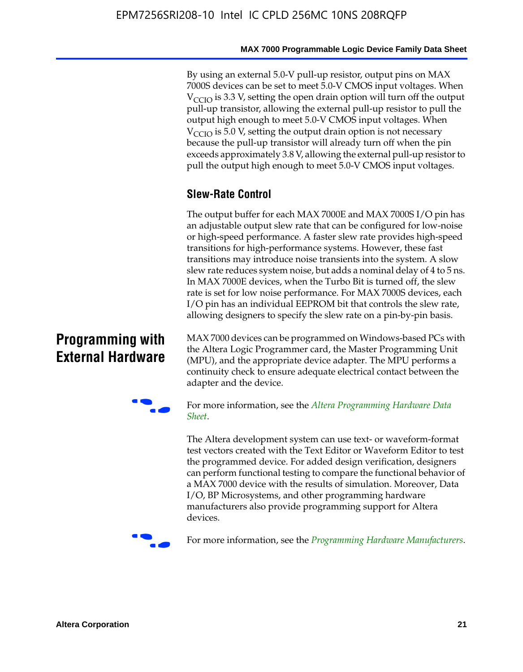By using an external 5.0-V pull-up resistor, output pins on MAX 7000S devices can be set to meet 5.0-V CMOS input voltages. When  $V_{\text{CCIO}}$  is 3.3 V, setting the open drain option will turn off the output pull-up transistor, allowing the external pull-up resistor to pull the output high enough to meet 5.0-V CMOS input voltages. When  $V_{\text{CCIO}}$  is 5.0 V, setting the output drain option is not necessary because the pull-up transistor will already turn off when the pin exceeds approximately 3.8 V, allowing the external pull-up resistor to pull the output high enough to meet 5.0-V CMOS input voltages.

## **Slew-Rate Control**

The output buffer for each MAX 7000E and MAX 7000S I/O pin has an adjustable output slew rate that can be configured for low-noise or high-speed performance. A faster slew rate provides high-speed transitions for high-performance systems. However, these fast transitions may introduce noise transients into the system. A slow slew rate reduces system noise, but adds a nominal delay of 4 to 5 ns. In MAX 7000E devices, when the Turbo Bit is turned off, the slew rate is set for low noise performance. For MAX 7000S devices, each I/O pin has an individual EEPROM bit that controls the slew rate, allowing designers to specify the slew rate on a pin-by-pin basis.

## **Programming with External Hardware**

[MAX](http://www.altera.com/literature/ds/dspghd.pdf) 7000 devices can be prog[rammed on Windows-based PCs with](http://www.altera.com/literature/ds/dspghd.pdf)  the Altera Logic Programmer card, the Master Programming Unit (MPU), and the appropriate device adapter. The MPU performs a continuity check to ensure adequate electrical contact between the adapter and the device.



For more information, see the *Altera Programming Hardware Data Sheet*.

The Altera development system can use text- or waveform-format test vectors created with the Text Editor or Waveform Editor to test the programmed device. For added design verification, designers can perform functional testing to compare the functional behavior of a MAX 7000 device with the results of simulation. Moreover, Data I/O, BP Microsystems, and other programming hardware manufacturers also provide programming support for Altera devices.



For more information, see the *Programming Hardware Manufacturers*.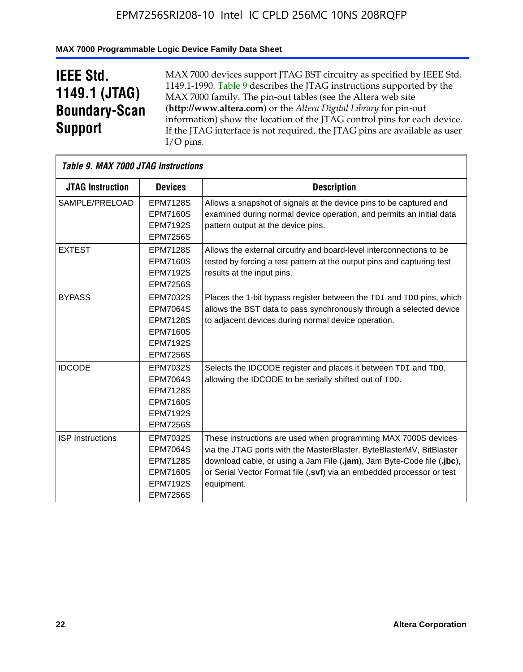## **MAX 7000 Programmable Logic Device Family Data Sheet**

## **IEEE Std. 1149.1 (JTAG) Boundary-Scan Support**

 $\mathsf{r}$ 

MAX 7000 devices support JTAG BST circuitry as specified by IEEE Std. 1149.1-1990. Table 9 describes the JTAG instructions supported by the MAX 7000 family. The pin-out tables (see the Altera web site (**http://www.altera.com**) or the *Altera Digital Library* for pin-out information) show the location of the JTAG control pins for each device. If the JTAG interface is not required, the JTAG pins are available as user I/O pins.

| Table 9. MAX 7000 JTAG Instructions |                                                                                                                |                                                                                                                                                                                                                                                                                                         |  |  |  |  |
|-------------------------------------|----------------------------------------------------------------------------------------------------------------|---------------------------------------------------------------------------------------------------------------------------------------------------------------------------------------------------------------------------------------------------------------------------------------------------------|--|--|--|--|
| <b>JTAG Instruction</b>             | <b>Devices</b>                                                                                                 | <b>Description</b>                                                                                                                                                                                                                                                                                      |  |  |  |  |
| SAMPLE/PRELOAD                      | <b>EPM7128S</b><br><b>EPM7160S</b><br><b>EPM7192S</b>                                                          | Allows a snapshot of signals at the device pins to be captured and<br>examined during normal device operation, and permits an initial data<br>pattern output at the device pins.                                                                                                                        |  |  |  |  |
|                                     | <b>EPM7256S</b>                                                                                                |                                                                                                                                                                                                                                                                                                         |  |  |  |  |
| <b>EXTEST</b>                       | <b>EPM7128S</b><br><b>EPM7160S</b><br><b>EPM7192S</b><br><b>EPM7256S</b>                                       | Allows the external circuitry and board-level interconnections to be<br>tested by forcing a test pattern at the output pins and capturing test<br>results at the input pins.                                                                                                                            |  |  |  |  |
| <b>BYPASS</b>                       | EPM7032S<br><b>EPM7064S</b><br><b>EPM7128S</b><br><b>EPM7160S</b><br><b>EPM7192S</b><br><b>EPM7256S</b>        | Places the 1-bit bypass register between the TDI and TDO pins, which<br>allows the BST data to pass synchronously through a selected device<br>to adjacent devices during normal device operation.                                                                                                      |  |  |  |  |
| <b>IDCODE</b>                       | EPM7032S<br><b>EPM7064S</b><br><b>EPM7128S</b><br><b>EPM7160S</b><br><b>EPM7192S</b><br><b>EPM7256S</b>        | Selects the IDCODE register and places it between TDI and TDO,<br>allowing the IDCODE to be serially shifted out of TDO.                                                                                                                                                                                |  |  |  |  |
| <b>ISP Instructions</b>             | <b>EPM7032S</b><br><b>EPM7064S</b><br><b>EPM7128S</b><br><b>EPM7160S</b><br><b>EPM7192S</b><br><b>EPM7256S</b> | These instructions are used when programming MAX 7000S devices<br>via the JTAG ports with the MasterBlaster, ByteBlasterMV, BitBlaster<br>download cable, or using a Jam File (.jam), Jam Byte-Code file (.jbc),<br>or Serial Vector Format file (.svf) via an embedded processor or test<br>equipment. |  |  |  |  |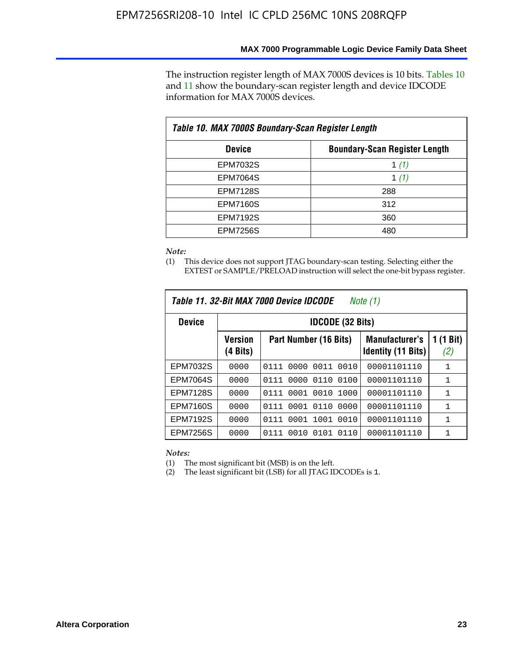The instruction register length of MAX 7000S devices is 10 bits. Tables 10 and 11 show the boundary-scan register length and device IDCODE information for MAX 7000S devices.

| Table 10. MAX 7000S Boundary-Scan Register Length |                                      |  |  |  |  |  |
|---------------------------------------------------|--------------------------------------|--|--|--|--|--|
| <b>Device</b>                                     | <b>Boundary-Scan Register Length</b> |  |  |  |  |  |
| <b>EPM7032S</b>                                   | 1 $(1)$                              |  |  |  |  |  |
| <b>EPM7064S</b>                                   | 1 $(1)$                              |  |  |  |  |  |
| <b>EPM7128S</b>                                   | 288                                  |  |  |  |  |  |
| <b>EPM7160S</b>                                   | 312                                  |  |  |  |  |  |
| <b>EPM7192S</b>                                   | 360                                  |  |  |  |  |  |
| <b>EPM7256S</b>                                   | 480                                  |  |  |  |  |  |

*Note:*

(1) This device does not support JTAG boundary-scan testing. Selecting either the EXTEST or SAMPLE/PRELOAD instruction will select the one-bit bypass register.

|                 |                            | Table 11, 32-Bit MAX 7000 Device IDCODE | Note (1)                                           |                  |  |  |  |
|-----------------|----------------------------|-----------------------------------------|----------------------------------------------------|------------------|--|--|--|
| <b>Device</b>   |                            | <b>IDCODE (32 Bits)</b>                 |                                                    |                  |  |  |  |
|                 | <b>Version</b><br>(4 Bits) | Part Number (16 Bits)                   | <b>Manufacturer's</b><br><b>Identity (11 Bits)</b> | 1 (1 Bit)<br>(2) |  |  |  |
| EPM7032S        | 0000                       | 0010<br>0111<br>0000<br>0011            | 00001101110                                        | 1                |  |  |  |
| <b>EPM7064S</b> | 0000                       | 0000<br>0110<br>0100<br>0111            | 00001101110                                        | 1                |  |  |  |
| <b>EPM7128S</b> | 0000                       | 0001 0010<br>1000<br>0111               | 00001101110                                        | 1                |  |  |  |
| <b>EPM7160S</b> | 0000                       | 0001<br>0110<br>0000<br>0111            | 00001101110                                        | $\mathbf{1}$     |  |  |  |
| <b>EPM7192S</b> | 0000                       | 1001<br>0010<br>0111<br>0001            | 00001101110                                        | 1                |  |  |  |
| EPM7256S        | 0000                       | 0111<br>0010<br>0101<br>0110            | 00001101110                                        | 1                |  |  |  |

*Notes:*

(1) The most significant bit (MSB) is on the left.

(2) The least significant bit (LSB) for all JTAG IDCODEs is 1.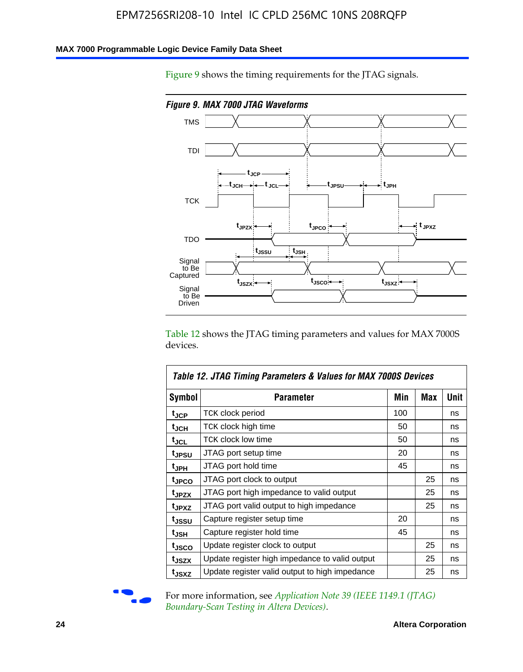### **MAX 7000 Programmable Logic Device Family Data Sheet**

Figure 9 shows the timing requirements for the JTAG signals.



Table 12 shows the JTAG timing parameters and values for MAX 7000S devices.

|                   | Table 12. JTAG Timing Parameters & Values for MAX 7000S Devices |     |            |      |
|-------------------|-----------------------------------------------------------------|-----|------------|------|
| <b>Symbol</b>     | Parameter                                                       | Min | <b>Max</b> | Unit |
| t <sub>JCP</sub>  | TCK clock period                                                | 100 |            | ns   |
| t <sub>JCH</sub>  | TCK clock high time                                             | 50  |            | ns   |
| t <sub>JCL</sub>  | <b>TCK clock low time</b>                                       | 50  |            | ns   |
| t <sub>JPSU</sub> | JTAG port setup time                                            | 20  |            | ns   |
| t <sub>JPH</sub>  | JTAG port hold time                                             | 45  |            | ns   |
| t <sub>JPCO</sub> | JTAG port clock to output                                       |     | 25         | ns   |
| t <sub>JPZX</sub> | JTAG port high impedance to valid output                        |     | 25         | ns   |
| t <sub>JPXZ</sub> | JTAG port valid output to high impedance                        |     | 25         | ns   |
| t <sub>JSSU</sub> | Capture register setup time                                     | 20  |            | ns   |
| t <sub>JSH</sub>  | Capture register hold time                                      | 45  |            | ns   |
| t <sub>JSCO</sub> | Update register clock to output                                 |     | 25         | ns   |
| t <sub>JSZX</sub> | Update register high impedance to valid output                  |     | 25         | ns   |
| t <sub>JSXZ</sub> | Update register valid output to high impedance                  |     | 25         | ns   |



For more information, see *Application Note 39 (IEEE 1149.1 (JTAG) Boundary-Scan Testing in Altera Devices)*.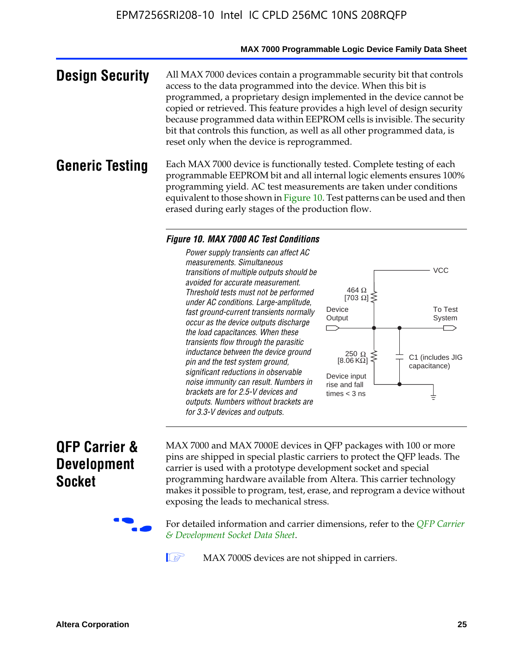#### **MAX 7000 Programmable Logic Device Family Data Sheet**

**Design Security** All MAX 7000 devices contain a programmable security bit that controls access to the data programmed into the device. When this bit is programmed, a proprietary design implemented in the device cannot be copied or retrieved. This feature provides a high level of design security because programmed data within EEPROM cells is invisible. The security bit that controls this function, as well as all other programmed data, is reset only when the device is reprogrammed.

### **Generic Testing** Each MAX 7000 device is functionally tested. Complete testing of each programmable EEPROM bit and all internal logic elements ensures 100% programming yield. AC test measurements are taken under conditions equivalent to those shown in Figure 10. Test patterns can be used and then erased during early stages of the production flow.

#### *Figure 10. MAX 7000 AC Test Conditions*

*Power supply transients can affect AC measurements. Simultaneous transitions of multiple outputs should be avoided for accurate measurement. Threshold tests must not be performed under AC conditions. Large-amplitude, fast ground-current transients normally occur as the device outputs discharge the load capacitances. When these transients flow through the parasitic inductance between the device ground pin and the test system ground, significant reductions in observable noise immunity can result. Numbers in brackets are for 2.5-V devices and outputs. Numbers without brackets are for 3.3-V devices and outputs.*



## **QFP Carrier & Development Socket**

MAX 7000 and MAX 7000E devices in QFP packages with 10[0 or more](http://www.altera.com/literature/ds/dsqfp.pdf)  [pins are shipped in special plas](http://www.altera.com/literature/ds/dsqfp.pdf)tic carriers to protect the QFP leads. The carrier is used with a prototype development socket and special programming hardware available from Altera. This carrier technology makes it possible to program, test, erase, and reprogram a device without exposing the leads to mechanical stress.

For detailed information and carrier dimensions, refer to the *QFP Carrier & Development Socket Data Sheet*.

MAX 7000S devices are not shipped in carriers.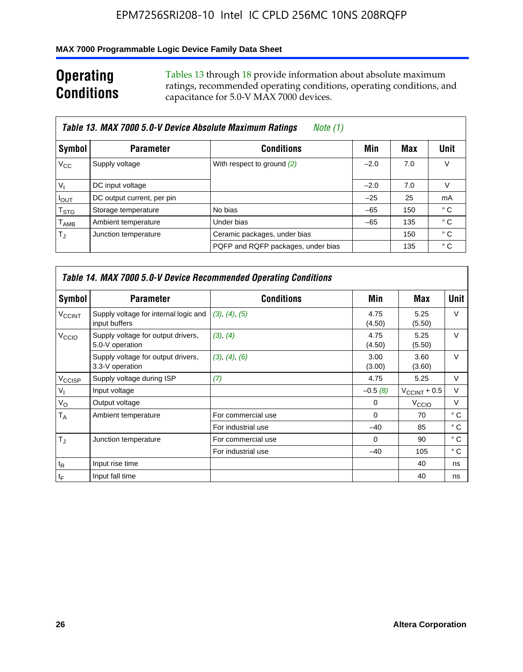### **MAX 7000 Programmable Logic Device Family Data Sheet**

## **Operating Conditions**

Tables 13 through 18 provide information about absolute maximum ratings, recommended operating conditions, operating conditions, and capacitance for 5.0-V MAX 7000 devices.

|                             | Table 13. MAX 7000 5.0-V Device Absolute Maximum Ratings<br>Note (1) |                                    |        |     |              |
|-----------------------------|----------------------------------------------------------------------|------------------------------------|--------|-----|--------------|
| Symbol                      | <b>Parameter</b>                                                     | <b>Conditions</b>                  | Min    | Max | <b>Unit</b>  |
| $V_{\rm CC}$                | Supply voltage                                                       | With respect to ground (2)         | $-2.0$ | 7.0 | V            |
| $V_{1}$                     | DC input voltage                                                     |                                    | $-2.0$ | 7.0 | V            |
| $I_{\text{OUT}}$            | DC output current, per pin                                           |                                    | $-25$  | 25  | mA           |
| $\mathsf{T}_{\text{STG}}$   | Storage temperature                                                  | No bias                            | $-65$  | 150 | ° C          |
| $\mathsf{T}_{\mathsf{AMB}}$ | Ambient temperature                                                  | Under bias                         | $-65$  | 135 | ° C          |
| $\mathsf{T}_A$              | Junction temperature                                                 | Ceramic packages, under bias       |        | 150 | $^{\circ}$ C |
|                             |                                                                      | PQFP and RQFP packages, under bias |        | 135 | ° C          |

|                          |                                                        | Table 14. MAX 7000 5.0-V Device Recommended Operating Conditions |                |                          |              |
|--------------------------|--------------------------------------------------------|------------------------------------------------------------------|----------------|--------------------------|--------------|
| Symbol                   | <b>Parameter</b>                                       | <b>Conditions</b>                                                | Min            | Max                      | Unit         |
| <b>V<sub>CCINT</sub></b> | Supply voltage for internal logic and<br>input buffers | (3), (4), (5)                                                    | 4.75<br>(4.50) | 5.25<br>(5.50)           | $\vee$       |
| V <sub>CCIO</sub>        | Supply voltage for output drivers,<br>5.0-V operation  | (3), (4)                                                         | 4.75<br>(4.50) | 5.25<br>(5.50)           | $\vee$       |
|                          | Supply voltage for output drivers,<br>3.3-V operation  | (3), (4), (6)                                                    | 3.00<br>(3.00) | 3.60<br>(3.60)           | $\vee$       |
| V <sub>CCISP</sub>       | Supply voltage during ISP                              | (7)                                                              | 4.75           | 5.25                     | V            |
| $V_{1}$                  | Input voltage                                          |                                                                  | $-0.5(8)$      | $V_{\text{CCINT}} + 0.5$ | $\vee$       |
| $V_{\rm O}$              | Output voltage                                         |                                                                  | 0              | V <sub>CCIO</sub>        | V            |
| T <sub>A</sub>           | Ambient temperature                                    | For commercial use                                               | $\Omega$       | 70                       | $^{\circ}$ C |
|                          |                                                        | For industrial use                                               | $-40$          | 85                       | ° C          |
| $T_{\rm d}$              | Junction temperature                                   | For commercial use                                               | $\Omega$       | 90                       | ° C          |
|                          |                                                        | For industrial use                                               | $-40$          | 105                      | $^{\circ}$ C |
| $t_{R}$                  | Input rise time                                        |                                                                  |                | 40                       | ns           |
| $t_F$                    | Input fall time                                        |                                                                  |                | 40                       | ns           |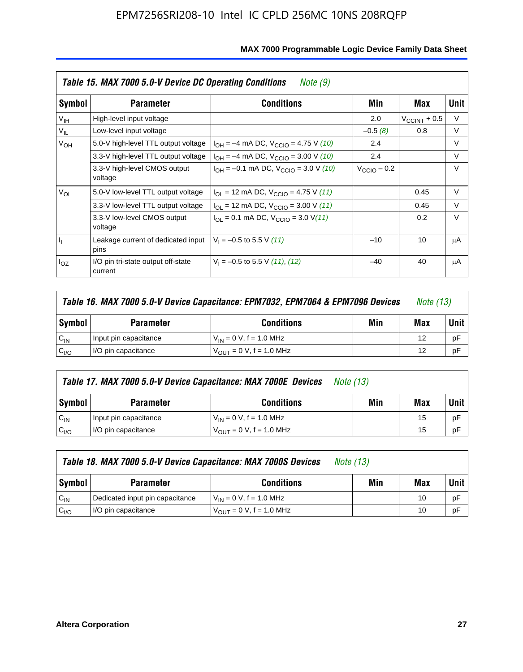|                 | Table 15. MAX 7000 5.0-V Device DC Operating Conditions | Note (9)                                                                  |                         |                          |        |
|-----------------|---------------------------------------------------------|---------------------------------------------------------------------------|-------------------------|--------------------------|--------|
| Symbol          | <b>Parameter</b>                                        | <b>Conditions</b>                                                         | Min                     | Max                      | Unit   |
| V <sub>IH</sub> | High-level input voltage                                |                                                                           | 2.0                     | $V_{\text{CCINT}} + 0.5$ | V      |
| $V_{IL}$        | Low-level input voltage                                 |                                                                           | $-0.5(8)$               | 0.8                      | V      |
| $V_{OH}$        | 5.0-V high-level TTL output voltage                     | $I_{OH} = -4$ mA DC, $V_{CClO} = 4.75$ V (10)                             | 2.4                     |                          | $\vee$ |
|                 | 3.3-V high-level TTL output voltage                     | $I_{OH} = -4$ mA DC, $V_{CCIO} = 3.00$ V (10)                             | 2.4                     |                          | $\vee$ |
|                 | 3.3-V high-level CMOS output<br>voltage                 | $I_{OH} = -0.1$ mA DC, $V_{CClO} = 3.0$ V (10)                            | $V_{\text{CClO}}$ – 0.2 |                          | $\vee$ |
| $V_{OL}$        | 5.0-V low-level TTL output voltage                      | $I_{\text{OI}}$ = 12 mA DC, $V_{\text{CCIO}}$ = 4.75 V (11)               |                         | 0.45                     | $\vee$ |
|                 | 3.3-V low-level TTL output voltage                      | $I_{OL}$ = 12 mA DC, $V_{CClO}$ = 3.00 V (11)                             |                         | 0.45                     | V      |
|                 | 3.3-V low-level CMOS output<br>voltage                  | $I_{\text{OI}} = 0.1 \text{ mA DC}, V_{\text{CCIO}} = 3.0 \text{ V} (11)$ |                         | 0.2                      | $\vee$ |
| 4               | Leakage current of dedicated input<br>pins              | $V_1 = -0.5$ to 5.5 V (11)                                                | $-10$                   | 10                       | μA     |
| $I_{OZ}$        | I/O pin tri-state output off-state<br>current           | $V_1 = -0.5$ to 5.5 V (11), (12)                                          | $-40$                   | 40                       | μA     |

|                  | Table 16. MAX 7000 5.0-V Device Capacitance: EPM7032, EPM7064 & EPM7096 Devices<br><i>Note (13)</i> |                                     |  |    |             |
|------------------|-----------------------------------------------------------------------------------------------------|-------------------------------------|--|----|-------------|
| Symbol           | Min<br><b>Conditions</b><br><b>Parameter</b>                                                        |                                     |  |    | <b>Unit</b> |
| $C_{IN}$         | Input pin capacitance                                                                               | $V_{IN} = 0 V$ , f = 1.0 MHz        |  | 12 | рF          |
| C <sub>I/O</sub> | I/O pin capacitance                                                                                 | $V_{\text{OUT}} = 0$ V, f = 1.0 MHz |  | 12 | рF          |

|                  | Table 17. MAX 7000 5.0-V Device Capacitance: MAX 7000E Devices<br><i>Note (13)</i> |                                |     |     |        |  |
|------------------|------------------------------------------------------------------------------------|--------------------------------|-----|-----|--------|--|
| Symbol           | <b>Parameter</b>                                                                   | <b>Conditions</b>              | Min | Max | Unit I |  |
| $C_{IN}$         | Input pin capacitance                                                              | $V_{1N} = 0 V$ , f = 1.0 MHz   |     | 15  | pF     |  |
| C <sub>I/O</sub> | I/O pin capacitance                                                                | $V_{OIII} = 0 V$ , f = 1.0 MHz |     | 15  | pF     |  |

|                  | Table 18. MAX 7000 5.0-V Device Capacitance: MAX 7000S Devices | <i>Note (13)</i>                    |     |     |        |
|------------------|----------------------------------------------------------------|-------------------------------------|-----|-----|--------|
| Symbol           | <b>Parameter</b>                                               | <b>Conditions</b>                   | Min | Max | Unit I |
| $C_{IN}$         | Dedicated input pin capacitance                                | $V_{IN} = 0 V$ , f = 1.0 MHz        |     | 10  | pF     |
| C <sub>I/O</sub> | I/O pin capacitance                                            | $V_{\text{OUT}} = 0$ V, f = 1.0 MHz |     | 10  | pF     |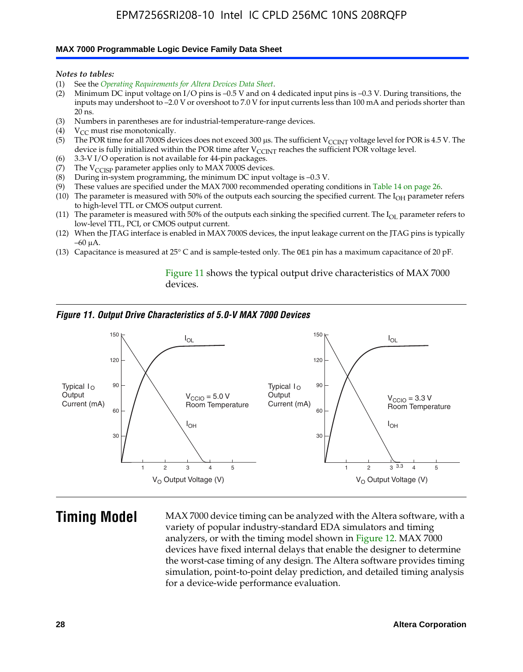#### **MAX 7000 Programmable Logic Device Family Data Sheet**

*Notes to tables:*

- (1) See the *Operating Requirements for Altera Devices Data Sheet*.
- (2) Minimum DC input voltage on I/O pins is –0.5 V and on 4 dedicated input pins is –0.3 V. During transitions, the inputs may undershoot to –2.0 V or overshoot to 7.0 V for input currents less than 100 mA and periods shorter than  $20$  ns.
- (3) Numbers in parentheses are for industrial-temperature-range devices.<br>(4)  $V_{CC}$  must rise monotonically.
- $V_{CC}$  must rise monotonically.
- (5) The POR time for all 7000S devices does not exceed 300 µs. The sufficient V<sub>CCINT</sub> voltage level for POR is 4.5 V. The device is fully initialized within the POR time after  $V_{\text{CCINT}}$  reaches the sufficient POR voltage level.
- (6) 3.3-V I/O operation is not available for 44-pin packages.
- (7) The  $V_{\text{CCISP}}$  parameter applies only to MAX 7000S devices.
- (8) During in-system programming, the minimum DC input voltage is –0.3 V.
- (9) These values are specified under the MAX 7000 recommended operating conditions in Table 14 on page 26.
- (10) The parameter is measured with 50% of the outputs each sourcing the specified current. The  $I_{OH}$  parameter refers to high-level TTL or CMOS output current.
- (11) The parameter is measured with 50% of the outputs each sinking the specified current. The  $I_{OL}$  parameter refers to low-level TTL, PCI, or CMOS output current.
- (12) When the JTAG interface is enabled in MAX 7000S devices, the input leakage current on the JTAG pins is typically –60 μA.
- (13) Capacitance is measured at 25° C and is sample-tested only. The OE1 pin has a maximum capacitance of 20 pF.

Figure 11 shows the typical output drive characteristics of MAX 7000 devices.

#### *Figure 11. Output Drive Characteristics of 5.0-V MAX 7000 Devices*



**Timing Model** MAX 7000 device timing can be analyzed with the Altera software, with a variety of popular industry-standard EDA simulators and timing analyzers, or with the timing model shown in Figure 12. MAX 7000 devices have fixed internal delays that enable the designer to determine the worst-case timing of any design. The Altera software provides timing simulation, point-to-point delay prediction, and detailed timing analysis for a device-wide performance evaluation.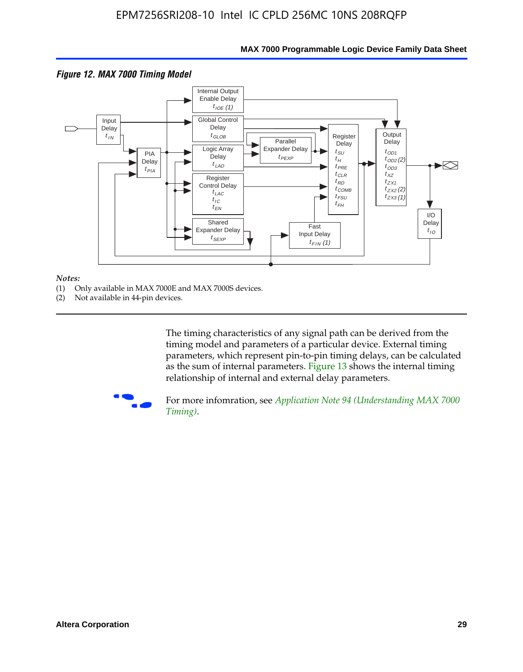

### **MAX 7000 Programmable Logic Device Family Data Sheet**

#### *Notes:*

- (1) Only available in MAX 7000E and MAX 7000S devices.
- (2) Not available in 44-pin devices.

[The tim](http://www.altera.com/literature/an/an094.pdf)ing characteristics [of any signal path can be derived from the](http://www.altera.com/literature/an/an094.pdf)  timing model and parameters of a particular device. External timing parameters, which represent pin-to-pin timing delays, can be calculated as the sum of internal parameters. Figure 13 shows the internal timing relationship of internal and external delay parameters.



For more infomration, see *Application Note 94 (Understanding MAX 7000 Timing)*.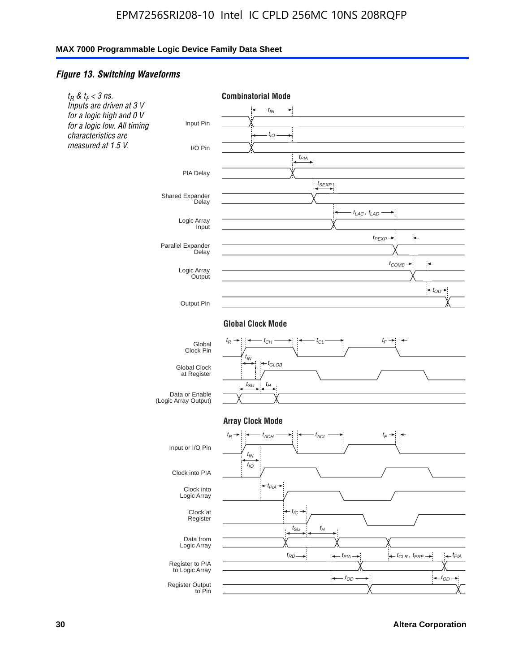### *Figure 13. Switching Waveforms*

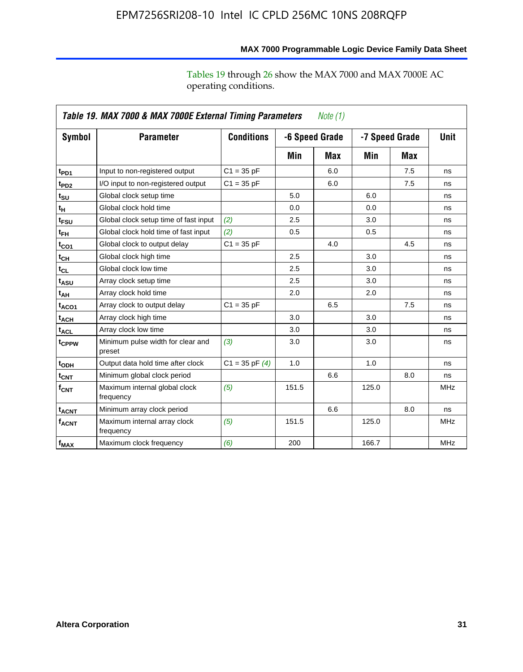operating conditions.

|                               | Table 19. MAX 7000 & MAX 7000E External Timing Parameters<br>Note (1) |                    |       |                |       |                |             |  |
|-------------------------------|-----------------------------------------------------------------------|--------------------|-------|----------------|-------|----------------|-------------|--|
| Symbol                        | <b>Parameter</b>                                                      | <b>Conditions</b>  |       | -6 Speed Grade |       | -7 Speed Grade | <b>Unit</b> |  |
|                               |                                                                       |                    | Min   | Max            | Min   | Max            |             |  |
| t <sub>PD1</sub>              | Input to non-registered output                                        | $C1 = 35 pF$       |       | 6.0            |       | 7.5            | ns          |  |
| t <sub>PD2</sub>              | I/O input to non-registered output                                    | $C1 = 35 pF$       |       | 6.0            |       | 7.5            | ns          |  |
| $t_{\scriptstyle\textrm{SU}}$ | Global clock setup time                                               |                    | 5.0   |                | 6.0   |                | ns          |  |
| $t_H$                         | Global clock hold time                                                |                    | 0.0   |                | 0.0   |                | ns          |  |
| t <sub>FSU</sub>              | Global clock setup time of fast input                                 | (2)                | 2.5   |                | 3.0   |                | ns          |  |
| $t_{FH}$                      | Global clock hold time of fast input                                  | (2)                | 0.5   |                | 0.5   |                | ns          |  |
| $t_{CO1}$                     | Global clock to output delay                                          | $C1 = 35 pF$       |       | 4.0            |       | 4.5            | ns          |  |
| $t_{CL}$                      | Global clock high time                                                |                    | 2.5   |                | 3.0   |                | ns          |  |
| $t_{CL}$                      | Global clock low time                                                 |                    | 2.5   |                | 3.0   |                | ns          |  |
| t <sub>ASU</sub>              | Array clock setup time                                                |                    | 2.5   |                | 3.0   |                | ns          |  |
| t <sub>АН</sub>               | Array clock hold time                                                 |                    | 2.0   |                | 2.0   |                | ns          |  |
| t <sub>ACO1</sub>             | Array clock to output delay                                           | $C1 = 35 pF$       |       | 6.5            |       | 7.5            | ns          |  |
| $t_{ACH}$                     | Array clock high time                                                 |                    | 3.0   |                | 3.0   |                | ns          |  |
| t <sub>ACL</sub>              | Array clock low time                                                  |                    | 3.0   |                | 3.0   |                | ns          |  |
| t <sub>CPPW</sub>             | Minimum pulse width for clear and<br>preset                           | (3)                | 3.0   |                | 3.0   |                | ns          |  |
| t <sub>ODH</sub>              | Output data hold time after clock                                     | $C1 = 35$ pF $(4)$ | 1.0   |                | 1.0   |                | ns          |  |
| $t_{\text{CNT}}$              | Minimum global clock period                                           |                    |       | 6.6            |       | 8.0            | ns          |  |
| $f_{\mathsf{CNT}}$            | Maximum internal global clock<br>frequency                            | (5)                | 151.5 |                | 125.0 |                | <b>MHz</b>  |  |
| <b>t<sub>ACNT</sub></b>       | Minimum array clock period                                            |                    |       | 6.6            |       | 8.0            | ns          |  |
| <b>f<sub>ACNT</sub></b>       | Maximum internal array clock<br>frequency                             | (5)                | 151.5 |                | 125.0 |                | <b>MHz</b>  |  |
| $f_{MAX}$                     | Maximum clock frequency                                               | (6)                | 200   |                | 166.7 |                | <b>MHz</b>  |  |

**MAX 7000 Programmable Logic Device Family Data Sheet**

Tables 19 through 26 show the MAX 7000 and MAX 7000E AC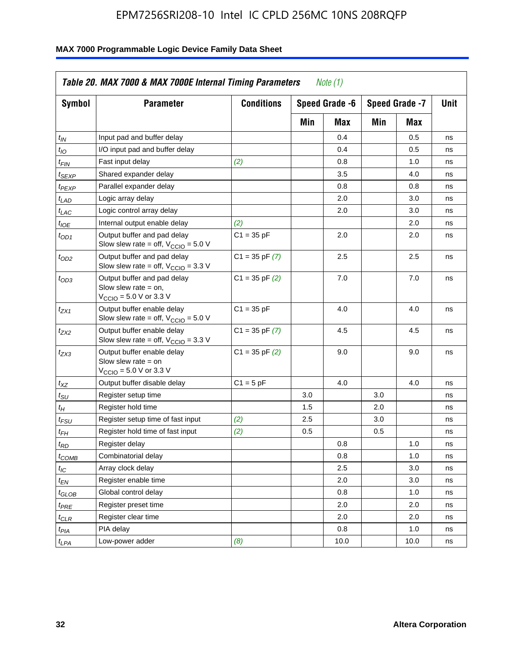| <b>Symbol</b>               | <b>Parameter</b>                                                                                             | <b>Conditions</b>  |     | Speed Grade -6 |     | Speed Grade -7 | Unit |
|-----------------------------|--------------------------------------------------------------------------------------------------------------|--------------------|-----|----------------|-----|----------------|------|
|                             |                                                                                                              |                    | Min | Max            | Min | Max            |      |
| $t_{IN}$                    | Input pad and buffer delay                                                                                   |                    |     | 0.4            |     | 0.5            | ns   |
| $t_{IO}$                    | I/O input pad and buffer delay                                                                               |                    |     | 0.4            |     | 0.5            | ns   |
| $t_{\sf FIN}$               | Fast input delay                                                                                             | (2)                |     | 0.8            |     | 1.0            | ns   |
| <sup>t</sup> SEXP           | Shared expander delay                                                                                        |                    |     | 3.5            |     | 4.0            | ns   |
| t <sub>PEXP</sub>           | Parallel expander delay                                                                                      |                    |     | 0.8            |     | 0.8            | ns   |
| t <sub>LAD</sub>            | Logic array delay                                                                                            |                    |     | 2.0            |     | 3.0            | ns   |
| $t_{LAC}$                   | Logic control array delay                                                                                    |                    |     | 2.0            |     | 3.0            | ns   |
| $t_{IOE}$                   | Internal output enable delay                                                                                 | (2)                |     |                |     | 2.0            | ns   |
| $t_{OD1}$                   | Output buffer and pad delay<br>Slow slew rate = off, $V_{\text{CCIO}} = 5.0 V$                               | $C1 = 35 pF$       |     | 2.0            |     | 2.0            | ns   |
| $t_{OD2}$                   | Output buffer and pad delay<br>Slow slew rate = off, $V_{\text{CCIO}} = 3.3$ V                               | $C1 = 35$ pF $(7)$ |     | 2.5            |     | 2.5            | ns   |
| $t_{OD3}$                   | Output buffer and pad delay<br>Slow slew rate $=$ on,<br>$V_{\text{CCIO}} = 5.0 \text{ V or } 3.3 \text{ V}$ | $C1 = 35$ pF $(2)$ |     | 7.0            |     | 7.0            | ns   |
| $t_{ZX1}$                   | Output buffer enable delay<br>Slow slew rate = off, $V_{\text{CCIO}} = 5.0 V$                                | $C1 = 35 pF$       |     | 4.0            |     | 4.0            | ns   |
| t <sub>ZX2</sub>            | Output buffer enable delay<br>Slow slew rate = off, $V_{\text{CCIO}} = 3.3 \text{ V}$                        | $C1 = 35$ pF $(7)$ |     | 4.5            |     | 4.5            | ns   |
| tzx3                        | Output buffer enable delay<br>Slow slew rate $=$ on<br>$V_{\text{CCIO}} = 5.0 \text{ V}$ or 3.3 V            | $C1 = 35$ pF $(2)$ |     | 9.0            |     | 9.0            | ns   |
| $t_{\mathsf{XZ}}$           | Output buffer disable delay                                                                                  | $C1 = 5pF$         |     | 4.0            |     | 4.0            | ns   |
| $t_{\scriptstyle\text{SU}}$ | Register setup time                                                                                          |                    | 3.0 |                | 3.0 |                | ns   |
| $t_H$                       | Register hold time                                                                                           |                    | 1.5 |                | 2.0 |                | ns   |
| t <sub>FSU</sub>            | Register setup time of fast input                                                                            | (2)                | 2.5 |                | 3.0 |                | ns   |
| $t_{FH}$                    | Register hold time of fast input                                                                             | (2)                | 0.5 |                | 0.5 |                | ns   |
| t <sub>RD</sub>             | Register delay                                                                                               |                    |     | 0.8            |     | 1.0            | ns   |
| $t_{\mathsf{COMB}}$         | Combinatorial delay                                                                                          |                    |     | 0.8            |     | 1.0            | ns   |
| $t_{IC}$                    | Array clock delay                                                                                            |                    |     | 2.5            |     | 3.0            | ns   |
| $t_{EN}$                    | Register enable time                                                                                         |                    |     | 2.0            |     | 3.0            | ns   |
| t <sub>GLOB</sub>           | Global control delay                                                                                         |                    |     | 0.8            |     | 1.0            | ns   |
| $t_{PRE}$                   | Register preset time                                                                                         |                    |     | 2.0            |     | 2.0            | ns   |
| $t_{\sf CLR}$               | Register clear time                                                                                          |                    |     | 2.0            |     | 2.0            | ns   |
| $t_{PIA}$                   | PIA delay                                                                                                    |                    |     | 0.8            |     | 1.0            | ns   |
| $t_{LPA}$                   | Low-power adder                                                                                              | (8)                |     | 10.0           |     | 10.0           | ns   |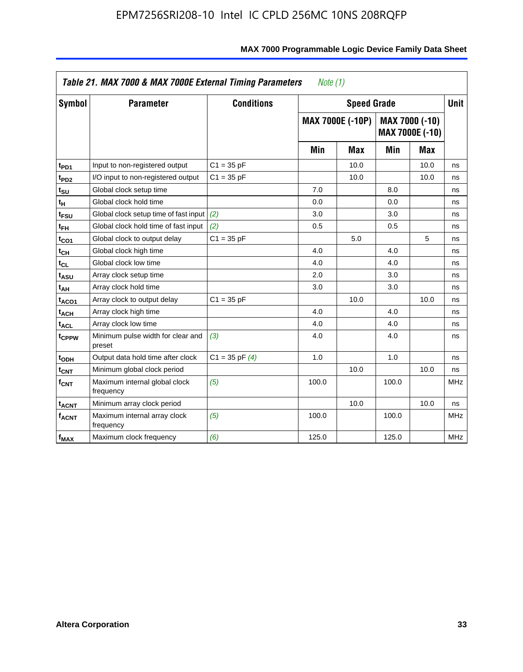| <b>Symbol</b>           | <b>Parameter</b>                            | <b>Conditions</b>  |       | <b>Speed Grade</b>      |       |                                          | <b>Unit</b> |
|-------------------------|---------------------------------------------|--------------------|-------|-------------------------|-------|------------------------------------------|-------------|
|                         |                                             |                    |       | <b>MAX 7000E (-10P)</b> |       | MAX 7000 (-10)<br><b>MAX 7000E (-10)</b> |             |
|                         |                                             |                    | Min   | <b>Max</b>              | Min   | Max                                      |             |
| t <sub>PD1</sub>        | Input to non-registered output              | $C1 = 35 pF$       |       | 10.0                    |       | 10.0                                     | ns          |
| t <sub>PD2</sub>        | I/O input to non-registered output          | $C1 = 35 pF$       |       | 10.0                    |       | 10.0                                     | ns          |
| t <sub>su</sub>         | Global clock setup time                     |                    | 7.0   |                         | 8.0   |                                          | ns          |
| tн                      | Global clock hold time                      |                    | 0.0   |                         | 0.0   |                                          | ns          |
| t <sub>FSU</sub>        | Global clock setup time of fast input       | (2)                | 3.0   |                         | 3.0   |                                          | ns          |
| $t_{FH}$                | Global clock hold time of fast input        | (2)                | 0.5   |                         | 0.5   |                                          | ns          |
| t <sub>CO1</sub>        | Global clock to output delay                | $C1 = 35 pF$       |       | 5.0                     |       | 5                                        | ns          |
| $t_{\mathsf{CH}}$       | Global clock high time                      |                    | 4.0   |                         | 4.0   |                                          | ns          |
| $t_{CL}$                | Global clock low time                       |                    | 4.0   |                         | 4.0   |                                          | ns          |
| t <sub>ASU</sub>        | Array clock setup time                      |                    | 2.0   |                         | 3.0   |                                          | ns          |
| t <sub>АН</sub>         | Array clock hold time                       |                    | 3.0   |                         | 3.0   |                                          | ns          |
| t <sub>ACO1</sub>       | Array clock to output delay                 | $C1 = 35 pF$       |       | 10.0                    |       | 10.0                                     | ns          |
| t <sub>ACH</sub>        | Array clock high time                       |                    | 4.0   |                         | 4.0   |                                          | ns          |
| $t_{\sf ACL}$           | Array clock low time                        |                    | 4.0   |                         | 4.0   |                                          | ns          |
| t <sub>CPPW</sub>       | Minimum pulse width for clear and<br>preset | (3)                | 4.0   |                         | 4.0   |                                          | ns          |
| t <sub>ODH</sub>        | Output data hold time after clock           | $C1 = 35$ pF $(4)$ | 1.0   |                         | 1.0   |                                          | ns          |
| $t_{\mathsf{CNT}}$      | Minimum global clock period                 |                    |       | 10.0                    |       | 10.0                                     | ns          |
| $f_{\mathsf{CNT}}$      | Maximum internal global clock<br>frequency  | (5)                | 100.0 |                         | 100.0 |                                          | <b>MHz</b>  |
| <b>t<sub>ACNT</sub></b> | Minimum array clock period                  |                    |       | 10.0                    |       | 10.0                                     | ns          |
| $f_{ACNT}$              | Maximum internal array clock<br>frequency   | (5)                | 100.0 |                         | 100.0 |                                          | <b>MHz</b>  |
| $f_{MAX}$               | Maximum clock frequency                     | (6)                | 125.0 |                         | 125.0 |                                          | <b>MHz</b>  |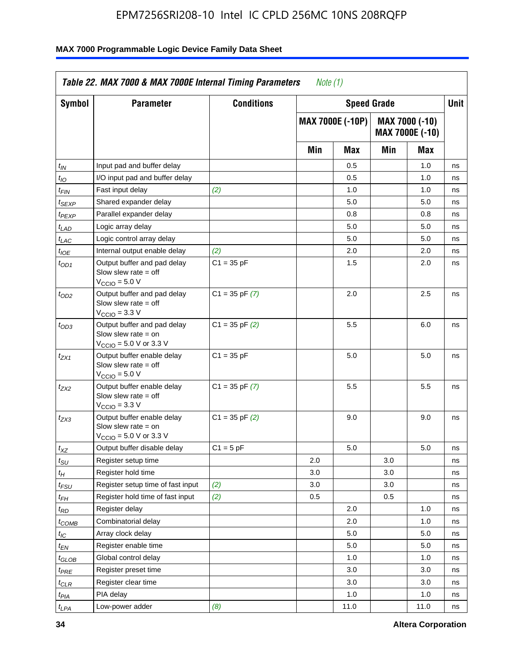| Symbol                      | <b>Parameter</b>                                                                                            | <b>Conditions</b>  |     | <b>Speed Grade</b>      |     |                                   | Unit |
|-----------------------------|-------------------------------------------------------------------------------------------------------------|--------------------|-----|-------------------------|-----|-----------------------------------|------|
|                             |                                                                                                             |                    |     | <b>MAX 7000E (-10P)</b> |     | MAX 7000 (-10)<br>MAX 7000E (-10) |      |
|                             |                                                                                                             |                    | Min | Max                     | Min | Max                               |      |
| $t_{IN}$                    | Input pad and buffer delay                                                                                  |                    |     | 0.5                     |     | 1.0                               | ns   |
| $t_{IO}$                    | I/O input pad and buffer delay                                                                              |                    |     | 0.5                     |     | 1.0                               | ns   |
| t <sub>FIN</sub>            | Fast input delay                                                                                            | (2)                |     | 1.0                     |     | 1.0                               | ns   |
| $t_{SEXP}$                  | Shared expander delay                                                                                       |                    |     | 5.0                     |     | 5.0                               | ns   |
| $t_{PEXP}$                  | Parallel expander delay                                                                                     |                    |     | 0.8                     |     | 0.8                               | ns   |
| t <sub>LAD</sub>            | Logic array delay                                                                                           |                    |     | 5.0                     |     | 5.0                               | ns   |
| $t_{LAC}$                   | Logic control array delay                                                                                   |                    |     | 5.0                     |     | 5.0                               | ns   |
| $t_{IOE}$                   | Internal output enable delay                                                                                | (2)                |     | 2.0                     |     | 2.0                               | ns   |
| $t_{OD1}$                   | Output buffer and pad delay<br>Slow slew rate $=$ off<br>V <sub>CCIO</sub> = 5.0 V                          | $C1 = 35 pF$       |     | 1.5                     |     | 2.0                               | ns   |
| $t_{OD2}$                   | Output buffer and pad delay<br>Slow slew rate $=$ off<br>$V_{\text{CCIO}} = 3.3 \text{ V}$                  | $C1 = 35$ pF $(7)$ |     | 2.0                     |     | 2.5                               | ns   |
| $t_{OD3}$                   | Output buffer and pad delay<br>Slow slew rate $=$ on<br>$V_{\text{CCIO}} = 5.0 \text{ V or } 3.3 \text{ V}$ | $C1 = 35$ pF $(2)$ |     | 5.5                     |     | 6.0                               | ns   |
| t <sub>ZX1</sub>            | Output buffer enable delay<br>Slow slew rate $=$ off<br>$VCCIO = 5.0 V$                                     | $C1 = 35 pF$       |     | 5.0                     |     | 5.0                               | ns   |
| t <sub>ZX2</sub>            | Output buffer enable delay<br>Slow slew rate $=$ off<br>$VCCIO = 3.3 V$                                     | $C1 = 35$ pF $(7)$ |     | 5.5                     |     | 5.5                               | ns   |
| t <sub>ZX3</sub>            | Output buffer enable delay<br>Slow slew rate $=$ on<br>$V_{\text{CCIO}} = 5.0 \text{ V or } 3.3 \text{ V}$  | $C1 = 35$ pF $(2)$ |     | 9.0                     |     | 9.0                               | ns   |
| $t_{XZ}$                    | Output buffer disable delay                                                                                 | $C1 = 5 pF$        |     | 5.0                     |     | 5.0                               | ns   |
| $t_{\scriptstyle\text{SU}}$ | Register setup time                                                                                         |                    | 2.0 |                         | 3.0 |                                   | ns   |
| $t_H$                       | Register hold time                                                                                          |                    | 3.0 |                         | 3.0 |                                   | ns   |
| $t_{\it FSU}$               | Register setup time of fast input                                                                           | (2)                | 3.0 |                         | 3.0 |                                   | ns   |
| $t_{FH}$                    | Register hold time of fast input                                                                            | (2)                | 0.5 |                         | 0.5 |                                   | ns   |
| t <sub>RD</sub>             | Register delay                                                                                              |                    |     | 2.0                     |     | 1.0                               | ns   |
| $t_{COMB}$                  | Combinatorial delay                                                                                         |                    |     | 2.0                     |     | 1.0                               | ns   |
| ЧC                          | Array clock delay                                                                                           |                    |     | 5.0                     |     | 5.0                               | ns   |
| $t_{EN}$                    | Register enable time                                                                                        |                    |     | 5.0                     |     | 5.0                               | ns   |
| $t_{GLOB}$                  | Global control delay                                                                                        |                    |     | 1.0                     |     | 1.0                               | ns   |
| $t_{PRE}$                   | Register preset time                                                                                        |                    |     | 3.0                     |     | 3.0                               | ns   |
| $t_{CLR}$                   | Register clear time                                                                                         |                    |     | 3.0                     |     | 3.0                               | ns   |
| t <sub>PIA</sub>            | PIA delay                                                                                                   |                    |     | 1.0                     |     | 1.0                               | ns   |
| $t_{LPA}$                   | Low-power adder                                                                                             | (8)                |     | 11.0                    |     | 11.0                              | ns   |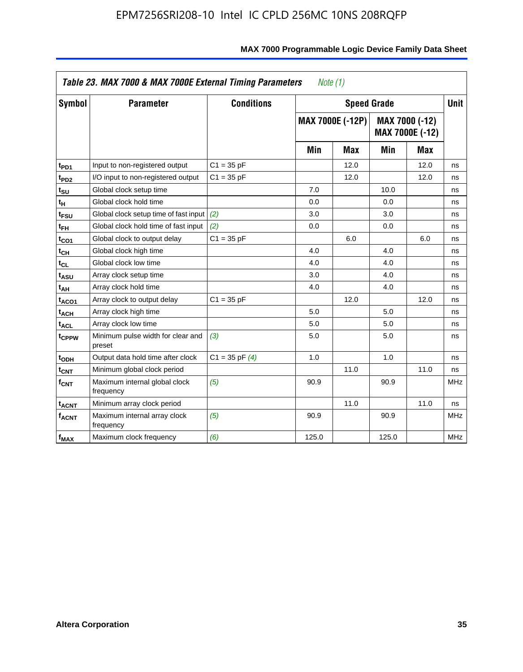| <b>Symbol</b>                 | <b>Parameter</b>                            | <b>Conditions</b>  |       | <b>Speed Grade</b>      |       |                                   | <b>Unit</b> |
|-------------------------------|---------------------------------------------|--------------------|-------|-------------------------|-------|-----------------------------------|-------------|
|                               |                                             |                    |       | <b>MAX 7000E (-12P)</b> |       | MAX 7000 (-12)<br>MAX 7000E (-12) |             |
|                               |                                             |                    | Min   | Max                     | Min   | Max                               |             |
| t <sub>PD1</sub>              | Input to non-registered output              | $C1 = 35 pF$       |       | 12.0                    |       | 12.0                              | ns          |
| t <sub>PD2</sub>              | I/O input to non-registered output          | $C1 = 35 pF$       |       | 12.0                    |       | 12.0                              | ns          |
| $t_{\scriptstyle\textrm{SU}}$ | Global clock setup time                     |                    | 7.0   |                         | 10.0  |                                   | ns          |
| tμ                            | Global clock hold time                      |                    | 0.0   |                         | 0.0   |                                   | ns          |
| t <sub>FSU</sub>              | Global clock setup time of fast input       | (2)                | 3.0   |                         | 3.0   |                                   | ns          |
| $t_{FH}$                      | Global clock hold time of fast input        | (2)                | 0.0   |                         | 0.0   |                                   | ns          |
| t <sub>CO1</sub>              | Global clock to output delay                | $C1 = 35 pF$       |       | 6.0                     |       | 6.0                               | ns          |
| $t_{\mathsf{CH}}$             | Global clock high time                      |                    | 4.0   |                         | 4.0   |                                   | ns          |
| $t_{CL}$                      | Global clock low time                       |                    | 4.0   |                         | 4.0   |                                   | ns          |
| t <sub>ASU</sub>              | Array clock setup time                      |                    | 3.0   |                         | 4.0   |                                   | ns          |
| t <sub>АН</sub>               | Array clock hold time                       |                    | 4.0   |                         | 4.0   |                                   | ns          |
| t <sub>ACO1</sub>             | Array clock to output delay                 | $C1 = 35 pF$       |       | 12.0                    |       | 12.0                              | ns          |
| <sup>t</sup> ach              | Array clock high time                       |                    | 5.0   |                         | 5.0   |                                   | ns          |
| t <sub>ACL</sub>              | Array clock low time                        |                    | 5.0   |                         | 5.0   |                                   | ns          |
| t <sub>CPPW</sub>             | Minimum pulse width for clear and<br>preset | (3)                | 5.0   |                         | 5.0   |                                   | ns          |
| t <sub>ODH</sub>              | Output data hold time after clock           | $C1 = 35$ pF $(4)$ | 1.0   |                         | 1.0   |                                   | ns          |
| $\mathfrak{t}_{\textsf{CNT}}$ | Minimum global clock period                 |                    |       | 11.0                    |       | 11.0                              | ns          |
| $f_{\mathsf{CNT}}$            | Maximum internal global clock<br>frequency  | (5)                | 90.9  |                         | 90.9  |                                   | <b>MHz</b>  |
| <b>t<sub>ACNT</sub></b>       | Minimum array clock period                  |                    |       | 11.0                    |       | 11.0                              | ns          |
| <b>f<sub>ACNT</sub></b>       | Maximum internal array clock<br>frequency   | (5)                | 90.9  |                         | 90.9  |                                   | <b>MHz</b>  |
| f <sub>MAX</sub>              | Maximum clock frequency                     | (6)                | 125.0 |                         | 125.0 |                                   | MHz         |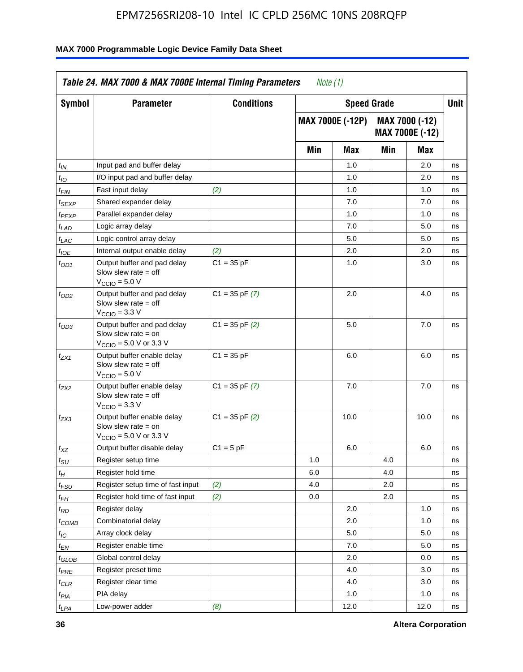| <b>Symbol</b>               | <b>Parameter</b>                                                                                            | <b>Conditions</b>  |     | <b>Speed Grade</b>      |     |                                   | Unit |
|-----------------------------|-------------------------------------------------------------------------------------------------------------|--------------------|-----|-------------------------|-----|-----------------------------------|------|
|                             |                                                                                                             |                    |     | <b>MAX 7000E (-12P)</b> |     | MAX 7000 (-12)<br>MAX 7000E (-12) |      |
|                             |                                                                                                             |                    | Min | Max                     | Min | Max                               |      |
| $t_{\mathsf{IN}}$           | Input pad and buffer delay                                                                                  |                    |     | 1.0                     |     | 2.0                               | ns   |
| $t_{IO}$                    | I/O input pad and buffer delay                                                                              |                    |     | 1.0                     |     | 2.0                               | ns   |
| $t_{\sf FIN}$               | Fast input delay                                                                                            | (2)                |     | 1.0                     |     | 1.0                               | ns   |
| t <sub>SEXP</sub>           | Shared expander delay                                                                                       |                    |     | 7.0                     |     | 7.0                               | ns   |
| t <sub>PEXP</sub>           | Parallel expander delay                                                                                     |                    |     | 1.0                     |     | 1.0                               | ns   |
| t <sub>LAD</sub>            | Logic array delay                                                                                           |                    |     | 7.0                     |     | 5.0                               | ns   |
| $t_{LAC}$                   | Logic control array delay                                                                                   |                    |     | 5.0                     |     | 5.0                               | ns   |
| $t_{IOE}$                   | Internal output enable delay                                                                                | (2)                |     | 2.0                     |     | 2.0                               | ns   |
| $t_{OD1}$                   | Output buffer and pad delay<br>Slow slew rate $=$ off<br>$V_{\text{CCIO}} = 5.0 V$                          | $C1 = 35 pF$       |     | 1.0                     |     | 3.0                               | ns   |
| $t_{OD2}$                   | Output buffer and pad delay<br>Slow slew rate $=$ off<br>$VCCIO = 3.3 V$                                    | $C1 = 35$ pF $(7)$ |     | 2.0                     |     | 4.0                               | ns   |
| $t_{OD3}$                   | Output buffer and pad delay<br>Slow slew rate $=$ on<br>$V_{\text{CCIO}} = 5.0 \text{ V or } 3.3 \text{ V}$ | $C1 = 35$ pF $(2)$ |     | 5.0                     |     | 7.0                               | ns   |
| $t_{ZX1}$                   | Output buffer enable delay<br>Slow slew rate $=$ off<br>$V_{\text{CCIO}} = 5.0 V$                           | $C1 = 35 pF$       |     | 6.0                     |     | 6.0                               | ns   |
| t <sub>ZX2</sub>            | Output buffer enable delay<br>Slow slew rate $=$ off<br>$V_{\text{CCIO}} = 3.3 \text{ V}$                   | $C1 = 35$ pF $(7)$ |     | 7.0                     |     | 7.0                               | ns   |
| $t_{ZX3}$                   | Output buffer enable delay<br>Slow slew rate $=$ on<br>$V_{\text{CCIO}} = 5.0 \text{ V or } 3.3 \text{ V}$  | $C1 = 35$ pF $(2)$ |     | 10.0                    |     | 10.0                              | ns   |
| $t_{\mathsf{XZ}}$           | Output buffer disable delay                                                                                 | $C1 = 5 pF$        |     | 6.0                     |     | 6.0                               | ns   |
| $t_{\scriptstyle\text{SU}}$ | Register setup time                                                                                         |                    | 1.0 |                         | 4.0 |                                   | ns   |
| t <sub>Η</sub>              | Register hold time                                                                                          |                    | 6.0 |                         | 4.0 |                                   | ns   |
| $t_{\mathit{FSU}}$          | Register setup time of fast input                                                                           | (2)                | 4.0 |                         | 2.0 |                                   | ns   |
| t <sub>FН</sub>             | Register hold time of fast input                                                                            | (2)                | 0.0 |                         | 2.0 |                                   | ns   |
| $t_{RD}$                    | Register delay                                                                                              |                    |     | 2.0                     |     | 1.0                               | ns   |
| $t_{COMB}$                  | Combinatorial delay                                                                                         |                    |     | 2.0                     |     | 1.0                               | ns   |
| ЧC                          | Array clock delay                                                                                           |                    |     | $5.0\,$                 |     | 5.0                               | 115  |
| $t_{EN}$                    | Register enable time                                                                                        |                    |     | 7.0                     |     | 5.0                               | ns   |
| $t_{GLOB}$                  | Global control delay                                                                                        |                    |     | 2.0                     |     | 0.0                               | ns   |
| t <sub>PRE</sub>            | Register preset time                                                                                        |                    |     | 4.0                     |     | 3.0                               | ns   |
| $t_{CLR}$                   | Register clear time                                                                                         |                    |     | 4.0                     |     | 3.0                               | ns   |
| t <sub>PIA</sub>            | PIA delay                                                                                                   |                    |     | 1.0                     |     | 1.0                               | ns   |
| $t_{LPA}$                   | Low-power adder                                                                                             | (8)                |     | 12.0                    |     | 12.0                              | ns   |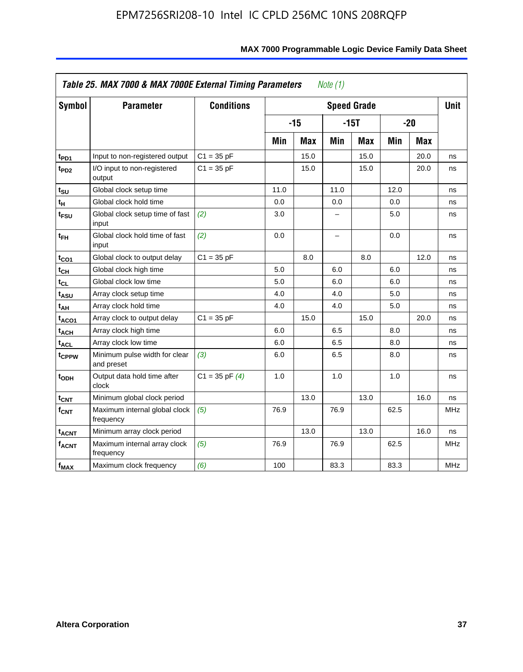| <b>Symbol</b>           | <b>Parameter</b>                            | <b>Conditions</b>  |      |            |                          | <b>Speed Grade</b> |      |            | <b>Unit</b> |
|-------------------------|---------------------------------------------|--------------------|------|------------|--------------------------|--------------------|------|------------|-------------|
|                         |                                             |                    |      | $-15$      |                          | $-15T$             |      | $-20$      |             |
|                         |                                             |                    | Min  | <b>Max</b> | Min                      | <b>Max</b>         | Min  | <b>Max</b> |             |
| t <sub>PD1</sub>        | Input to non-registered output              | $C1 = 35 pF$       |      | 15.0       |                          | 15.0               |      | 20.0       | ns          |
| t <sub>PD2</sub>        | I/O input to non-registered<br>output       | $C1 = 35 pF$       |      | 15.0       |                          | 15.0               |      | 20.0       | ns          |
| tsu                     | Global clock setup time                     |                    | 11.0 |            | 11.0                     |                    | 12.0 |            | ns          |
| $t_H$                   | Global clock hold time                      |                    | 0.0  |            | 0.0                      |                    | 0.0  |            | ns          |
| t <sub>FSU</sub>        | Global clock setup time of fast<br>input    | (2)                | 3.0  |            | -                        |                    | 5.0  |            | ns          |
| $t_{FH}$                | Global clock hold time of fast<br>input     | (2)                | 0.0  |            | $\overline{\phantom{0}}$ |                    | 0.0  |            | ns          |
| $t_{CO1}$               | Global clock to output delay                | $C1 = 35 pF$       |      | 8.0        |                          | 8.0                |      | 12.0       | ns          |
| $t_{\mathsf{CH}}$       | Global clock high time                      |                    | 5.0  |            | 6.0                      |                    | 6.0  |            | ns          |
| t <sub>CL</sub>         | Global clock low time                       |                    | 5.0  |            | 6.0                      |                    | 6.0  |            | ns          |
| t <sub>ASU</sub>        | Array clock setup time                      |                    | 4.0  |            | 4.0                      |                    | 5.0  |            | ns          |
| t <sub>АН</sub>         | Array clock hold time                       |                    | 4.0  |            | 4.0                      |                    | 5.0  |            | ns          |
| t <sub>ACO1</sub>       | Array clock to output delay                 | $C1 = 35 pF$       |      | 15.0       |                          | 15.0               |      | 20.0       | ns          |
| $t_{\sf ACH}$           | Array clock high time                       |                    | 6.0  |            | 6.5                      |                    | 8.0  |            | ns          |
| t <sub>ACL</sub>        | Array clock low time                        |                    | 6.0  |            | 6.5                      |                    | 8.0  |            | ns          |
| t <sub>CPPW</sub>       | Minimum pulse width for clear<br>and preset | (3)                | 6.0  |            | 6.5                      |                    | 8.0  |            | ns          |
| $t_{ODH}$               | Output data hold time after<br>clock        | $C1 = 35$ pF $(4)$ | 1.0  |            | 1.0                      |                    | 1.0  |            | ns          |
| $t_{\mathsf{CNT}}$      | Minimum global clock period                 |                    |      | 13.0       |                          | 13.0               |      | 16.0       | ns          |
| f <sub>CNT</sub>        | Maximum internal global clock<br>frequency  | (5)                | 76.9 |            | 76.9                     |                    | 62.5 |            | <b>MHz</b>  |
| <b>t<sub>ACNT</sub></b> | Minimum array clock period                  |                    |      | 13.0       |                          | 13.0               |      | 16.0       | ns          |
| <b>fACNT</b>            | Maximum internal array clock<br>frequency   | (5)                | 76.9 |            | 76.9                     |                    | 62.5 |            | <b>MHz</b>  |
| $f_{MAX}$               | Maximum clock frequency                     | (6)                | 100  |            | 83.3                     |                    | 83.3 |            | MHz         |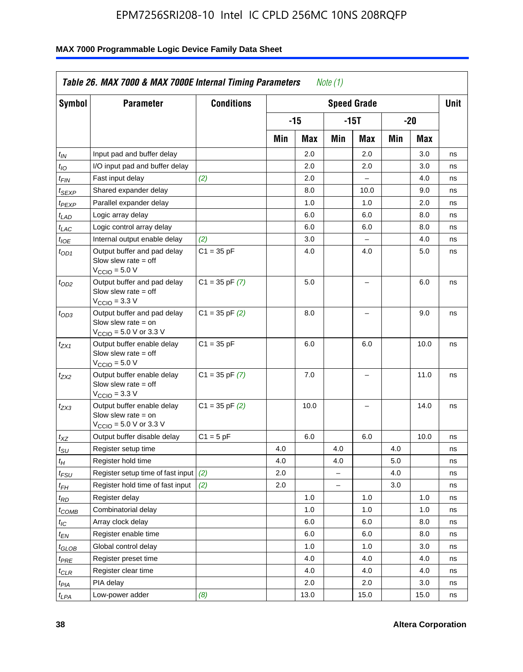| Symbol                        | <b>Parameter</b>                                                                                            | <b>Conditions</b>  |     |       |          | <b>Speed Grade</b>       |     |      | <b>Unit</b> |
|-------------------------------|-------------------------------------------------------------------------------------------------------------|--------------------|-----|-------|----------|--------------------------|-----|------|-------------|
|                               |                                                                                                             |                    |     | $-15$ |          | $-15T$                   |     | -20  |             |
|                               |                                                                                                             |                    | Min | Max   | Min      | Max                      | Min | Max  |             |
| $t_{IN}$                      | Input pad and buffer delay                                                                                  |                    |     | 2.0   |          | 2.0                      |     | 3.0  | ns          |
| $t_{IO}$                      | I/O input pad and buffer delay                                                                              |                    |     | 2.0   |          | 2.0                      |     | 3.0  | ns          |
| $t_{\textsf{FIN}}$            | Fast input delay                                                                                            | (2)                |     | 2.0   |          | $\overline{a}$           |     | 4.0  | ns          |
| $t_{SEXP}$                    | Shared expander delay                                                                                       |                    |     | 8.0   |          | 10.0                     |     | 9.0  | ns          |
| $t_{PEXP}$                    | Parallel expander delay                                                                                     |                    |     | 1.0   |          | 1.0                      |     | 2.0  | ns          |
| $t_{LAD}$                     | Logic array delay                                                                                           |                    |     | 6.0   |          | 6.0                      |     | 8.0  | ns          |
| $t_{LAC}$                     | Logic control array delay                                                                                   |                    |     | 6.0   |          | 6.0                      |     | 8.0  | ns          |
| $t_{IOE}$                     | Internal output enable delay                                                                                | (2)                |     | 3.0   |          | $\overline{\phantom{a}}$ |     | 4.0  | ns          |
| $t_{OD1}$                     | Output buffer and pad delay<br>Slow slew rate $=$ off<br>$VCCIO = 5.0 V$                                    | $C1 = 35 pF$       |     | 4.0   |          | 4.0                      |     | 5.0  | ns          |
| $t_{OD2}$                     | Output buffer and pad delay<br>Slow slew rate $=$ off<br>$V_{\text{CCIO}} = 3.3 \text{ V}$                  | $C1 = 35$ pF $(7)$ |     | 5.0   |          | L.                       |     | 6.0  | ns          |
| $t_{OD3}$                     | Output buffer and pad delay<br>Slow slew rate $=$ on<br>$V_{\text{CGIO}} = 5.0 \text{ V or } 3.3 \text{ V}$ | $C1 = 35$ pF $(2)$ |     | 8.0   |          | L.                       |     | 9.0  | ns          |
| $t_{ZX1}$                     | Output buffer enable delay<br>Slow slew rate $=$ off<br>$VCCIO = 5.0 V$                                     | $C1 = 35 pF$       |     | 6.0   |          | 6.0                      |     | 10.0 | ns          |
| $t_{ZX2}$                     | Output buffer enable delay<br>Slow slew rate $=$ off<br>$V_{\text{CCIO}} = 3.3 \text{ V}$                   | $C1 = 35$ pF $(7)$ |     | 7.0   |          | $\overline{\phantom{0}}$ |     | 11.0 | ns          |
| t <sub>ZX3</sub>              | Output buffer enable delay<br>Slow slew rate $=$ on<br>$V_{\text{CCIO}} = 5.0 \text{ V or } 3.3 \text{ V}$  | $C1 = 35$ pF $(2)$ |     | 10.0  |          | -                        |     | 14.0 | ns          |
| $t_{\mathsf{XZ}}$             | Output buffer disable delay                                                                                 | $C1 = 5$ pF        |     | 6.0   |          | 6.0                      |     | 10.0 | ns          |
| $t_{\text{SU}}$               | Register setup time                                                                                         |                    | 4.0 |       | 4.0      |                          | 4.0 |      | ns          |
| $t_H$                         | Register hold time                                                                                          |                    | 4.0 |       | 4.0      |                          | 5.0 |      | ns          |
| $t_{\mathit{FSU}}$            | Register setup time of fast input                                                                           | (2)                | 2.0 |       | $\equiv$ |                          | 4.0 |      | ns          |
| $t_{FH}$                      | Register hold time of fast input                                                                            | (2)                | 2.0 |       |          |                          | 3.0 |      | ns          |
| $t_{RD}$                      | Register delay                                                                                              |                    |     | 1.0   |          | 1.0                      |     | 1.0  | ns          |
| $t_{COMB}$                    | Combinatorial delay                                                                                         |                    |     | 1.0   |          | 1.0                      |     | 1.0  | ns          |
| $t_{\text{IC}}$               | Array clock delay                                                                                           |                    |     | 6.0   |          | 6.0                      |     | 8.0  | ns          |
| $t_{EN}$                      | Register enable time                                                                                        |                    |     | 6.0   |          | 6.0                      |     | 8.0  | ns          |
| $t_{\scriptstyle\text{GLOB}}$ | Global control delay                                                                                        |                    |     | 1.0   |          | 1.0                      |     | 3.0  | ns          |
| t <sub>PRE</sub>              | Register preset time                                                                                        |                    |     | 4.0   |          | 4.0                      |     | 4.0  | ns          |
| $t_{\sf CLR}$                 | Register clear time                                                                                         |                    |     | 4.0   |          | 4.0                      |     | 4.0  | ns          |
| $t_{PIA}$                     | PIA delay                                                                                                   |                    |     | 2.0   |          | 2.0                      |     | 3.0  | ns          |
| $t_{LPA}$                     | Low-power adder                                                                                             | (8)                |     | 13.0  |          | 15.0                     |     | 15.0 | ns          |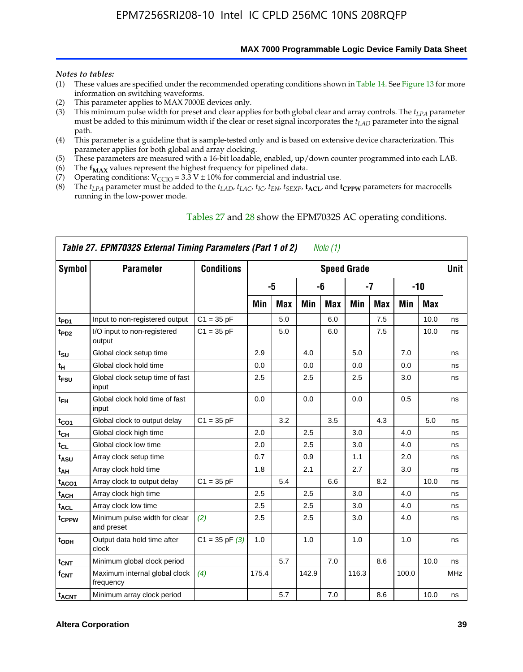**MAX 7000 Programmable Logic Device Family Data Sheet**

#### *Notes to tables:*

- (1) These values are specified under the recommended operating conditions shown in Table 14. See Figure 13 for more information on switching waveforms.
- (2) This parameter applies to MAX 7000E devices only.
- (3) This minimum pulse width for preset and clear applies for both global clear and array controls. The *tLPA* parameter must be added to this minimum width if the clear or reset signal incorporates the  $t_{LAD}$  parameter into the signal path.
- (4) This parameter is a guideline that is sample-tested only and is based on extensive device characterization. This parameter applies for both global and array clocking.
- (5) These parameters are measured with a 16-bit loadable, enabled, up/down counter programmed into each LAB.
- (6) The  $f_{MAX}$  values represent the highest frequency for pipelined data.
- (7) Operating conditions:  $V_{\text{CCIO}} = 3.3 \text{ V} \pm 10\%$  for commercial and industrial use.
- (8) The  $t_{LPA}$  parameter must be added to the  $t_{LAD}$ ,  $t_{LAC}$ ,  $t_{IC}$ ,  $t_{EN}$ ,  $t_{SEXP}$ ,  $t_{ACL}$ , and  $t_{CPPW}$  parameters for macrocells running in the low-power mode.

|                    | Table 27. EPM7032S External Timing Parameters (Part 1 of 2) |                    |       |            |       | Note (1) |                    |            |       |            |             |
|--------------------|-------------------------------------------------------------|--------------------|-------|------------|-------|----------|--------------------|------------|-------|------------|-------------|
| Symbol             | <b>Parameter</b>                                            | <b>Conditions</b>  |       |            |       |          | <b>Speed Grade</b> |            |       |            | <b>Unit</b> |
|                    |                                                             |                    |       | -5         |       | -6       |                    | -7         |       | $-10$      |             |
|                    |                                                             |                    | Min   | <b>Max</b> | Min   | Max      | Min                | <b>Max</b> | Min   | <b>Max</b> |             |
| t <sub>PD1</sub>   | Input to non-registered output                              | $C1 = 35 pF$       |       | 5.0        |       | 6.0      |                    | 7.5        |       | 10.0       | ns          |
| $t_{PD2}$          | I/O input to non-registered<br>output                       | $C1 = 35 pF$       |       | 5.0        |       | 6.0      |                    | 7.5        |       | 10.0       | ns          |
| tsu                | Global clock setup time                                     |                    | 2.9   |            | 4.0   |          | 5.0                |            | 7.0   |            | ns          |
| t <sub>H</sub>     | Global clock hold time                                      |                    | 0.0   |            | 0.0   |          | 0.0                |            | 0.0   |            | ns          |
| $t_{\text{FSU}}$   | Global clock setup time of fast<br>input                    |                    | 2.5   |            | 2.5   |          | 2.5                |            | 3.0   |            | ns          |
| $t_{FH}$           | Global clock hold time of fast<br>input                     |                    | 0.0   |            | 0.0   |          | 0.0                |            | 0.5   |            | ns          |
| $t_{CO1}$          | Global clock to output delay                                | $C1 = 35 pF$       |       | 3.2        |       | 3.5      |                    | 4.3        |       | 5.0        | ns          |
| $t_{\mathsf{CH}}$  | Global clock high time                                      |                    | 2.0   |            | 2.5   |          | 3.0                |            | 4.0   |            | ns          |
| $t_{CL}$           | Global clock low time                                       |                    | 2.0   |            | 2.5   |          | 3.0                |            | 4.0   |            | ns          |
| t <sub>ASU</sub>   | Array clock setup time                                      |                    | 0.7   |            | 0.9   |          | 1.1                |            | 2.0   |            | ns          |
| t <sub>АН</sub>    | Array clock hold time                                       |                    | 1.8   |            | 2.1   |          | 2.7                |            | 3.0   |            | ns          |
| t <sub>ACO1</sub>  | Array clock to output delay                                 | $C1 = 35 pF$       |       | 5.4        |       | 6.6      |                    | 8.2        |       | 10.0       | ns          |
| t <sub>ACH</sub>   | Array clock high time                                       |                    | 2.5   |            | 2.5   |          | 3.0                |            | 4.0   |            | ns          |
| t <sub>ACL</sub>   | Array clock low time                                        |                    | 2.5   |            | 2.5   |          | 3.0                |            | 4.0   |            | ns          |
| t <sub>CPPW</sub>  | Minimum pulse width for clear<br>and preset                 | (2)                | 2.5   |            | 2.5   |          | 3.0                |            | 4.0   |            | ns          |
| t <sub>ODH</sub>   | Output data hold time after<br>clock                        | $C1 = 35$ pF $(3)$ | 1.0   |            | 1.0   |          | 1.0                |            | 1.0   |            | ns          |
| $t_{\mathsf{CNT}}$ | Minimum global clock period                                 |                    |       | 5.7        |       | 7.0      |                    | 8.6        |       | 10.0       | ns          |
| $f_{\mathsf{CNT}}$ | Maximum internal global clock<br>frequency                  | (4)                | 175.4 |            | 142.9 |          | 116.3              |            | 100.0 |            | <b>MHz</b>  |
| t <sub>ACNT</sub>  | Minimum array clock period                                  |                    |       | 5.7        |       | 7.0      |                    | 8.6        |       | 10.0       | ns          |

### Tables 27 and 28 show the EPM7032S AC operating conditions.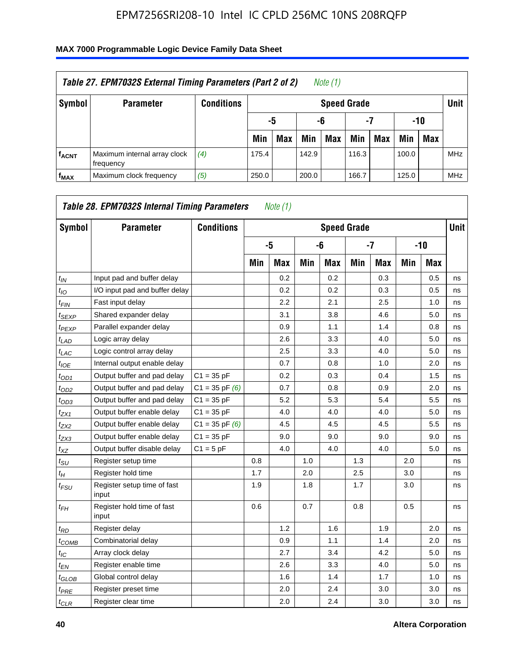| Table 27. EPM7032S External Timing Parameters (Part 2 of 2)<br>Note (1) |                                           |                   |       |                       |       |            |                    |     |       |            |            |  |  |
|-------------------------------------------------------------------------|-------------------------------------------|-------------------|-------|-----------------------|-------|------------|--------------------|-----|-------|------------|------------|--|--|
| Symbol                                                                  | <b>Parameter</b>                          | <b>Conditions</b> |       |                       |       |            | <b>Speed Grade</b> |     |       |            | Unit       |  |  |
|                                                                         |                                           |                   |       | -7<br>-10<br>-6<br>-5 |       |            |                    |     |       |            |            |  |  |
|                                                                         |                                           |                   | Min   | <b>Max</b>            | Min   | <b>Max</b> | Min                | Max | Min   | <b>Max</b> |            |  |  |
| <b>fACNT</b>                                                            | Maximum internal array clock<br>frequency | (4)               | 175.4 |                       | 142.9 |            | 116.3              |     | 100.0 |            | <b>MHz</b> |  |  |
| f <sub>MAX</sub>                                                        | Maximum clock frequency                   | (5)               | 250.0 |                       | 200.0 |            | 166.7              |     | 125.0 |            | <b>MHz</b> |  |  |

| Symbol                        | <b>Parameter</b>                     | <b>Conditions</b>  |     |            |     | <b>Speed Grade</b> |     |            |     |       | Unit |
|-------------------------------|--------------------------------------|--------------------|-----|------------|-----|--------------------|-----|------------|-----|-------|------|
|                               |                                      |                    |     | -5         |     | -6                 |     | $-7$       |     | $-10$ |      |
|                               |                                      |                    | Min | <b>Max</b> | Min | <b>Max</b>         | Min | <b>Max</b> | Min | Max   |      |
| $t_{IN}$                      | Input pad and buffer delay           |                    |     | 0.2        |     | 0.2                |     | 0.3        |     | 0.5   | ns   |
| $t_{IO}$                      | I/O input pad and buffer delay       |                    |     | 0.2        |     | 0.2                |     | 0.3        |     | 0.5   | ns   |
| $t_{\sf FIN}$                 | Fast input delay                     |                    |     | 2.2        |     | 2.1                |     | 2.5        |     | 1.0   | ns   |
| t <sub>SEXP</sub>             | Shared expander delay                |                    |     | 3.1        |     | 3.8                |     | 4.6        |     | 5.0   | ns   |
| $t_{PEXP}$                    | Parallel expander delay              |                    |     | 0.9        |     | 1.1                |     | 1.4        |     | 0.8   | ns   |
| $t_{LAD}$                     | Logic array delay                    |                    |     | 2.6        |     | 3.3                |     | 4.0        |     | 5.0   | ns   |
| $t_{LAC}$                     | Logic control array delay            |                    |     | 2.5        |     | 3.3                |     | 4.0        |     | 5.0   | ns   |
| $t_{IOE}$                     | Internal output enable delay         |                    |     | 0.7        |     | 0.8                |     | 1.0        |     | 2.0   | ns   |
| $t_{OD1}$                     | Output buffer and pad delay          | $C1 = 35 pF$       |     | 0.2        |     | 0.3                |     | 0.4        |     | 1.5   | ns   |
| $t_{OD2}$                     | Output buffer and pad delay          | $C1 = 35$ pF $(6)$ |     | 0.7        |     | 0.8                |     | 0.9        |     | 2.0   | ns   |
| $t_{OD3}$                     | Output buffer and pad delay          | $C1 = 35 pF$       |     | 5.2        |     | 5.3                |     | 5.4        |     | 5.5   | ns   |
| $t_{ZX1}$                     | Output buffer enable delay           | $C1 = 35 pF$       |     | 4.0        |     | 4.0                |     | 4.0        |     | 5.0   | ns   |
| t <sub>ZX2</sub>              | Output buffer enable delay           | $C1 = 35$ pF $(6)$ |     | 4.5        |     | 4.5                |     | 4.5        |     | 5.5   | ns   |
| t <sub>ZX3</sub>              | Output buffer enable delay           | $C1 = 35 pF$       |     | 9.0        |     | 9.0                |     | 9.0        |     | 9.0   | ns   |
| $t_{XZ}$                      | Output buffer disable delay          | $C1 = 5pF$         |     | 4.0        |     | 4.0                |     | 4.0        |     | 5.0   | ns   |
| $t_{\text{SU}}$               | Register setup time                  |                    | 0.8 |            | 1.0 |                    | 1.3 |            | 2.0 |       | ns   |
| $t_H$                         | Register hold time                   |                    | 1.7 |            | 2.0 |                    | 2.5 |            | 3.0 |       | ns   |
| $t_{\mathit{FSU}}$            | Register setup time of fast<br>input |                    | 1.9 |            | 1.8 |                    | 1.7 |            | 3.0 |       | ns   |
| t <sub>FН</sub>               | Register hold time of fast<br>input  |                    | 0.6 |            | 0.7 |                    | 0.8 |            | 0.5 |       | ns   |
| $t_{RD}$                      | Register delay                       |                    |     | 1.2        |     | 1.6                |     | 1.9        |     | 2.0   | ns   |
| $t_{COMB}$                    | Combinatorial delay                  |                    |     | 0.9        |     | 1.1                |     | 1.4        |     | 2.0   | ns   |
| $t_{IC}$                      | Array clock delay                    |                    |     | 2.7        |     | 3.4                |     | 4.2        |     | 5.0   | ns   |
| $t_{EN}$                      | Register enable time                 |                    |     | 2.6        |     | 3.3                |     | 4.0        |     | 5.0   | ns   |
| $t_{\scriptstyle\text{GLOB}}$ | Global control delay                 |                    |     | 1.6        |     | 1.4                |     | 1.7        |     | 1.0   | ns   |
| $t_{PRE}$                     | Register preset time                 |                    |     | 2.0        |     | 2.4                |     | 3.0        |     | 3.0   | ns   |
| $t_{CLR}$                     | Register clear time                  |                    |     | 2.0        |     | 2.4                |     | 3.0        |     | 3.0   | ns   |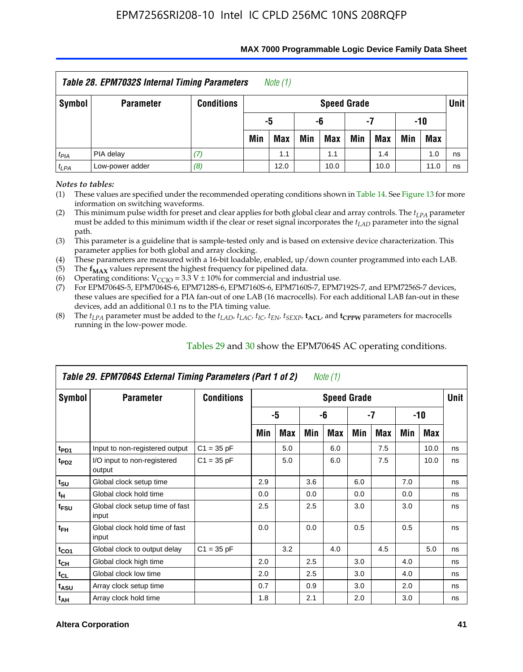| <b>Table 28. EPM7032S Internal Timing Parameters</b><br>Note $(1)$ |                                                              |                   |                          |                       |     |                    |     |            |     |            |      |  |
|--------------------------------------------------------------------|--------------------------------------------------------------|-------------------|--------------------------|-----------------------|-----|--------------------|-----|------------|-----|------------|------|--|
| Symbol                                                             | <b>Parameter</b>                                             | <b>Conditions</b> |                          |                       |     | <b>Speed Grade</b> |     |            |     |            | Unit |  |
|                                                                    |                                                              |                   |                          | -5<br>-10<br>-6<br>-7 |     |                    |     |            |     |            |      |  |
|                                                                    |                                                              |                   | Min                      | Max                   | Min | Max                | Min | <b>Max</b> | Min | <b>Max</b> |      |  |
| $t_{PIA}$                                                          | PIA delay                                                    |                   | 1.0<br>1.1<br>1.4<br>1.1 |                       |     |                    |     |            |     |            | ns   |  |
| $t_{LPA}$                                                          | Low-power adder<br>(8)<br>12.0<br>10.0<br>10.0<br>11.0<br>ns |                   |                          |                       |     |                    |     |            |     |            |      |  |

#### **MAX 7000 Programmable Logic Device Family Data Sheet**

*Notes to tables:*

(1) These values are specified under the recommended operating conditions shown in Table 14. See Figure 13 for more information on switching waveforms.

(2) This minimum pulse width for preset and clear applies for both global clear and array controls. The  $t_{LPA}$  parameter must be added to this minimum width if the clear or reset signal incorporates the *tLAD* parameter into the signal path.

(3) This parameter is a guideline that is sample-tested only and is based on extensive device characterization. This parameter applies for both global and array clocking.

(4) These parameters are measured with a 16-bit loadable, enabled, up/down counter programmed into each LAB.

(5) The  $f_{MAX}$  values represent the highest frequency for pipelined data.

(6) Operating conditions:  $V_{\text{CCIO}} = 3.3 \text{ V} \pm 10\%$  for commercial and industrial use.

(7) For EPM7064S-5, EPM7064S-6, EPM7128S-6, EPM7160S-6, EPM7160S-7, EPM7192S-7, and EPM7256S-7 devices, these values are specified for a PIA fan-out of one LAB (16 macrocells). For each additional LAB fan-out in these devices, add an additional 0.1 ns to the PIA timing value.

(8) The  $t_{LPA}$  parameter must be added to the  $t_{LAD}$ ,  $t_{LAC}$ ,  $t_{IC}$ ,  $t_{EN}$ ,  $t_{SEXP}$ ,  $t_{ACL}$ , and  $t_{CPPW}$  parameters for macrocells running in the low-power mode.

|                  | Table 29. EPM7064S External Timing Parameters (Part 1 of 2) |                   |     |     |     | Note (1)           |     |     |     |      |      |
|------------------|-------------------------------------------------------------|-------------------|-----|-----|-----|--------------------|-----|-----|-----|------|------|
| Symbol           | <b>Parameter</b>                                            | <b>Conditions</b> |     |     |     | <b>Speed Grade</b> |     |     |     |      | Unit |
|                  |                                                             |                   |     | -5  |     | -6                 |     | -7  |     | -10  |      |
|                  |                                                             |                   | Min | Max | Min | Max                | Min | Max | Min | Max  |      |
| t <sub>PD1</sub> | Input to non-registered output                              | $C1 = 35 pF$      |     | 5.0 |     | 6.0                |     | 7.5 |     | 10.0 | ns   |
| t <sub>PD2</sub> | I/O input to non-registered<br>output                       | $C1 = 35 pF$      |     | 5.0 |     | 6.0                |     | 7.5 |     | 10.0 | ns   |
| $t_{\text{SU}}$  | Global clock setup time                                     |                   | 2.9 |     | 3.6 |                    | 6.0 |     | 7.0 |      | ns   |
| $t_H$            | Global clock hold time                                      |                   | 0.0 |     | 0.0 |                    | 0.0 |     | 0.0 |      | ns   |
| t <sub>FSU</sub> | Global clock setup time of fast<br>input                    |                   | 2.5 |     | 2.5 |                    | 3.0 |     | 3.0 |      | ns   |
| $t_{FH}$         | Global clock hold time of fast<br>input                     |                   | 0.0 |     | 0.0 |                    | 0.5 |     | 0.5 |      | ns   |
| $t_{CO1}$        | Global clock to output delay                                | $C1 = 35 pF$      |     | 3.2 |     | 4.0                |     | 4.5 |     | 5.0  | ns   |
| $t_{CH}$         | Global clock high time                                      |                   | 2.0 |     | 2.5 |                    | 3.0 |     | 4.0 |      | ns   |
| $t_{CL}$         | Global clock low time                                       |                   | 2.0 |     | 2.5 |                    | 3.0 |     | 4.0 |      | ns   |
| t <sub>ASU</sub> | Array clock setup time                                      |                   | 0.7 |     | 0.9 |                    | 3.0 |     | 2.0 |      | ns   |
| $t_{AH}$         | Array clock hold time                                       |                   | 1.8 |     | 2.1 |                    | 2.0 |     | 3.0 |      | ns   |

Tables 29 and 30 show the EPM7064S AC operating conditions.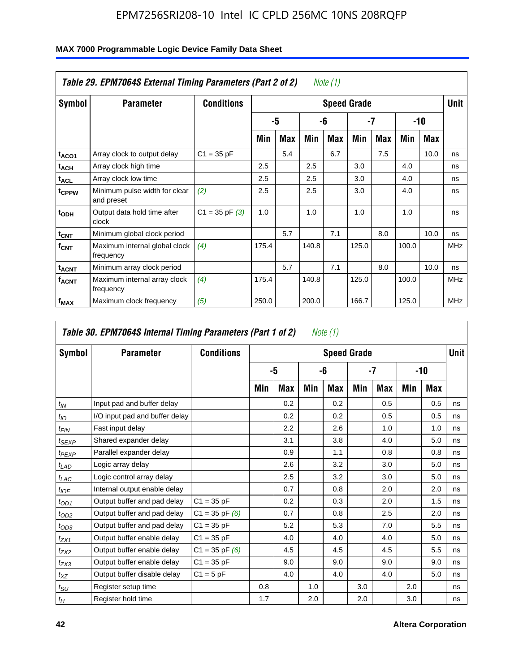|                         | Table 29. EPM7064S External Timing Parameters (Part 2 of 2) |                    |       |     |       | Note (1) |                    |     |       |      |             |
|-------------------------|-------------------------------------------------------------|--------------------|-------|-----|-------|----------|--------------------|-----|-------|------|-------------|
| Symbol                  | <b>Parameter</b>                                            | <b>Conditions</b>  |       |     |       |          | <b>Speed Grade</b> |     |       |      | <b>Unit</b> |
|                         |                                                             |                    |       | -5  |       | -6       |                    | -7  |       | -10  |             |
|                         |                                                             |                    | Min   | Max | Min   | Max      | Min                | Max | Min   | Max  |             |
| t <sub>ACO1</sub>       | Array clock to output delay                                 | $C1 = 35 pF$       |       | 5.4 |       | 6.7      |                    | 7.5 |       | 10.0 | ns          |
| $t_{ACH}$               | Array clock high time                                       |                    | 2.5   |     | 2.5   |          | 3.0                |     | 4.0   |      | ns          |
| $t_{\sf ACL}$           | Array clock low time                                        |                    | 2.5   |     | 2.5   |          | 3.0                |     | 4.0   |      | ns          |
| t <sub>CPPW</sub>       | Minimum pulse width for clear<br>and preset                 | (2)                | 2.5   |     | 2.5   |          | 3.0                |     | 4.0   |      | ns          |
| t <sub>ODH</sub>        | Output data hold time after<br>clock                        | $C1 = 35$ pF $(3)$ | 1.0   |     | 1.0   |          | 1.0                |     | 1.0   |      | ns          |
| $t_{\text{CNT}}$        | Minimum global clock period                                 |                    |       | 5.7 |       | 7.1      |                    | 8.0 |       | 10.0 | ns          |
| $f_{\text{CNT}}$        | Maximum internal global clock<br>frequency                  | (4)                | 175.4 |     | 140.8 |          | 125.0              |     | 100.0 |      | <b>MHz</b>  |
| <b>t<sub>ACNT</sub></b> | Minimum array clock period                                  |                    |       | 5.7 |       | 7.1      |                    | 8.0 |       | 10.0 | ns          |
| <b>f<sub>ACNT</sub></b> | Maximum internal array clock<br>frequency                   | (4)                | 175.4 |     | 140.8 |          | 125.0              |     | 100.0 |      | <b>MHz</b>  |
| f <sub>MAX</sub>        | Maximum clock frequency                                     | (5)                | 250.0 |     | 200.0 |          | 166.7              |     | 125.0 |      | <b>MHz</b>  |

|                   | Table 30. EPM7064S Internal Timing Parameters (Part 1 of 2) |                    |     |            |     | Note (1)           |     |               |     |            |             |
|-------------------|-------------------------------------------------------------|--------------------|-----|------------|-----|--------------------|-----|---------------|-----|------------|-------------|
| Symbol            | <b>Parameter</b>                                            | <b>Conditions</b>  |     |            |     | <b>Speed Grade</b> |     |               |     |            | <b>Unit</b> |
|                   |                                                             |                    |     | -5         |     | -6                 |     | -7            |     | -10        |             |
|                   |                                                             |                    | Min | <b>Max</b> | Min | Max                | Min | <b>Max</b>    | Min | <b>Max</b> |             |
| $t_{IN}$          | Input pad and buffer delay                                  |                    |     | 0.2        |     | 0.2                |     | $0.5^{\circ}$ |     | 0.5        | ns          |
| $t_{IO}$          | I/O input pad and buffer delay                              |                    |     | 0.2        |     | 0.2                |     | 0.5           |     | 0.5        | ns          |
| $t_{FIN}$         | Fast input delay                                            |                    |     | 2.2        |     | 2.6                |     | 1.0           |     | 1.0        | ns          |
| t <sub>SEXP</sub> | Shared expander delay                                       |                    |     | 3.1        |     | 3.8                |     | 4.0           |     | 5.0        | ns          |
| $t_{PEXP}$        | Parallel expander delay                                     |                    |     | 0.9        |     | 1.1                |     | 0.8           |     | 0.8        | ns          |
| $t_{LAD}$         | Logic array delay                                           |                    |     | 2.6        |     | 3.2                |     | 3.0           |     | 5.0        | ns          |
| $t_{LAC}$         | Logic control array delay                                   |                    |     | 2.5        |     | 3.2                |     | 3.0           |     | 5.0        | ns          |
| $t_{IOE}$         | Internal output enable delay                                |                    |     | 0.7        |     | 0.8                |     | 2.0           |     | 2.0        | ns          |
| $t_{OD1}$         | Output buffer and pad delay                                 | $C1 = 35 pF$       |     | 0.2        |     | 0.3                |     | 2.0           |     | 1.5        | ns          |
| $t_{OD2}$         | Output buffer and pad delay                                 | $C1 = 35$ pF $(6)$ |     | 0.7        |     | 0.8                |     | 2.5           |     | 2.0        | ns          |
| $t_{OD3}$         | Output buffer and pad delay                                 | $C1 = 35 pF$       |     | 5.2        |     | 5.3                |     | 7.0           |     | 5.5        | ns          |
| $t_{ZX1}$         | Output buffer enable delay                                  | $C1 = 35 pF$       |     | 4.0        |     | 4.0                |     | 4.0           |     | 5.0        | ns          |
| $t_{ZX2}$         | Output buffer enable delay                                  | $C1 = 35$ pF $(6)$ |     | 4.5        |     | 4.5                |     | 4.5           |     | 5.5        | ns          |
| $t_{ZX3}$         | Output buffer enable delay                                  | $C1 = 35 pF$       |     | 9.0        |     | 9.0                |     | 9.0           |     | 9.0        | ns          |
| $t_{XZ}$          | Output buffer disable delay                                 | $C1 = 5pF$         |     | 4.0        |     | 4.0                |     | 4.0           |     | 5.0        | ns          |
| $t_{SU}$          | Register setup time                                         |                    | 0.8 |            | 1.0 |                    | 3.0 |               | 2.0 |            | ns          |
| $t_H$             | Register hold time                                          |                    | 1.7 |            | 2.0 |                    | 2.0 |               | 3.0 |            | ns          |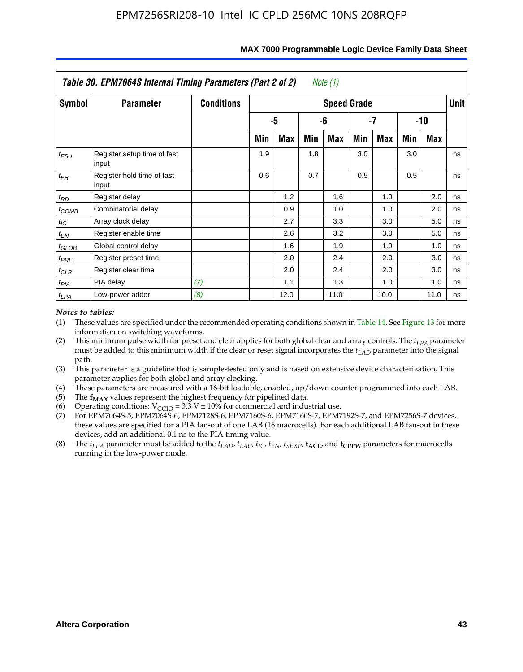|               | Table 30. EPM7064S Internal Timing Parameters (Part 2 of 2) |                   |     |            |     | Note (1)           |     |            |     |            |             |
|---------------|-------------------------------------------------------------|-------------------|-----|------------|-----|--------------------|-----|------------|-----|------------|-------------|
| <b>Symbol</b> | <b>Parameter</b>                                            | <b>Conditions</b> |     |            |     | <b>Speed Grade</b> |     |            |     |            | <b>Unit</b> |
|               |                                                             |                   |     | -5         |     | -6                 |     | -7         |     | -10        |             |
|               |                                                             |                   | Min | <b>Max</b> | Min | <b>Max</b>         | Min | <b>Max</b> | Min | <b>Max</b> |             |
| $t_{FSU}$     | Register setup time of fast<br>input                        |                   | 1.9 |            | 1.8 |                    | 3.0 |            | 3.0 |            | ns          |
| $t_{FH}$      | Register hold time of fast<br>input                         |                   | 0.6 |            | 0.7 |                    | 0.5 |            | 0.5 |            | ns          |
| $t_{RD}$      | Register delay                                              |                   |     | 1.2        |     | 1.6                |     | 1.0        |     | 2.0        | ns          |
| $t_{COMB}$    | Combinatorial delay                                         |                   |     | 0.9        |     | 1.0                |     | 1.0        |     | 2.0        | ns          |
| $t_{IC}$      | Array clock delay                                           |                   |     | 2.7        |     | 3.3                |     | 3.0        |     | 5.0        | ns          |
| $t_{EN}$      | Register enable time                                        |                   |     | 2.6        |     | 3.2                |     | 3.0        |     | 5.0        | ns          |
| $t_{GLOB}$    | Global control delay                                        |                   |     | 1.6        |     | 1.9                |     | 1.0        |     | 1.0        | ns          |
| $t_{PRE}$     | Register preset time                                        |                   |     | 2.0        |     | 2.4                |     | 2.0        |     | 3.0        | ns          |
| $t_{CLR}$     | Register clear time                                         |                   |     | 2.0        |     | 2.4                |     | 2.0        |     | 3.0        | ns          |
| $t_{PIA}$     | PIA delay                                                   | (7)               |     | 1.1        |     | 1.3                |     | 1.0        |     | 1.0        | ns          |
| $t_{LPA}$     | Low-power adder                                             | (8)               |     | 12.0       |     | 11.0               |     | 10.0       |     | 11.0       | ns          |

#### **MAX 7000 Programmable Logic Device Family Data Sheet**

#### *Notes to tables:*

- (1) These values are specified under the recommended operating conditions shown in Table 14. See Figure 13 for more information on switching waveforms.
- (2) This minimum pulse width for preset and clear applies for both global clear and array controls. The  $t_{LPA}$  parameter must be added to this minimum width if the clear or reset signal incorporates the *t<sub>LAD</sub>* parameter into the signal path.
- (3) This parameter is a guideline that is sample-tested only and is based on extensive device characterization. This parameter applies for both global and array clocking.
- (4) These parameters are measured with a 16-bit loadable, enabled, up/down counter programmed into each LAB.
- (5) The  $f_{MAX}$  values represent the highest frequency for pipelined data.
- (6) Operating conditions:  $V_{\text{CGO}} = 3.3 \text{ V} \pm 10\%$  for commercial and industrial use.
- (7) For EPM7064S-5, EPM7064S-6, EPM7128S-6, EPM7160S-6, EPM7160S-7, EPM7192S-7, and EPM7256S-7 devices, these values are specified for a PIA fan-out of one LAB (16 macrocells). For each additional LAB fan-out in these devices, add an additional 0.1 ns to the PIA timing value.
- (8) The  $t_{LPA}$  parameter must be added to the  $t_{LAD}$ ,  $t_{LAC}$ ,  $t_{IC}$ ,  $t_{EN}$ ,  $t_{SEXP}$ ,  $t_{ACL}$ , and  $t_{CPPW}$  parameters for macrocells running in the low-power mode.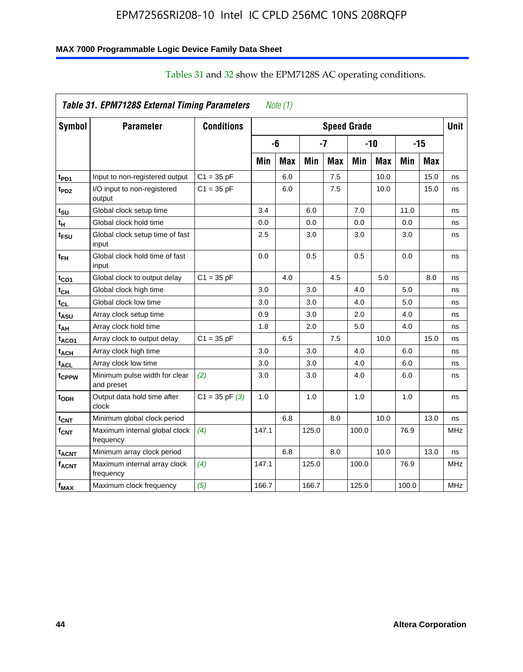### **MAX 7000 Programmable Logic Device Family Data Sheet**

|                         | Table 31. EPM7128S External Timing Parameters |                    |       | Note $(1)$ |       |            |                    |            |       |            |             |
|-------------------------|-----------------------------------------------|--------------------|-------|------------|-------|------------|--------------------|------------|-------|------------|-------------|
| <b>Symbol</b>           | <b>Parameter</b>                              | <b>Conditions</b>  |       |            |       |            | <b>Speed Grade</b> |            |       |            | <b>Unit</b> |
|                         |                                               |                    |       | -6         |       | $-7$       |                    | $-10$      |       | $-15$      |             |
|                         |                                               |                    | Min   | <b>Max</b> | Min   | <b>Max</b> | Min                | <b>Max</b> | Min   | <b>Max</b> |             |
| t <sub>PD1</sub>        | Input to non-registered output                | $C1 = 35 pF$       |       | 6.0        |       | 7.5        |                    | 10.0       |       | 15.0       | ns          |
| t <sub>PD2</sub>        | I/O input to non-registered<br>output         | $C1 = 35 pF$       |       | 6.0        |       | 7.5        |                    | 10.0       |       | 15.0       | ns          |
| tsu                     | Global clock setup time                       |                    | 3.4   |            | 6.0   |            | 7.0                |            | 11.0  |            | ns          |
| t <sub>Η</sub>          | Global clock hold time                        |                    | 0.0   |            | 0.0   |            | 0.0                |            | 0.0   |            | ns          |
| t <sub>FSU</sub>        | Global clock setup time of fast<br>input      |                    | 2.5   |            | 3.0   |            | 3.0                |            | 3.0   |            | ns          |
| $t_{FH}$                | Global clock hold time of fast<br>input       |                    | 0.0   |            | 0.5   |            | 0.5                |            | 0.0   |            | ns          |
| $t_{CO1}$               | Global clock to output delay                  | $C1 = 35 pF$       |       | 4.0        |       | 4.5        |                    | 5.0        |       | 8.0        | ns          |
| $t_{CH}$                | Global clock high time                        |                    | 3.0   |            | 3.0   |            | 4.0                |            | 5.0   |            | ns          |
| $t_{CL}$                | Global clock low time                         |                    | 3.0   |            | 3.0   |            | 4.0                |            | 5.0   |            | ns          |
| t <sub>ASU</sub>        | Array clock setup time                        |                    | 0.9   |            | 3.0   |            | 2.0                |            | 4.0   |            | ns          |
| t <sub>АН</sub>         | Array clock hold time                         |                    | 1.8   |            | 2.0   |            | 5.0                |            | 4.0   |            | ns          |
| t <sub>ACO1</sub>       | Array clock to output delay                   | $C1 = 35 pF$       |       | 6.5        |       | 7.5        |                    | 10.0       |       | 15.0       | ns          |
| $t_{\sf ACH}$           | Array clock high time                         |                    | 3.0   |            | 3.0   |            | 4.0                |            | 6.0   |            | ns          |
| t <sub>ACL</sub>        | Array clock low time                          |                    | 3.0   |            | 3.0   |            | 4.0                |            | 6.0   |            | ns          |
| t <sub>CPPW</sub>       | Minimum pulse width for clear<br>and preset   | (2)                | 3.0   |            | 3.0   |            | 4.0                |            | 6.0   |            | ns          |
| t <sub>ODH</sub>        | Output data hold time after<br>clock          | $C1 = 35$ pF $(3)$ | 1.0   |            | 1.0   |            | 1.0                |            | 1.0   |            | ns          |
| $t_{\text{CNT}}$        | Minimum global clock period                   |                    |       | 6.8        |       | 8.0        |                    | 10.0       |       | 13.0       | ns          |
| $f_{CNT}$               | Maximum internal global clock<br>frequency    | (4)                | 147.1 |            | 125.0 |            | 100.0              |            | 76.9  |            | <b>MHz</b>  |
| <b>t<sub>ACNT</sub></b> | Minimum array clock period                    |                    |       | 6.8        |       | 8.0        |                    | 10.0       |       | 13.0       | ns          |
| <b>f<sub>ACNT</sub></b> | Maximum internal array clock<br>frequency     | (4)                | 147.1 |            | 125.0 |            | 100.0              |            | 76.9  |            | <b>MHz</b>  |
| f <sub>MAX</sub>        | Maximum clock frequency                       | (5)                | 166.7 |            | 166.7 |            | 125.0              |            | 100.0 |            | MHz         |

## Tables 31 and 32 show the EPM7128S AC operating conditions.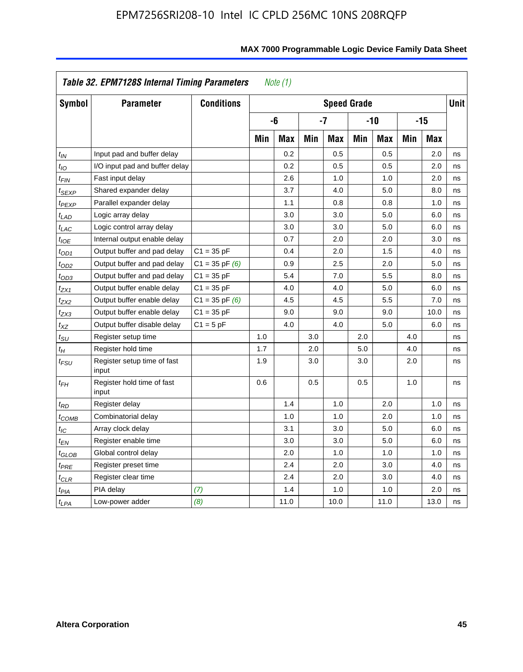|                            | Table 32. EPM7128S Internal Timing Parameters |                    |     | Note $(1)$ |     |                    |     |            |     |            |             |
|----------------------------|-----------------------------------------------|--------------------|-----|------------|-----|--------------------|-----|------------|-----|------------|-------------|
| Symbol                     | <b>Parameter</b>                              | <b>Conditions</b>  |     |            |     | <b>Speed Grade</b> |     |            |     |            | <b>Unit</b> |
|                            |                                               |                    |     | -6         |     | $-7$               |     | $-10$      |     | $-15$      |             |
|                            |                                               |                    | Min | <b>Max</b> | Min | <b>Max</b>         | Min | <b>Max</b> | Min | <b>Max</b> |             |
| $t_{IN}$                   | Input pad and buffer delay                    |                    |     | 0.2        |     | 0.5                |     | 0.5        |     | 2.0        | ns          |
| $t_{IO}$                   | I/O input pad and buffer delay                |                    |     | 0.2        |     | 0.5                |     | 0.5        |     | 2.0        | ns          |
| $t_{\textit{FIN}}$         | Fast input delay                              |                    |     | 2.6        |     | 1.0                |     | 1.0        |     | 2.0        | ns          |
| t <sub>SEXP</sub>          | Shared expander delay                         |                    |     | 3.7        |     | 4.0                |     | 5.0        |     | 8.0        | ns          |
| t <sub>PEXP</sub>          | Parallel expander delay                       |                    |     | 1.1        |     | 0.8                |     | 0.8        |     | 1.0        | ns          |
| t <sub>LAD</sub>           | Logic array delay                             |                    |     | 3.0        |     | 3.0                |     | 5.0        |     | 6.0        | ns          |
| $t_{LAC}$                  | Logic control array delay                     |                    |     | 3.0        |     | 3.0                |     | 5.0        |     | 6.0        | ns          |
| $t_{IOE}$                  | Internal output enable delay                  |                    |     | 0.7        |     | 2.0                |     | 2.0        |     | 3.0        | ns          |
| $t_{OD1}$                  | Output buffer and pad delay                   | $C1 = 35 pF$       |     | 0.4        |     | 2.0                |     | 1.5        |     | 4.0        | ns          |
| $t_{OD2}$                  | Output buffer and pad delay                   | $C1 = 35$ pF $(6)$ |     | 0.9        |     | 2.5                |     | 2.0        |     | 5.0        | ns          |
| $t_{OD3}$                  | Output buffer and pad delay                   | $C1 = 35 pF$       |     | 5.4        |     | 7.0                |     | 5.5        |     | 8.0        | ns          |
| $t_{ZX1}$                  | Output buffer enable delay                    | $C1 = 35 pF$       |     | 4.0        |     | 4.0                |     | 5.0        |     | 6.0        | ns          |
| t <sub>ZX2</sub>           | Output buffer enable delay                    | $C1 = 35$ pF $(6)$ |     | 4.5        |     | 4.5                |     | 5.5        |     | 7.0        | ns          |
| tzx3                       | Output buffer enable delay                    | $C1 = 35 pF$       |     | 9.0        |     | 9.0                |     | 9.0        |     | 10.0       | ns          |
| $t_{\mathsf{XZ}}$          | Output buffer disable delay                   | $C1 = 5pF$         |     | 4.0        |     | 4.0                |     | 5.0        |     | 6.0        | ns          |
| $t_{\text{SU}}$            | Register setup time                           |                    | 1.0 |            | 3.0 |                    | 2.0 |            | 4.0 |            | ns          |
| $t_H$                      | Register hold time                            |                    | 1.7 |            | 2.0 |                    | 5.0 |            | 4.0 |            | ns          |
| $t_{\mathit{FSU}}$         | Register setup time of fast<br>input          |                    | 1.9 |            | 3.0 |                    | 3.0 |            | 2.0 |            | ns          |
| $t_{FH}$                   | Register hold time of fast<br>input           |                    | 0.6 |            | 0.5 |                    | 0.5 |            | 1.0 |            | ns          |
| $t_{RD}$                   | Register delay                                |                    |     | 1.4        |     | 1.0                |     | 2.0        |     | 1.0        | ns          |
| $t_{\sf COMB}$             | Combinatorial delay                           |                    |     | 1.0        |     | 1.0                |     | 2.0        |     | 1.0        | ns          |
| $t_{\mathcal{IC}}$         | Array clock delay                             |                    |     | 3.1        |     | 3.0                |     | 5.0        |     | 6.0        | ns          |
| t <sub>EN</sub>            | Register enable time                          |                    |     | 3.0        |     | 3.0                |     | 5.0        |     | 6.0        | ns          |
| $t_{\scriptstyle\rm GLOB}$ | Global control delay                          |                    |     | 2.0        |     | 1.0                |     | 1.0        |     | 1.0        | ns          |
| $t_{PRE}$                  | Register preset time                          |                    |     | 2.4        |     | 2.0                |     | 3.0        |     | 4.0        | ns          |
| $t_{CLR}$                  | Register clear time                           |                    |     | 2.4        |     | 2.0                |     | 3.0        |     | 4.0        | ns          |
| t <sub>PIA</sub>           | PIA delay                                     | (7)                |     | 1.4        |     | 1.0                |     | 1.0        |     | 2.0        | ns          |
| $t_{LPA}$                  | Low-power adder                               | (8)                |     | 11.0       |     | 10.0               |     | 11.0       |     | 13.0       | ns          |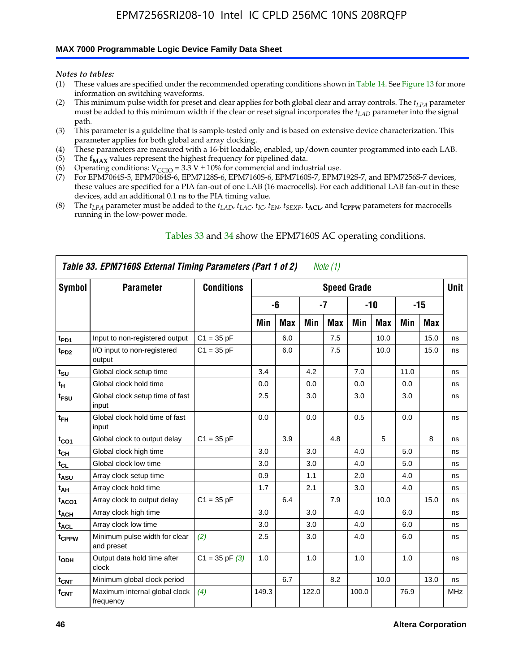#### **MAX 7000 Programmable Logic Device Family Data Sheet**

*Notes to tables:*

- (1) These values are specified under the recommended operating conditions shown in Table 14. See Figure 13 for more information on switching waveforms.
- (2) This minimum pulse width for preset and clear applies for both global clear and array controls. The  $t_{LPA}$  parameter must be added to this minimum width if the clear or reset signal incorporates the *tLAD* parameter into the signal path.
- (3) This parameter is a guideline that is sample-tested only and is based on extensive device characterization. This parameter applies for both global and array clocking.
- (4) These parameters are measured with a 16-bit loadable, enabled, up/down counter programmed into each LAB.
- (5) The  $f_{MAX}$  values represent the highest frequency for pipelined data.
- (6) Operating conditions:  $V_{\text{CCIO}} = 3.3 \text{ V} \pm 10\%$  for commercial and industrial use.
- (7) For EPM7064S-5, EPM7064S-6, EPM7128S-6, EPM7160S-6, EPM7160S-7, EPM7192S-7, and EPM7256S-7 devices, these values are specified for a PIA fan-out of one LAB (16 macrocells). For each additional LAB fan-out in these devices, add an additional 0.1 ns to the PIA timing value.
- (8) The  $t_{LPA}$  parameter must be added to the  $t_{LAD}$ ,  $t_{LAC}$ ,  $t_{IC}$ ,  $t_{EN}$ ,  $t_{SEXP}$ ,  $t_{ACL}$ , and  $t_{CPPW}$  parameters for macrocells running in the low-power mode.

|                  | Table 33. EPM7160S External Timing Parameters (Part 1 of 2) |                    |       |            |       | Note (1)   |                    |            |      |      |            |
|------------------|-------------------------------------------------------------|--------------------|-------|------------|-------|------------|--------------------|------------|------|------|------------|
| Symbol           | <b>Parameter</b>                                            | <b>Conditions</b>  |       |            |       |            | <b>Speed Grade</b> |            |      |      | Unit       |
|                  |                                                             |                    |       | -6         |       | -7         |                    | -10        |      | -15  |            |
|                  |                                                             |                    | Min   | <b>Max</b> | Min   | <b>Max</b> | Min                | <b>Max</b> | Min  | Max  |            |
| t <sub>PD1</sub> | Input to non-registered output                              | $C1 = 35 pF$       |       | 6.0        |       | 7.5        |                    | 10.0       |      | 15.0 | ns         |
| t <sub>PD2</sub> | I/O input to non-registered<br>output                       | $C1 = 35 pF$       |       | 6.0        |       | 7.5        |                    | 10.0       |      | 15.0 | ns         |
| $t_{\text{SU}}$  | Global clock setup time                                     |                    | 3.4   |            | 4.2   |            | 7.0                |            | 11.0 |      | ns         |
| $t_H$            | Global clock hold time                                      |                    | 0.0   |            | 0.0   |            | 0.0                |            | 0.0  |      | ns         |
| t <sub>FSU</sub> | Global clock setup time of fast<br>input                    |                    | 2.5   |            | 3.0   |            | 3.0                |            | 3.0  |      | ns         |
| $t_{FH}$         | Global clock hold time of fast<br>input                     |                    | 0.0   |            | 0.0   |            | 0.5                |            | 0.0  |      | ns         |
| $t_{CO1}$        | Global clock to output delay                                | $C1 = 35 pF$       |       | 3.9        |       | 4.8        |                    | 5          |      | 8    | ns         |
| $t_{CH}$         | Global clock high time                                      |                    | 3.0   |            | 3.0   |            | 4.0                |            | 5.0  |      | ns         |
| $t_{CL}$         | Global clock low time                                       |                    | 3.0   |            | 3.0   |            | 4.0                |            | 5.0  |      | ns         |
| t <sub>ASU</sub> | Array clock setup time                                      |                    | 0.9   |            | 1.1   |            | 2.0                |            | 4.0  |      | ns         |
| t <sub>АН</sub>  | Array clock hold time                                       |                    | 1.7   |            | 2.1   |            | 3.0                |            | 4.0  |      | ns         |
| $t_{ACO1}$       | Array clock to output delay                                 | $C1 = 35 pF$       |       | 6.4        |       | 7.9        |                    | 10.0       |      | 15.0 | ns         |
| $t_{ACH}$        | Array clock high time                                       |                    | 3.0   |            | 3.0   |            | 4.0                |            | 6.0  |      | ns         |
| $t_{\sf ACL}$    | Array clock low time                                        |                    | 3.0   |            | 3.0   |            | 4.0                |            | 6.0  |      | ns         |
| tcppw            | Minimum pulse width for clear<br>and preset                 | (2)                | 2.5   |            | 3.0   |            | 4.0                |            | 6.0  |      | ns         |
| t <sub>ODH</sub> | Output data hold time after<br>clock                        | $C1 = 35$ pF $(3)$ | 1.0   |            | 1.0   |            | 1.0                |            | 1.0  |      | ns         |
| $t_{\text{CNT}}$ | Minimum global clock period                                 |                    |       | 6.7        |       | 8.2        |                    | 10.0       |      | 13.0 | ns         |
| $f_{\text{CNT}}$ | Maximum internal global clock<br>frequency                  | (4)                | 149.3 |            | 122.0 |            | 100.0              |            | 76.9 |      | <b>MHz</b> |

### Tables 33 and 34 show the EPM7160S AC operating conditions.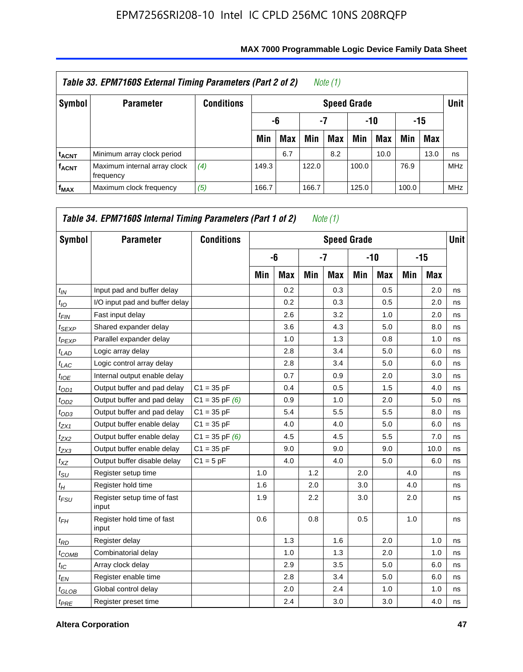|                         | Table 33. EPM7160S External Timing Parameters (Part 2 of 2) |                   |       |            |       | Note $(1)$         |       |      |       |            |             |
|-------------------------|-------------------------------------------------------------|-------------------|-------|------------|-------|--------------------|-------|------|-------|------------|-------------|
| Symbol                  | <b>Parameter</b>                                            | <b>Conditions</b> |       |            |       | <b>Speed Grade</b> |       |      |       |            | <b>Unit</b> |
|                         |                                                             |                   |       | -6         | -7    |                    | -10   |      |       | -15        |             |
|                         |                                                             |                   | Min   | <b>Max</b> | Min   | Max                | Min   | Max  | Min   | <b>Max</b> |             |
| <b>t<sub>ACNT</sub></b> | Minimum array clock period                                  |                   |       | 6.7        |       | 8.2                |       | 10.0 |       | 13.0       | ns          |
| <b>f<sub>ACNT</sub></b> | Maximum internal array clock<br>frequency                   | (4)               | 149.3 |            | 122.0 |                    | 100.0 |      | 76.9  |            | <b>MHz</b>  |
| $f_{MAX}$               | Maximum clock frequency                                     | (5)               | 166.7 |            | 166.7 |                    | 125.0 |      | 100.0 |            | <b>MHz</b>  |

| Symbol       | <b>Parameter</b>                     | <b>Conditions</b>  |     |            |     | <b>Speed Grade</b> |     |            |     |       | <b>Unit</b> |
|--------------|--------------------------------------|--------------------|-----|------------|-----|--------------------|-----|------------|-----|-------|-------------|
|              |                                      |                    |     | -6         |     | $-7$               |     | $-10$      |     | $-15$ |             |
|              |                                      |                    | Min | <b>Max</b> | Min | Max                | Min | <b>Max</b> | Min | Max   |             |
| $t_{IN}$     | Input pad and buffer delay           |                    |     | 0.2        |     | 0.3                |     | 0.5        |     | 2.0   | ns          |
| $t_{IO}$     | I/O input pad and buffer delay       |                    |     | 0.2        |     | 0.3                |     | 0.5        |     | 2.0   | ns          |
| $t_{FIN}$    | Fast input delay                     |                    |     | 2.6        |     | 3.2                |     | 1.0        |     | 2.0   | ns          |
| $t_{SEXP}$   | Shared expander delay                |                    |     | 3.6        |     | 4.3                |     | 5.0        |     | 8.0   | ns          |
| $t_{PEXP}$   | Parallel expander delay              |                    |     | 1.0        |     | 1.3                |     | 0.8        |     | 1.0   | ns          |
| $t_{LAD}$    | Logic array delay                    |                    |     | 2.8        |     | 3.4                |     | 5.0        |     | 6.0   | ns          |
| $t_{LAC}$    | Logic control array delay            |                    |     | 2.8        |     | 3.4                |     | 5.0        |     | 6.0   | ns          |
| $t_{IOE}$    | Internal output enable delay         |                    |     | 0.7        |     | 0.9                |     | 2.0        |     | 3.0   | ns          |
| $t_{OD1}$    | Output buffer and pad delay          | $C1 = 35 pF$       |     | 0.4        |     | 0.5                |     | 1.5        |     | 4.0   | ns          |
| $t_{OD2}$    | Output buffer and pad delay          | $C1 = 35$ pF $(6)$ |     | 0.9        |     | 1.0                |     | 2.0        |     | 5.0   | ns          |
| $t_{OD3}$    | Output buffer and pad delay          | $C1 = 35 pF$       |     | 5.4        |     | 5.5                |     | 5.5        |     | 8.0   | ns          |
| $t_{ZX1}$    | Output buffer enable delay           | $C1 = 35 pF$       |     | 4.0        |     | 4.0                |     | 5.0        |     | 6.0   | ns          |
| $t_{ZX2}$    | Output buffer enable delay           | $C1 = 35$ pF $(6)$ |     | 4.5        |     | 4.5                |     | 5.5        |     | 7.0   | ns          |
| $t_{ZX3}$    | Output buffer enable delay           | $C1 = 35 pF$       |     | 9.0        |     | 9.0                |     | 9.0        |     | 10.0  | ns          |
| $t_{XZ}$     | Output buffer disable delay          | $C1 = 5pF$         |     | 4.0        |     | 4.0                |     | 5.0        |     | 6.0   | ns          |
| $t_{\rm SU}$ | Register setup time                  |                    | 1.0 |            | 1.2 |                    | 2.0 |            | 4.0 |       | ns          |
| $t_H$        | Register hold time                   |                    | 1.6 |            | 2.0 |                    | 3.0 |            | 4.0 |       | ns          |
| $t_{FSU}$    | Register setup time of fast<br>input |                    | 1.9 |            | 2.2 |                    | 3.0 |            | 2.0 |       | ns          |
| $t_{FH}$     | Register hold time of fast<br>input  |                    | 0.6 |            | 0.8 |                    | 0.5 |            | 1.0 |       | ns          |
| $t_{RD}$     | Register delay                       |                    |     | 1.3        |     | 1.6                |     | 2.0        |     | 1.0   | ns          |
| $t_{COMB}$   | Combinatorial delay                  |                    |     | 1.0        |     | 1.3                |     | 2.0        |     | 1.0   | ns          |
| $t_{IC}$     | Array clock delay                    |                    |     | 2.9        |     | 3.5                |     | 5.0        |     | 6.0   | ns          |
| $t_{EN}$     | Register enable time                 |                    |     | 2.8        |     | 3.4                |     | 5.0        |     | 6.0   | ns          |
| $t_{GLOB}$   | Global control delay                 |                    |     | 2.0        |     | 2.4                |     | 1.0        |     | 1.0   | ns          |
| $t_{PRE}$    | Register preset time                 |                    |     | 2.4        |     | 3.0                |     | 3.0        |     | 4.0   | ns          |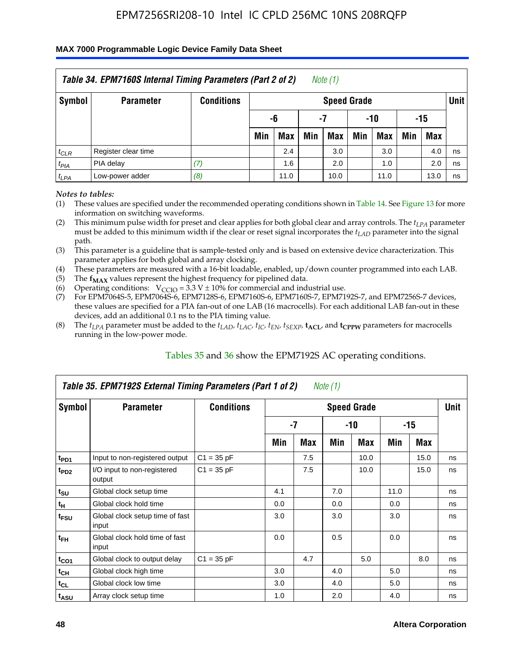#### **MAX 7000 Programmable Logic Device Family Data Sheet**

|           | Table 34. EPM7160S Internal Timing Parameters (Part 2 of 2) |                   |     |      |     | Note (1)           |     |      |     |      |             |
|-----------|-------------------------------------------------------------|-------------------|-----|------|-----|--------------------|-----|------|-----|------|-------------|
| Symbol    | <b>Parameter</b>                                            | <b>Conditions</b> |     |      |     | <b>Speed Grade</b> |     |      |     |      | <b>Unit</b> |
|           |                                                             |                   |     | -6   | -7  |                    |     | -10  | -15 |      |             |
|           |                                                             |                   | Min | Max  | Min | <b>Max</b>         | Min | Max  | Min | Max  |             |
| $t_{CLR}$ | Register clear time                                         |                   |     | 2.4  |     | 3.0                |     | 3.0  |     | 4.0  | ns          |
| $t_{PIA}$ | PIA delay                                                   | (7)               |     | 1.6  |     | 2.0                |     | 1.0  |     | 2.0  | ns          |
| $t_{LPA}$ | Low-power adder                                             | (8)               |     | 11.0 |     | 10.0               |     | 11.0 |     | 13.0 | ns          |

#### *Notes to tables:*

- (1) These values are specified under the recommended operating conditions shown in Table 14. See Figure 13 for more information on switching waveforms.
- (2) This minimum pulse width for preset and clear applies for both global clear and array controls. The  $t_{LPA}$  parameter must be added to this minimum width if the clear or reset signal incorporates the *t<sub>LAD</sub>* parameter into the signal path.
- (3) This parameter is a guideline that is sample-tested only and is based on extensive device characterization. This parameter applies for both global and array clocking.
- (4) These parameters are measured with a 16-bit loadable, enabled, up/down counter programmed into each LAB.
- (5) The  $f_{MAX}$  values represent the highest frequency for pipelined data.
- (6) Operating conditions:  $V_{\text{CCIO}} = 3.3 V \pm 10\%$  for commercial and industrial use.
- (7) For EPM7064S-5, EPM7064S-6, EPM7128S-6, EPM7160S-6, EPM7160S-7, EPM7192S-7, and EPM7256S-7 devices, these values are specified for a PIA fan-out of one LAB (16 macrocells). For each additional LAB fan-out in these devices, add an additional 0.1 ns to the PIA timing value.
- (8) The  $t_{LPA}$  parameter must be added to the  $t_{LAP}$ ,  $t_{LAC}$ ,  $t_{IC}$ ,  $t_{EN}$ ,  $t_{SEXP}$ ,  $t_{ACL}$ , and  $t_{CPPW}$  parameters for macrocells running in the low-power mode.

|                             | Table 35. EPM7192S External Timing Parameters (Part 1 of 2) |                   |     |      | Note (1) |                    |      |       |             |
|-----------------------------|-------------------------------------------------------------|-------------------|-----|------|----------|--------------------|------|-------|-------------|
| Symbol                      | <b>Parameter</b>                                            | <b>Conditions</b> |     |      |          | <b>Speed Grade</b> |      |       | <b>Unit</b> |
|                             |                                                             |                   |     | $-7$ |          | -10                |      | $-15$ |             |
|                             |                                                             |                   | Min | Max  | Min      | <b>Max</b>         | Min  | Max   |             |
| t <sub>PD1</sub>            | Input to non-registered output                              | $C1 = 35 pF$      |     | 7.5  |          | 10.0               |      | 15.0  | ns          |
| $t_{PD2}$                   | I/O input to non-registered<br>output                       | $C1 = 35 pF$      |     | 7.5  |          | 10.0               |      | 15.0  | ns          |
| $t_{\scriptstyle\text{SU}}$ | Global clock setup time                                     |                   | 4.1 |      | 7.0      |                    | 11.0 |       | ns          |
| $t_H$                       | Global clock hold time                                      |                   | 0.0 |      | 0.0      |                    | 0.0  |       | ns          |
| t <sub>FSU</sub>            | Global clock setup time of fast<br>input                    |                   | 3.0 |      | 3.0      |                    | 3.0  |       | ns          |
| $t_{FH}$                    | Global clock hold time of fast<br>input                     |                   | 0.0 |      | 0.5      |                    | 0.0  |       | ns          |
| $t_{CO1}$                   | Global clock to output delay                                | $C1 = 35 pF$      |     | 4.7  |          | 5.0                |      | 8.0   | ns          |
| $t_{CH}$                    | Global clock high time                                      |                   | 3.0 |      | 4.0      |                    | 5.0  |       | ns          |
| $t_{CL}$                    | Global clock low time                                       |                   | 3.0 |      | 4.0      |                    | 5.0  |       | ns          |
| t <sub>ASU</sub>            | Array clock setup time                                      |                   | 1.0 |      | 2.0      |                    | 4.0  |       | ns          |

### Tables 35 and 36 show the EPM7192S AC operating conditions.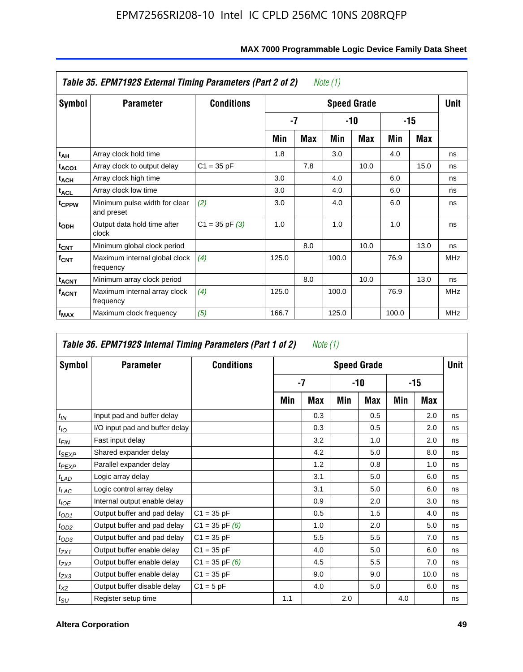|                         | Table 35. EPM7192S External Timing Parameters (Part 2 of 2) |                    |       |     | Note (1) |                    |       |      |             |
|-------------------------|-------------------------------------------------------------|--------------------|-------|-----|----------|--------------------|-------|------|-------------|
| Symbol                  | <b>Parameter</b>                                            | <b>Conditions</b>  |       |     |          | <b>Speed Grade</b> |       |      | <b>Unit</b> |
|                         |                                                             |                    |       | -7  |          | -10                |       | -15  |             |
|                         |                                                             |                    | Min   | Max | Min      | Max                | Min   | Max  |             |
| t <sub>АН</sub>         | Array clock hold time                                       |                    | 1.8   |     | 3.0      |                    | 4.0   |      | ns          |
| t <sub>ACO1</sub>       | Array clock to output delay                                 | $C1 = 35 pF$       |       | 7.8 |          | 10.0               |       | 15.0 | ns          |
| $t_{\sf ACH}$           | Array clock high time                                       |                    | 3.0   |     | 4.0      |                    | 6.0   |      | ns          |
| $t_{\sf ACL}$           | Array clock low time                                        |                    | 3.0   |     | 4.0      |                    | 6.0   |      | ns          |
| t <sub>CPPW</sub>       | Minimum pulse width for clear<br>and preset                 | (2)                | 3.0   |     | 4.0      |                    | 6.0   |      | ns          |
| $t_{ODH}$               | Output data hold time after<br>clock                        | $C1 = 35$ pF $(3)$ | 1.0   |     | 1.0      |                    | 1.0   |      | ns          |
| $t_{\mathsf{CNT}}$      | Minimum global clock period                                 |                    |       | 8.0 |          | 10.0               |       | 13.0 | ns          |
| $f_{\text{CNT}}$        | Maximum internal global clock<br>frequency                  | (4)                | 125.0 |     | 100.0    |                    | 76.9  |      | <b>MHz</b>  |
| $t_{ACNT}$              | Minimum array clock period                                  |                    |       | 8.0 |          | 10.0               |       | 13.0 | ns          |
| <b>f<sub>ACNT</sub></b> | Maximum internal array clock<br>frequency                   | (4)                | 125.0 |     | 100.0    |                    | 76.9  |      | <b>MHz</b>  |
| f <sub>MAX</sub>        | Maximum clock frequency                                     | (5)                | 166.7 |     | 125.0    |                    | 100.0 |      | <b>MHz</b>  |

### **MAX 7000 Programmable Logic Device Family Data Sheet**

|                 | Table 36. EPM7192S Internal Timing Parameters (Part 1 of 2) |                    |     | Note (1) |     |                    |     |       |      |
|-----------------|-------------------------------------------------------------|--------------------|-----|----------|-----|--------------------|-----|-------|------|
| Symbol          | <b>Parameter</b>                                            | <b>Conditions</b>  |     |          |     | <b>Speed Grade</b> |     |       | Unit |
|                 |                                                             |                    |     | -7       |     | -10                |     | $-15$ |      |
|                 |                                                             |                    | Min | Max      | Min | Max                | Min | Max   |      |
| $t_{IN}$        | Input pad and buffer delay                                  |                    |     | 0.3      |     | 0.5                |     | 2.0   | ns   |
| $t_{IO}$        | I/O input pad and buffer delay                              |                    |     | 0.3      |     | 0.5                |     | 2.0   | ns   |
| $t_{FIN}$       | Fast input delay                                            |                    |     | 3.2      |     | 1.0                |     | 2.0   | ns   |
| $t_{SEXP}$      | Shared expander delay                                       |                    |     | 4.2      |     | 5.0                |     | 8.0   | ns   |
| $t_{PEXP}$      | Parallel expander delay                                     |                    |     | 1.2      |     | 0.8                |     | 1.0   | ns   |
| $t_{LAD}$       | Logic array delay                                           |                    |     | 3.1      |     | 5.0                |     | 6.0   | ns   |
| $t_{LAC}$       | Logic control array delay                                   |                    |     | 3.1      |     | 5.0                |     | 6.0   | ns   |
| $t_{IOE}$       | Internal output enable delay                                |                    |     | 0.9      |     | 2.0                |     | 3.0   | ns   |
| $t_{OD1}$       | Output buffer and pad delay                                 | $C1 = 35 pF$       |     | 0.5      |     | 1.5                |     | 4.0   | ns   |
| $t_{OD2}$       | Output buffer and pad delay                                 | $C1 = 35$ pF $(6)$ |     | 1.0      |     | 2.0                |     | 5.0   | ns   |
| $t_{OD3}$       | Output buffer and pad delay                                 | $C1 = 35 pF$       |     | 5.5      |     | 5.5                |     | 7.0   | ns   |
| $t_{ZX1}$       | Output buffer enable delay                                  | $C1 = 35 pF$       |     | 4.0      |     | 5.0                |     | 6.0   | ns   |
| $t_{ZX2}$       | Output buffer enable delay                                  | $C1 = 35$ pF $(6)$ |     | 4.5      |     | 5.5                |     | 7.0   | ns   |
| $t_{ZX3}$       | Output buffer enable delay                                  | $C1 = 35 pF$       |     | 9.0      |     | 9.0                |     | 10.0  | ns   |
| $t_{XZ}$        | Output buffer disable delay                                 | $C1 = 5pF$         |     | 4.0      |     | 5.0                |     | 6.0   | ns   |
| $t_{\text{SU}}$ | Register setup time                                         |                    | 1.1 |          | 2.0 |                    | 4.0 |       | ns   |

**F**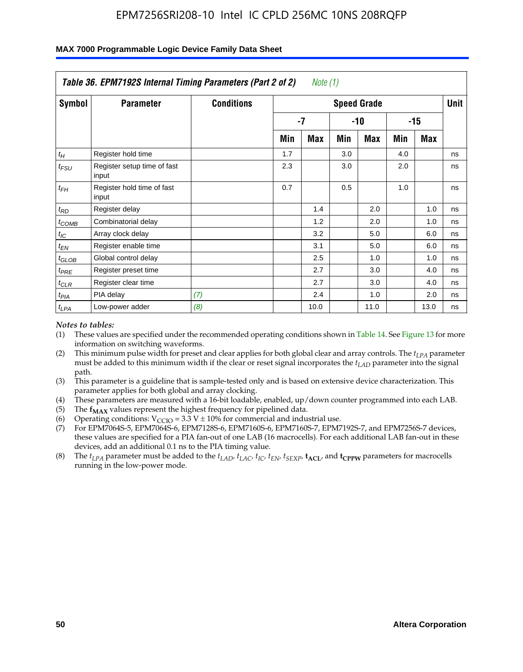|                    | Table 36. EPM7192S Internal Timing Parameters (Part 2 of 2) |                   |     | Note (1) |     |                    |     |       |      |
|--------------------|-------------------------------------------------------------|-------------------|-----|----------|-----|--------------------|-----|-------|------|
| Symbol             | <b>Parameter</b>                                            | <b>Conditions</b> |     |          |     | <b>Speed Grade</b> |     |       | Unit |
|                    |                                                             |                   |     | -7       |     | -10                |     | $-15$ |      |
|                    |                                                             |                   | Min | Max      | Min | Max                | Min | Max   |      |
| $t_H$              | Register hold time                                          |                   | 1.7 |          | 3.0 |                    | 4.0 |       | ns   |
| $t_{\mathit{FSU}}$ | Register setup time of fast<br>input                        |                   | 2.3 |          | 3.0 |                    | 2.0 |       | ns   |
| $t_{FH}$           | Register hold time of fast<br>input                         |                   | 0.7 |          | 0.5 |                    | 1.0 |       | ns   |
| $t_{RD}$           | Register delay                                              |                   |     | 1.4      |     | 2.0                |     | 1.0   | ns   |
| $t_{COMB}$         | Combinatorial delay                                         |                   |     | 1.2      |     | 2.0                |     | 1.0   | ns   |
| $t_{IC}$           | Array clock delay                                           |                   |     | 3.2      |     | 5.0                |     | 6.0   | ns   |
| $t_{EN}$           | Register enable time                                        |                   |     | 3.1      |     | 5.0                |     | 6.0   | ns   |
| $t_{GLOB}$         | Global control delay                                        |                   |     | 2.5      |     | 1.0                |     | 1.0   | ns   |
| $t_{PRE}$          | Register preset time                                        |                   |     | 2.7      |     | 3.0                |     | 4.0   | ns   |
| $t_{CLR}$          | Register clear time                                         |                   |     | 2.7      |     | 3.0                |     | 4.0   | ns   |
| t <sub>PIA</sub>   | PIA delay                                                   | (7)               |     | 2.4      |     | 1.0                |     | 2.0   | ns   |
| $t_{LPA}$          | Low-power adder                                             | (8)               |     | 10.0     |     | 11.0               |     | 13.0  | ns   |

#### **MAX 7000 Programmable Logic Device Family Data Sheet**

#### *Notes to tables:*

- (1) These values are specified under the recommended operating conditions shown in Table 14. See Figure 13 for more information on switching waveforms.
- (2) This minimum pulse width for preset and clear applies for both global clear and array controls. The *tLPA* parameter must be added to this minimum width if the clear or reset signal incorporates the *t<sub>LAD</sub>* parameter into the signal path.
- (3) This parameter is a guideline that is sample-tested only and is based on extensive device characterization. This parameter applies for both global and array clocking.
- (4) These parameters are measured with a 16-bit loadable, enabled, up/down counter programmed into each LAB.
- (5) The  $f_{MAX}$  values represent the highest frequency for pipelined data.
- (6) Operating conditions:  $V_{\text{CCIO}} = 3.3 \text{ V} \pm 10\%$  for commercial and industrial use.
- (7) For EPM7064S-5, EPM7064S-6, EPM7128S-6, EPM7160S-6, EPM7160S-7, EPM7192S-7, and EPM7256S-7 devices, these values are specified for a PIA fan-out of one LAB (16 macrocells). For each additional LAB fan-out in these devices, add an additional 0.1 ns to the PIA timing value.
- (8) The  $t_{LPA}$  parameter must be added to the  $t_{LAD}$ ,  $t_{LAC}$ ,  $t_{IC}$ ,  $t_{EN}$ ,  $t_{SIX}$ ,  $t_{ACL}$ , and  $t_{CPW}$  parameters for macrocells running in the low-power mode.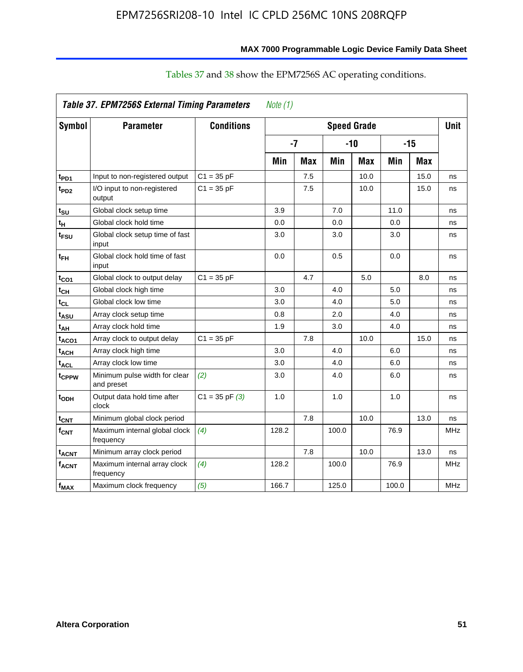|                    | <b>Table 37. EPM7256S External Timing Parameters</b> |                    | Note $(1)$ |     |                    |      |       |            |            |
|--------------------|------------------------------------------------------|--------------------|------------|-----|--------------------|------|-------|------------|------------|
| Symbol             | <b>Parameter</b>                                     | <b>Conditions</b>  |            |     | <b>Speed Grade</b> |      |       |            | Unit       |
|                    |                                                      |                    | $-7$       |     | $-10$              |      | $-15$ |            |            |
|                    |                                                      |                    | Min        | Max | Min                | Max  | Min   | <b>Max</b> |            |
| t <sub>PD1</sub>   | Input to non-registered output                       | $C1 = 35 pF$       |            | 7.5 |                    | 10.0 |       | 15.0       | ns         |
| t <sub>PD2</sub>   | I/O input to non-registered<br>output                | $C1 = 35 pF$       |            | 7.5 |                    | 10.0 |       | 15.0       | ns         |
| t <sub>su</sub>    | Global clock setup time                              |                    | 3.9        |     | 7.0                |      | 11.0  |            | ns         |
| $t_H$              | Global clock hold time                               |                    | 0.0        |     | 0.0                |      | 0.0   |            | ns         |
| t <sub>FSU</sub>   | Global clock setup time of fast<br>input             |                    | 3.0        |     | 3.0                |      | 3.0   |            | ns         |
| $t_{FH}$           | Global clock hold time of fast<br>input              |                    | 0.0        |     | 0.5                |      | 0.0   |            | ns         |
| $t_{CO1}$          | Global clock to output delay                         | $C1 = 35 pF$       |            | 4.7 |                    | 5.0  |       | 8.0        | ns         |
| $t_{CH}$           | Global clock high time                               |                    | 3.0        |     | 4.0                |      | 5.0   |            | ns         |
| $t_{CL}$           | Global clock low time                                |                    | 3.0        |     | 4.0                |      | 5.0   |            | ns         |
| t <sub>ASU</sub>   | Array clock setup time                               |                    | 0.8        |     | 2.0                |      | 4.0   |            | ns         |
| $t_{AH}$           | Array clock hold time                                |                    | 1.9        |     | 3.0                |      | 4.0   |            | ns         |
| t <sub>ACO1</sub>  | Array clock to output delay                          | $C1 = 35 pF$       |            | 7.8 |                    | 10.0 |       | 15.0       | ns         |
| $t_{ACH}$          | Array clock high time                                |                    | 3.0        |     | 4.0                |      | 6.0   |            | ns         |
| $t_{\text{ACL}}$   | Array clock low time                                 |                    | 3.0        |     | 4.0                |      | 6.0   |            | ns         |
| t <sub>CPPW</sub>  | Minimum pulse width for clear<br>and preset          | (2)                | 3.0        |     | 4.0                |      | 6.0   |            | ns         |
| t <sub>ODH</sub>   | Output data hold time after<br>clock                 | $C1 = 35$ pF $(3)$ | 1.0        |     | 1.0                |      | 1.0   |            | ns         |
| $t_{\text{CNT}}$   | Minimum global clock period                          |                    |            | 7.8 |                    | 10.0 |       | 13.0       | ns         |
| $f_{\mathsf{CNT}}$ | Maximum internal global clock<br>frequency           | (4)                | 128.2      |     | 100.0              |      | 76.9  |            | <b>MHz</b> |
| t <sub>ACNT</sub>  | Minimum array clock period                           |                    |            | 7.8 |                    | 10.0 |       | 13.0       | ns         |
| f <sub>ACNT</sub>  | Maximum internal array clock<br>frequency            | (4)                | 128.2      |     | 100.0              |      | 76.9  |            | <b>MHz</b> |
| $f_{MAX}$          | Maximum clock frequency                              | (5)                | 166.7      |     | 125.0              |      | 100.0 |            | <b>MHz</b> |

## Tables 37 and 38 show the EPM7256S AC operating conditions.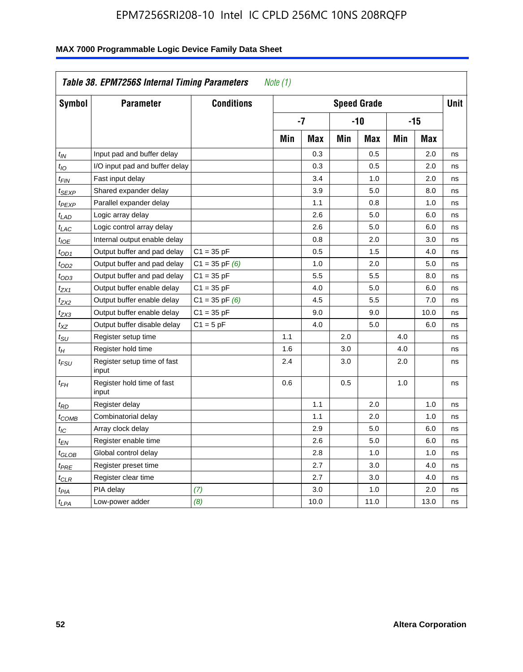|                   | Table 38. EPM7256S Internal Timing Parameters |                    | Note (1) |      |     |                    |     |       |      |
|-------------------|-----------------------------------------------|--------------------|----------|------|-----|--------------------|-----|-------|------|
| Symbol            | <b>Parameter</b>                              | <b>Conditions</b>  |          |      |     | <b>Speed Grade</b> |     |       | Unit |
|                   |                                               |                    |          | $-7$ |     | -10                |     | $-15$ |      |
|                   |                                               |                    | Min      | Max  | Min | Max                | Min | Max   |      |
| $t_{IN}$          | Input pad and buffer delay                    |                    |          | 0.3  |     | 0.5                |     | 2.0   | ns   |
| $t_{1O}$          | I/O input pad and buffer delay                |                    |          | 0.3  |     | 0.5                |     | 2.0   | ns   |
| t <sub>FIN</sub>  | Fast input delay                              |                    |          | 3.4  |     | 1.0                |     | 2.0   | ns   |
| t <sub>SEXP</sub> | Shared expander delay                         |                    |          | 3.9  |     | 5.0                |     | 8.0   | ns   |
| t <sub>PEXP</sub> | Parallel expander delay                       |                    |          | 1.1  |     | 0.8                |     | 1.0   | ns   |
| t <sub>LAD</sub>  | Logic array delay                             |                    |          | 2.6  |     | 5.0                |     | 6.0   | ns   |
| $t_{LAC}$         | Logic control array delay                     |                    |          | 2.6  |     | 5.0                |     | 6.0   | ns   |
| $t_{IOE}$         | Internal output enable delay                  |                    |          | 0.8  |     | 2.0                |     | 3.0   | ns   |
| t <sub>OD1</sub>  | Output buffer and pad delay                   | $C1 = 35 pF$       |          | 0.5  |     | 1.5                |     | 4.0   | ns   |
| t <sub>OD2</sub>  | Output buffer and pad delay                   | $C1 = 35$ pF $(6)$ |          | 1.0  |     | 2.0                |     | 5.0   | ns   |
| $t_{OD3}$         | Output buffer and pad delay                   | $C1 = 35 pF$       |          | 5.5  |     | 5.5                |     | 8.0   | ns   |
| $t_{ZX1}$         | Output buffer enable delay                    | $C1 = 35 pF$       |          | 4.0  |     | 5.0                |     | 6.0   | ns   |
| t <sub>ZX2</sub>  | Output buffer enable delay                    | $C1 = 35$ pF $(6)$ |          | 4.5  |     | 5.5                |     | 7.0   | ns   |
| $t_{ZX3}$         | Output buffer enable delay                    | $C1 = 35 pF$       |          | 9.0  |     | 9.0                |     | 10.0  | ns   |
| $t_{XZ}$          | Output buffer disable delay                   | $C1 = 5pF$         |          | 4.0  |     | 5.0                |     | 6.0   | ns   |
| $t_{\rm SU}$      | Register setup time                           |                    | 1.1      |      | 2.0 |                    | 4.0 |       | ns   |
| $t_H$             | Register hold time                            |                    | 1.6      |      | 3.0 |                    | 4.0 |       | ns   |
| t <sub>FSU</sub>  | Register setup time of fast<br>input          |                    | 2.4      |      | 3.0 |                    | 2.0 |       | ns   |
| $t_{FH}$          | Register hold time of fast<br>input           |                    | 0.6      |      | 0.5 |                    | 1.0 |       | ns   |
| $t_{RD}$          | Register delay                                |                    |          | 1.1  |     | 2.0                |     | 1.0   | ns   |
| t <sub>COMB</sub> | Combinatorial delay                           |                    |          | 1.1  |     | 2.0                |     | 1.0   | ns   |
| t <sub>IC</sub>   | Array clock delay                             |                    |          | 2.9  |     | 5.0                |     | 6.0   | ns   |
| t <sub>EN</sub>   | Register enable time                          |                    |          | 2.6  |     | 5.0                |     | 6.0   | ns   |
| t <sub>GLOB</sub> | Global control delay                          |                    |          | 2.8  |     | 1.0                |     | 1.0   | ns   |
| $t_{PRE}$         | Register preset time                          |                    |          | 2.7  |     | 3.0                |     | 4.0   | ns   |
| $t_{\sf CLR}$     | Register clear time                           |                    |          | 2.7  |     | 3.0                |     | 4.0   | ns   |
| $t_{PIA}$         | PIA delay                                     | (7)                |          | 3.0  |     | 1.0                |     | 2.0   | ns   |
| $t_{LPA}$         | Low-power adder                               | (8)                |          | 10.0 |     | 11.0               |     | 13.0  | ns   |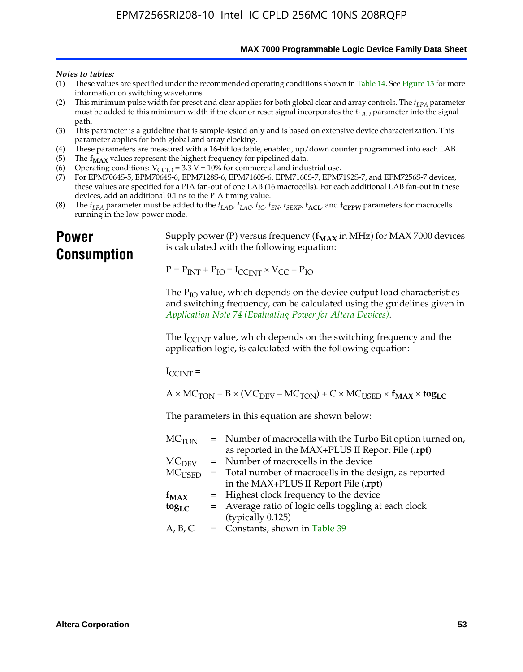**MAX 7000 Programmable Logic Device Family Data Sheet**

#### *Notes to tables:*

- (1) These values are specified under the recommended operating conditions shown in Table 14. See Figure 13 for more information on switching waveforms.
- (2) This minimum pulse width for preset and clear applies for both global clear and array controls. The  $t_{LPA}$  parameter must be added to this minimum width if the clear or reset signal incorporates the *tLAD* parameter into the signal path.
- (3) This parameter is a guideline that is sample-tested only and is based on extensive device characterization. This parameter applies for both global and array clocking.
- (4) These parameters are measured with a 16-bit loadable, enabled, up/down counter programmed into each LAB.
- (5) The  $f_{MAX}$  values represent the highest frequency for pipelined data.
- (6) Operating conditions:  $V_{\text{CCIO}} = 3.3 \text{ V} \pm 10\%$  for commercial and industrial use.
- (7) For EPM7064S-5, EPM7064S-6, EPM7128S-6, EPM7160S-6, EPM7160S-7, EPM7192S-7, and EPM7256S-7 devices, these values are specified for a PIA fan-out of one LAB (16 macrocells). For each additional LAB fan-out in these devices, add an additional 0.1 ns to the PIA timing value.
- (8) The  $t_{LPA}$  parameter must be added to the  $t_{LAD}$ ,  $t_{LAC}$ ,  $t_{IC}$ ,  $t_{EN}$ ,  $t_{SEXP}$ ,  $t_{ACL}$ , and  $t_{CPPW}$  parameters for macrocells running in the low-power mode.

## **Power Consumption**

[Supply power \(P\) versus frequency \(](http://www.altera.com/literature/an/an074.pdf) $f_{MAX}$  in MHz) for MAX 7000 devices is calculated with the following equation:

 $P = P_{INT} + P_{IO} = I_{CCLNT} \times V_{CC} + P_{IO}$ 

The  $P_{IO}$  value, which depends on the device output load characteristics and switching frequency, can be calculated using the guidelines given in *Application Note 74 (Evaluating Power for Altera Devices)*.

The  $I_{\text{CCINT}}$  value, which depends on the switching frequency and the application logic, is calculated with the following equation:

 $I_{\text{CCTNT}} =$ 

 $A \times MC_{TON} + B \times (MC_{DEFU} - MC_{TON}) + C \times MC_{LISED} \times f_{MAX} \times tog_{LC}$ 

The parameters in this equation are shown below:

| $MC$ <sub>TON</sub> | = Number of macrocells with the Turbo Bit option turned on, |
|---------------------|-------------------------------------------------------------|
|                     | as reported in the MAX+PLUS II Report File (.rpt)           |
| MC <sub>DFV</sub>   | = Number of macrocells in the device                        |
| $MC_{\rm{LISED}}$   | = Total number of macrocells in the design, as reported     |
|                     | in the MAX+PLUS II Report File (.rpt)                       |
| $f_{MAX}$           | = Highest clock frequency to the device                     |
| $tog_{LC}$          | = Average ratio of logic cells toggling at each clock       |
|                     | (typically 0.125)                                           |
| A, B, C             | $=$ Constants, shown in Table 39                            |
|                     |                                                             |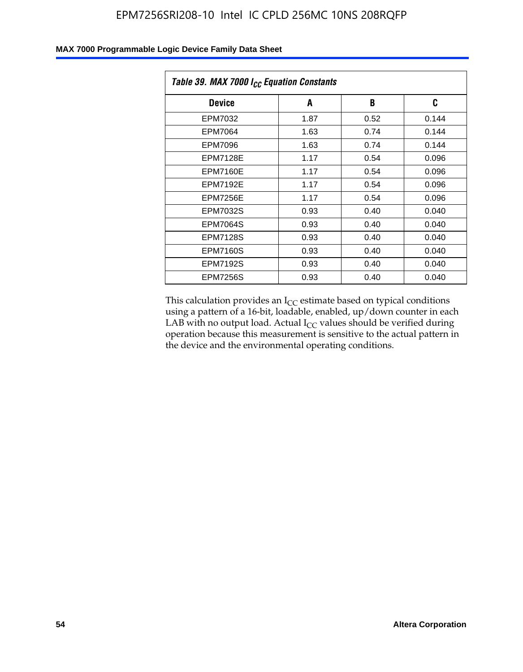| Table 39. MAX 7000 I <sub>CC</sub> Equation Constants |      |      |       |  |  |
|-------------------------------------------------------|------|------|-------|--|--|
| <b>Device</b>                                         | A    | B    | C     |  |  |
| EPM7032                                               | 1.87 | 0.52 | 0.144 |  |  |
| EPM7064                                               | 1.63 | 0.74 | 0.144 |  |  |
| EPM7096                                               | 1.63 | 0.74 | 0.144 |  |  |
| <b>EPM7128E</b>                                       | 1.17 | 0.54 | 0.096 |  |  |
| EPM7160E                                              | 1.17 | 0.54 | 0.096 |  |  |
| <b>EPM7192E</b>                                       | 1.17 | 0.54 | 0.096 |  |  |
| <b>EPM7256E</b>                                       | 1.17 | 0.54 | 0.096 |  |  |
| <b>EPM7032S</b>                                       | 0.93 | 0.40 | 0.040 |  |  |
| EPM7064S                                              | 0.93 | 0.40 | 0.040 |  |  |
| <b>EPM7128S</b>                                       | 0.93 | 0.40 | 0.040 |  |  |
| <b>EPM7160S</b>                                       | 0.93 | 0.40 | 0.040 |  |  |
| <b>EPM7192S</b>                                       | 0.93 | 0.40 | 0.040 |  |  |
| <b>EPM7256S</b>                                       | 0.93 | 0.40 | 0.040 |  |  |

This calculation provides an  $I_{CC}$  estimate based on typical conditions using a pattern of a 16-bit, loadable, enabled, up/down counter in each LAB with no output load. Actual  $I_{CC}$  values should be verified during operation because this measurement is sensitive to the actual pattern in the device and the environmental operating conditions.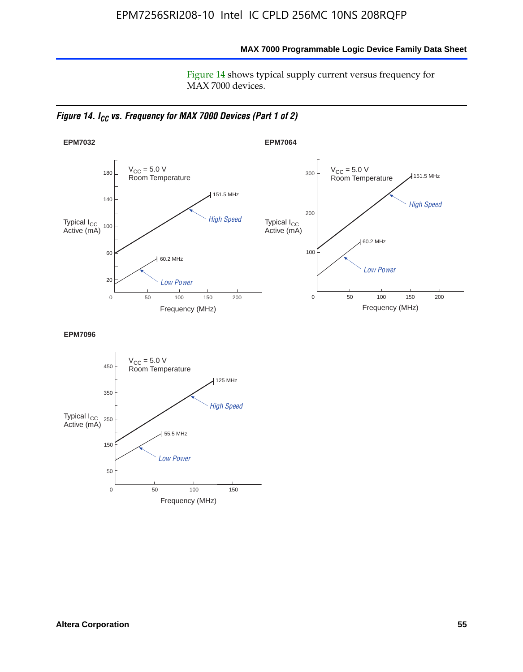**MAX 7000 Programmable Logic Device Family Data Sheet**

Figure 14 shows typical supply current versus frequency for MAX 7000 devices.

*Figure 14. I<sub>CC</sub> vs. Frequency for MAX 7000 Devices (Part 1 of 2)* 



**EPM7096**

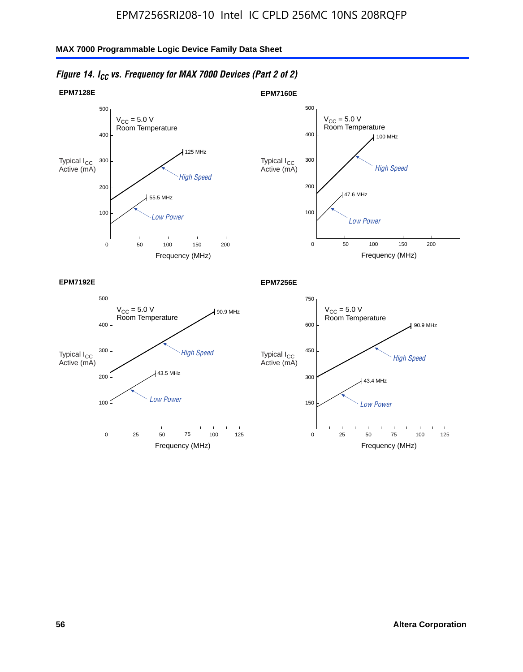

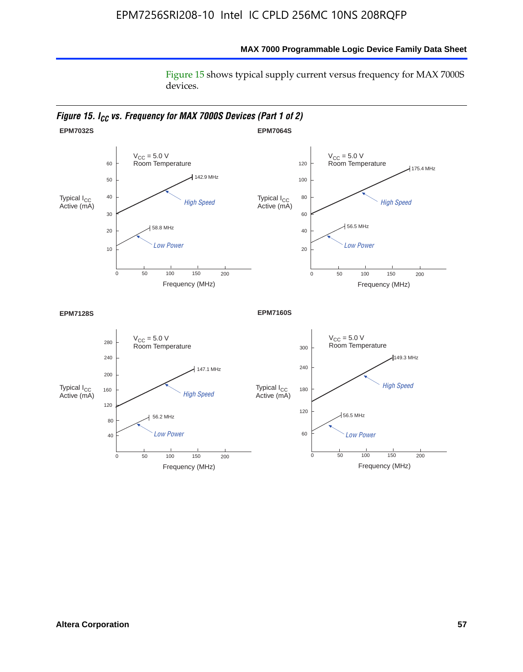Figure 15 shows typical supply current versus frequency for MAX 7000S devices.

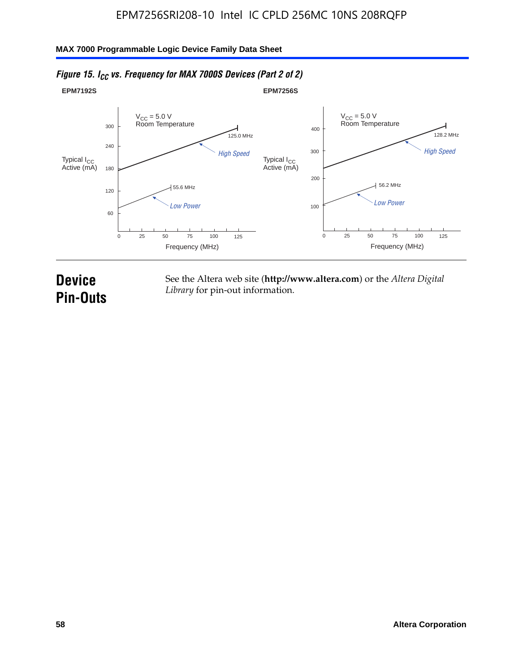#### **EPM7192S** V<sub>CC</sub> = 5.0 V<br>Room Temperature 0 Frequency (MHz) High Speed Low Power 25 100 125 125.0 MHz 55.6 MHz 60 120 180 240 300 50 75 **EPM7256S** V<sub>CC</sub> = 5.0 V<br>Room Temperature 0 Frequency (MHz) High Speed Low Power 25 100 125 128.2 MHz 56.2 MHz 100 200 300 400 50 75 Typical I<sub>CC</sub><br>Active (mA) Typical I<sub>CC</sub> Typical I<sub>CC</sub> Typical I<sub>C</sub> Typical I<sub>C</sub> Typical I<sub>C</sub> Typical I<sub>C</sub> Typical I<sub>C</sub> Typical I<sub>C</sub> Typical I<sub>C</sub> Typical I<sub>C</sub> Typical I<sub>C</sub> Typical I<sub>C</sub> Typical I<sub>C</sub> Typical I<sub>C</sub> Typical I<sub>C</sub> Typical I<sub>C</sub> Typical I<sub>C</sub> Typical I<sub>CC</sub><br>Active (mA)

## *Figure 15. I<sub>CC</sub> vs. Frequency for MAX 7000S Devices (Part 2 of 2)*

## **Device Pin-Outs**

See the Altera web site (**http://www.altera.com**) or the *Altera Digital Library* for pin-out information.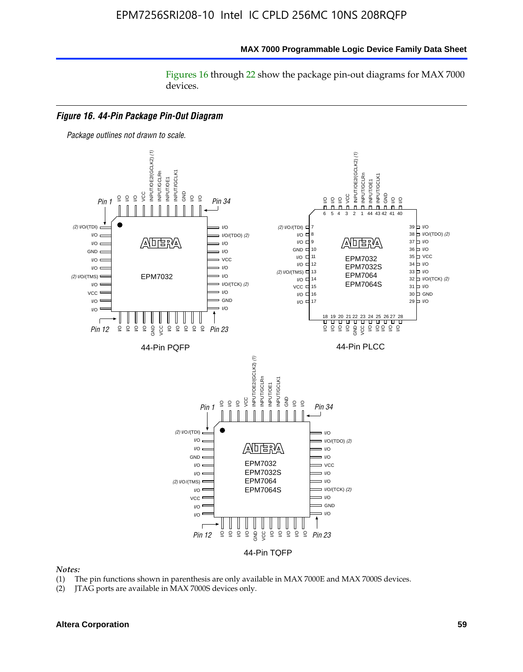Figures 16 through 22 show the package pin-out diagrams for MAX 7000 devices.



#### *Notes:*

- (1) The pin functions shown in parenthesis are only available in MAX 7000E and MAX 7000S devices.
- (2) JTAG ports are available in MAX 7000S devices only.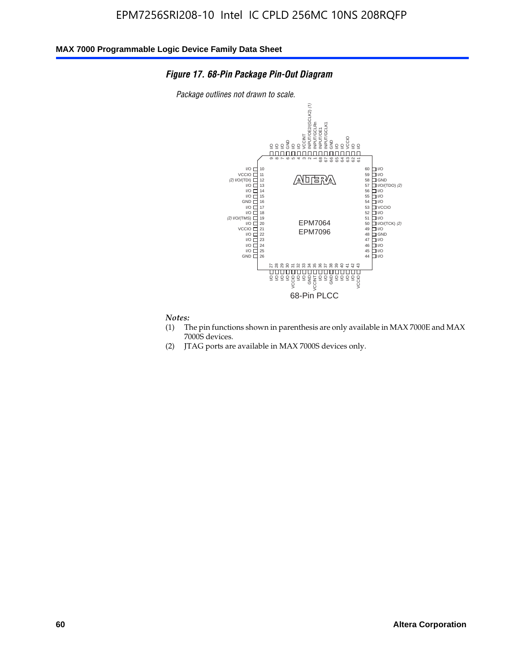### *Figure 17. 68-Pin Package Pin-Out Diagram*

*Package outlines not drawn to scale.*



## *Notes:*<br>(1) T

- The pin functions shown in parenthesis are only available in MAX 7000E and MAX 7000S devices.
- (2) JTAG ports are available in MAX 7000S devices only.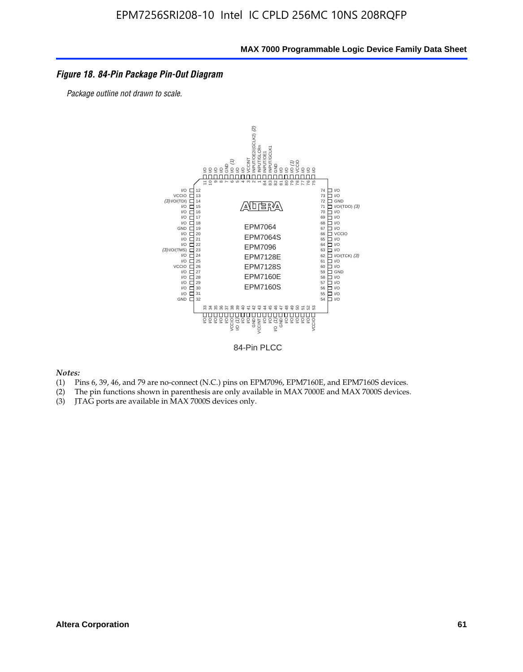### *Figure 18. 84-Pin Package Pin-Out Diagram*

*Package outline not drawn to scale.*



84-Pin PLCC

*Notes:*

- (1) Pins 6, 39, 46, and 79 are no-connect (N.C.) pins on EPM7096, EPM7160E, and EPM7160S devices.
- (2) The pin functions shown in parenthesis are only available in MAX 7000E and MAX 7000S devices.
-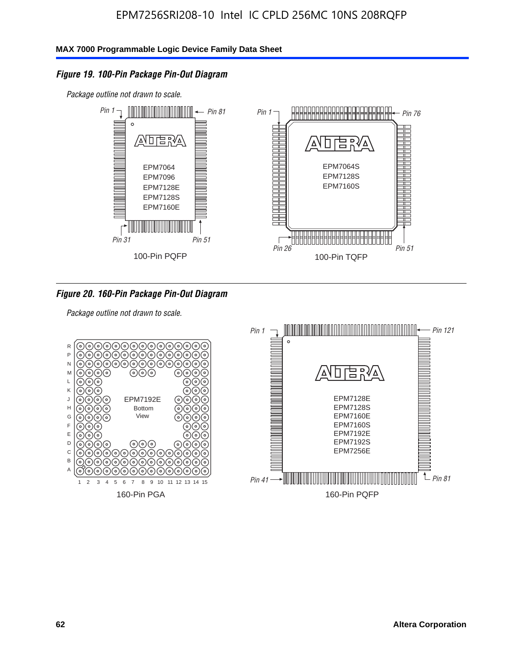### *Figure 19. 100-Pin Package Pin-Out Diagram*

*Package outline not drawn to scale.*



### *Figure 20. 160-Pin Package Pin-Out Diagram*

*Package outline not drawn to scale.*

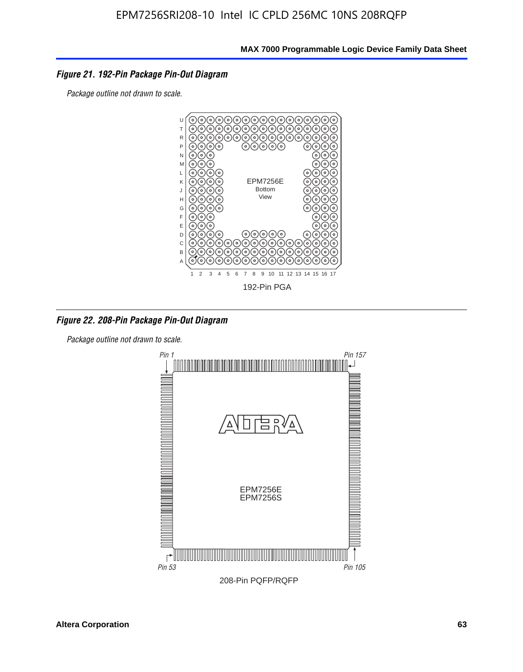### *Figure 21. 192-Pin Package Pin-Out Diagram*

*Package outline not drawn to scale.*



*Figure 22. 208-Pin Package Pin-Out Diagram*

*Package outline not drawn to scale.*

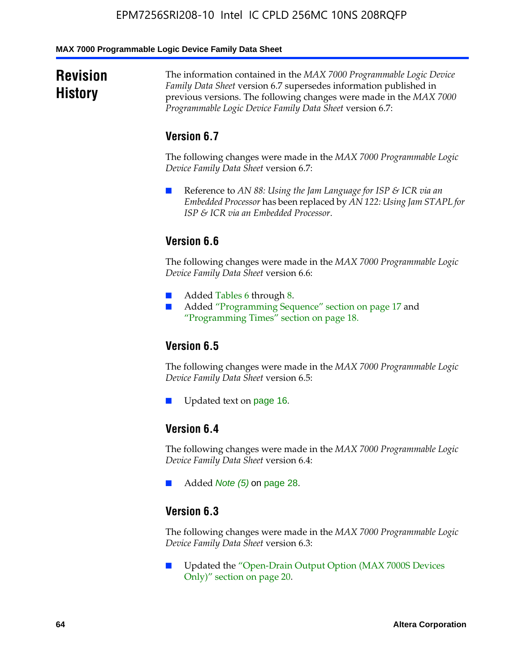#### **MAX 7000 Programmable Logic Device Family Data Sheet**

## **Revision History**

The information contained in the *MAX 7000 Programmable Logic Device Family Data Sheet* version 6.7 supersedes information published in previous versions. The following changes were made in the *MAX 7000 Programmable Logic Device Family Data Sheet* version 6.7:

## **Version 6.7**

The following changes were made in the *MAX 7000 Programmable Logic Device Family Data Sheet* version 6.7:

■ Reference to *AN 88: Using the Jam Language for ISP & ICR via an Embedded Processor* has been replaced by *AN 122: Using Jam STAPL for ISP & ICR via an Embedded Processor*.

## **Version 6.6**

The following changes were made in the *MAX 7000 Programmable Logic Device Family Data Sheet* version 6.6:

- Added Tables 6 through 8.
- Added "Programming Sequence" section on page 17 and "Programming Times" section on page 18.

## **Version 6.5**

The following changes were made in the *MAX 7000 Programmable Logic Device Family Data Sheet* version 6.5:

Updated text on page 16.

## **Version 6.4**

The following changes were made in the *MAX 7000 Programmable Logic Device Family Data Sheet* version 6.4:

■ Added *Note (5)* on page 28.

### **Version 6.3**

The following changes were made in the *MAX 7000 Programmable Logic Device Family Data Sheet* version 6.3:

■ Updated the "Open-Drain Output Option (MAX 7000S Devices Only)" section on page 20.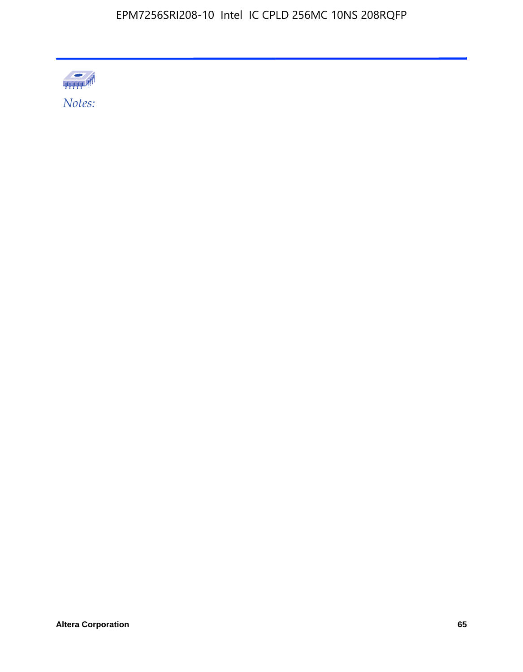

*Notes:*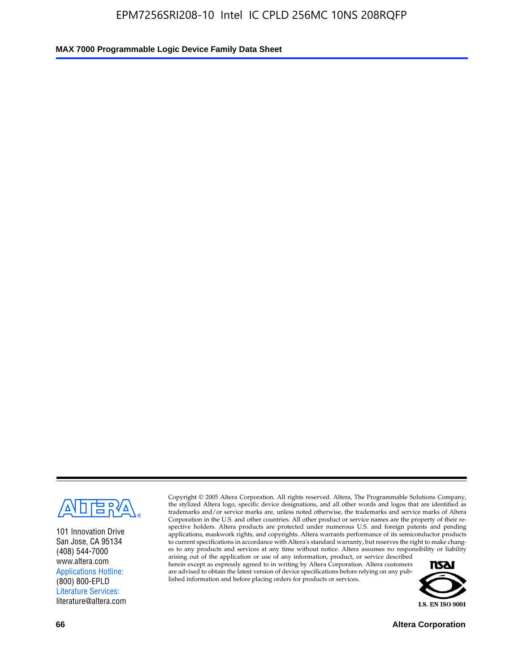

101 Innovation Drive San Jose, CA 95134 (408) 544-7000 www.altera.com Applications Hotline: (800) 800-EPLD Literature Services: literature@altera.com

Copyright © 2005 Altera Corporation. All rights reserved. Altera, The Programmable Solutions Company, the stylized Altera logo, specific device designations, and all other words and logos that are identified as trademarks and/or service marks are, unless noted otherwise, the trademarks and service marks of Altera Corporation in the U.S. and other countries. All other product or service names are the property of their respective holders. Altera products are protected under numerous U.S. and foreign patents and pending applications, maskwork rights, and copyrights. Altera warrants performance of its semiconductor products to current specifications in accordance with Altera's standard warranty, but reserves the right to make changes to any products and services at any time without notice. Altera assumes no responsibility or liability

arising out of the application or use of any information, product, or service described herein except as expressly agreed to in writing by Altera Corporation. Altera customers are advised to obtain the latest version of device specifications before relying on any published information and before placing orders for products or services.



**66 Altera Corporation**